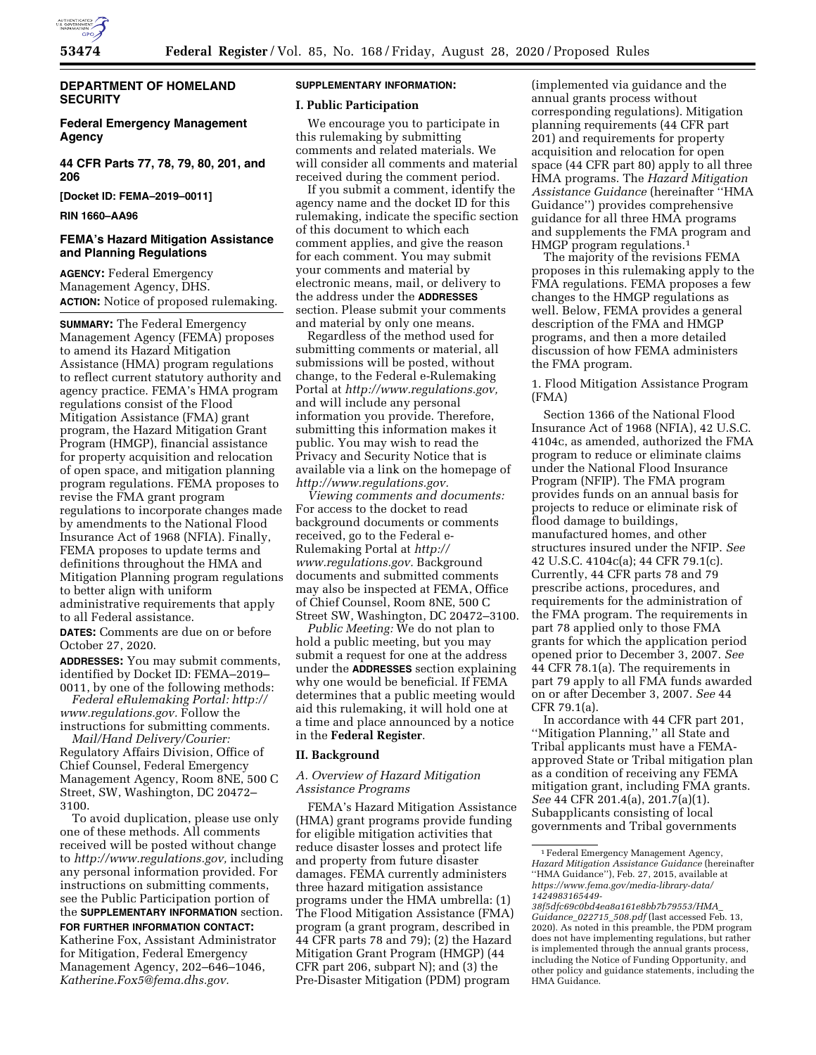

# **DEPARTMENT OF HOMELAND SECURITY**

# **Federal Emergency Management Agency**

**44 CFR Parts 77, 78, 79, 80, 201, and 206** 

**[Docket ID: FEMA–2019–0011]** 

**RIN 1660–AA96** 

# **FEMA's Hazard Mitigation Assistance and Planning Regulations**

**AGENCY:** Federal Emergency Management Agency, DHS. **ACTION:** Notice of proposed rulemaking.

**SUMMARY:** The Federal Emergency Management Agency (FEMA) proposes to amend its Hazard Mitigation Assistance (HMA) program regulations to reflect current statutory authority and agency practice. FEMA's HMA program regulations consist of the Flood Mitigation Assistance (FMA) grant program, the Hazard Mitigation Grant Program (HMGP), financial assistance for property acquisition and relocation of open space, and mitigation planning program regulations. FEMA proposes to revise the FMA grant program regulations to incorporate changes made by amendments to the National Flood Insurance Act of 1968 (NFIA). Finally, FEMA proposes to update terms and definitions throughout the HMA and Mitigation Planning program regulations to better align with uniform administrative requirements that apply to all Federal assistance.

**DATES:** Comments are due on or before October 27, 2020.

**ADDRESSES:** You may submit comments, identified by Docket ID: FEMA–2019– 0011, by one of the following methods:

*Federal eRulemaking Portal: [http://](http://www.regulations.gov) [www.regulations.gov.](http://www.regulations.gov)* Follow the instructions for submitting comments.

*Mail/Hand Delivery/Courier:* 

Regulatory Affairs Division, Office of Chief Counsel, Federal Emergency Management Agency, Room 8NE, 500 C Street, SW, Washington, DC 20472– 3100.

To avoid duplication, please use only one of these methods. All comments received will be posted without change to *[http://www.regulations.gov,](http://www.regulations.gov)* including any personal information provided. For instructions on submitting comments, see the Public Participation portion of the **SUPPLEMENTARY INFORMATION** section.

#### **FOR FURTHER INFORMATION CONTACT:**

Katherine Fox, Assistant Administrator for Mitigation, Federal Emergency Management Agency, 202–646–1046, *[Katherine.Fox5@fema.dhs.gov.](mailto:Katherine.Fox5@fema.dhs.gov)* 

# **SUPPLEMENTARY INFORMATION:**

## **I. Public Participation**

We encourage you to participate in this rulemaking by submitting comments and related materials. We will consider all comments and material received during the comment period.

If you submit a comment, identify the agency name and the docket ID for this rulemaking, indicate the specific section of this document to which each comment applies, and give the reason for each comment. You may submit your comments and material by electronic means, mail, or delivery to the address under the **ADDRESSES** section. Please submit your comments and material by only one means.

Regardless of the method used for submitting comments or material, all submissions will be posted, without change, to the Federal e-Rulemaking Portal at *[http://www.regulations.gov,](http://www.regulations.gov)*  and will include any personal information you provide. Therefore, submitting this information makes it public. You may wish to read the Privacy and Security Notice that is available via a link on the homepage of *[http://www.regulations.gov.](http://www.regulations.gov)* 

*Viewing comments and documents:*  For access to the docket to read background documents or comments received, go to the Federal e-Rulemaking Portal at *[http://](http://www.regulations.gov) [www.regulations.gov.](http://www.regulations.gov)* Background documents and submitted comments may also be inspected at FEMA, Office of Chief Counsel, Room 8NE, 500 C Street SW, Washington, DC 20472–3100.

*Public Meeting:* We do not plan to hold a public meeting, but you may submit a request for one at the address under the **ADDRESSES** section explaining why one would be beneficial. If FEMA determines that a public meeting would aid this rulemaking, it will hold one at a time and place announced by a notice in the **Federal Register**.

## **II. Background**

## *A. Overview of Hazard Mitigation Assistance Programs*

FEMA's Hazard Mitigation Assistance (HMA) grant programs provide funding for eligible mitigation activities that reduce disaster losses and protect life and property from future disaster damages. FEMA currently administers three hazard mitigation assistance programs under the HMA umbrella: (1) The Flood Mitigation Assistance (FMA) program (a grant program, described in 44 CFR parts 78 and 79); (2) the Hazard Mitigation Grant Program (HMGP) (44 CFR part 206, subpart N); and (3) the Pre-Disaster Mitigation (PDM) program

(implemented via guidance and the annual grants process without corresponding regulations). Mitigation planning requirements (44 CFR part 201) and requirements for property acquisition and relocation for open space (44 CFR part 80) apply to all three HMA programs. The *Hazard Mitigation Assistance Guidance* (hereinafter ''HMA Guidance'') provides comprehensive guidance for all three HMA programs and supplements the FMA program and HMGP program regulations.1

The majority of the revisions FEMA proposes in this rulemaking apply to the FMA regulations. FEMA proposes a few changes to the HMGP regulations as well. Below, FEMA provides a general description of the FMA and HMGP programs, and then a more detailed discussion of how FEMA administers the FMA program.

1. Flood Mitigation Assistance Program (FMA)

Section 1366 of the National Flood Insurance Act of 1968 (NFIA), 42 U.S.C. 4104c, as amended, authorized the FMA program to reduce or eliminate claims under the National Flood Insurance Program (NFIP). The FMA program provides funds on an annual basis for projects to reduce or eliminate risk of flood damage to buildings, manufactured homes, and other structures insured under the NFIP. *See*  42 U.S.C. 4104c(a); 44 CFR 79.1(c). Currently, 44 CFR parts 78 and 79 prescribe actions, procedures, and requirements for the administration of the FMA program. The requirements in part 78 applied only to those FMA grants for which the application period opened prior to December 3, 2007. *See*  44 CFR 78.1(a). The requirements in part 79 apply to all FMA funds awarded on or after December 3, 2007. *See* 44 CFR 79.1(a).

In accordance with 44 CFR part 201, ''Mitigation Planning,'' all State and Tribal applicants must have a FEMAapproved State or Tribal mitigation plan as a condition of receiving any FEMA mitigation grant, including FMA grants. *See* 44 CFR 201.4(a), 201.7(a)(1). Subapplicants consisting of local governments and Tribal governments

<sup>1</sup>Federal Emergency Management Agency, *Hazard Mitigation Assistance Guidance* (hereinafter ''HMA Guidance''), Feb. 27, 2015, available at *[https://www.fema.gov/media-library-data/](https://www.fema.gov/media-library-data/1424983165449-38f5dfc69c0bd4ea8a161e8bb7b79553/HMA_Guidance_022715_508.pdf) [1424983165449-](https://www.fema.gov/media-library-data/1424983165449-38f5dfc69c0bd4ea8a161e8bb7b79553/HMA_Guidance_022715_508.pdf)* 

*[<sup>38</sup>f5dfc69c0bd4ea8a161e8bb7b79553/HMA](https://www.fema.gov/media-library-data/1424983165449-38f5dfc69c0bd4ea8a161e8bb7b79553/HMA_Guidance_022715_508.pdf)*\_ *[Guidance](https://www.fema.gov/media-library-data/1424983165449-38f5dfc69c0bd4ea8a161e8bb7b79553/HMA_Guidance_022715_508.pdf)*\_*022715*\_*508.pdf* (last accessed Feb. 13, 2020). As noted in this preamble, the PDM program does not have implementing regulations, but rather is implemented through the annual grants process, including the Notice of Funding Opportunity, and other policy and guidance statements, including the HMA Guidance.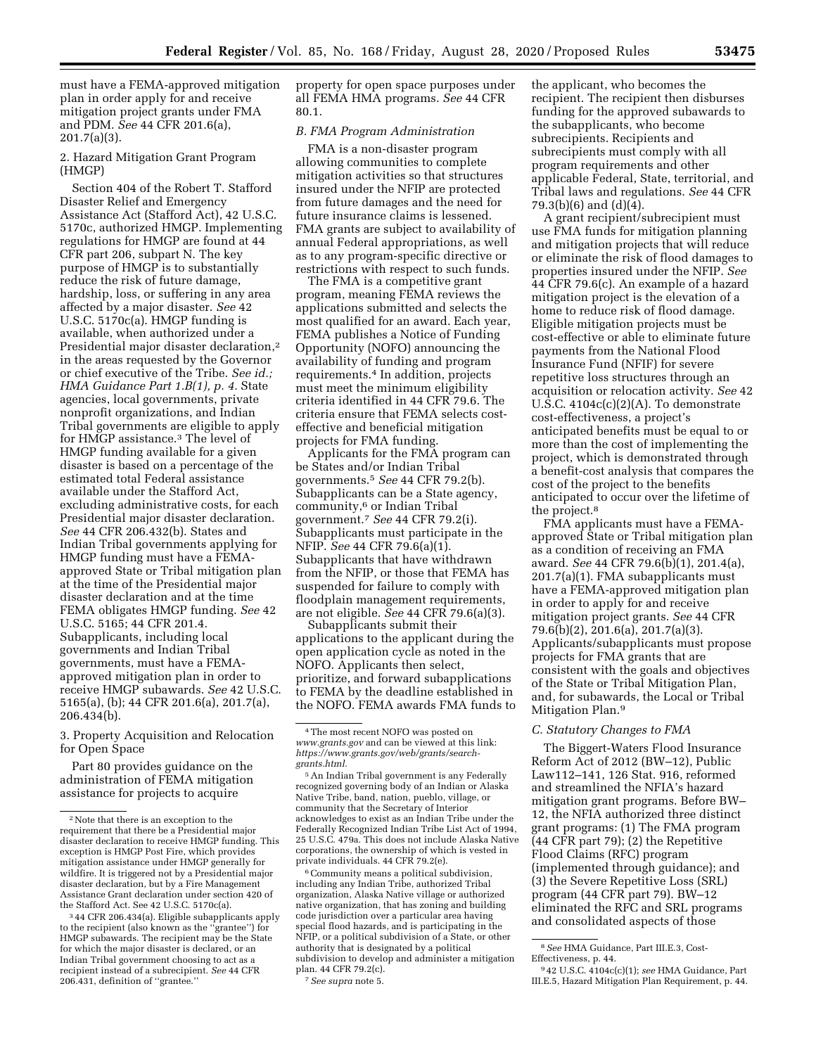must have a FEMA-approved mitigation plan in order apply for and receive mitigation project grants under FMA and PDM. *See* 44 CFR 201.6(a), 201.7(a)(3).

2. Hazard Mitigation Grant Program (HMGP)

Section 404 of the Robert T. Stafford Disaster Relief and Emergency Assistance Act (Stafford Act), 42 U.S.C. 5170c, authorized HMGP. Implementing regulations for HMGP are found at 44 CFR part 206, subpart N. The key purpose of HMGP is to substantially reduce the risk of future damage, hardship, loss, or suffering in any area affected by a major disaster. *See* 42 U.S.C. 5170c(a). HMGP funding is available, when authorized under a Presidential major disaster declaration,2 in the areas requested by the Governor or chief executive of the Tribe. *See id.; HMA Guidance Part 1.B(1), p. 4.* State agencies, local governments, private nonprofit organizations, and Indian Tribal governments are eligible to apply for HMGP assistance.3 The level of HMGP funding available for a given disaster is based on a percentage of the estimated total Federal assistance available under the Stafford Act, excluding administrative costs, for each Presidential major disaster declaration. *See* 44 CFR 206.432(b). States and Indian Tribal governments applying for HMGP funding must have a FEMAapproved State or Tribal mitigation plan at the time of the Presidential major disaster declaration and at the time FEMA obligates HMGP funding. *See* 42 U.S.C. 5165; 44 CFR 201.4. Subapplicants, including local governments and Indian Tribal governments, must have a FEMAapproved mitigation plan in order to receive HMGP subawards. *See* 42 U.S.C. 5165(a), (b); 44 CFR 201.6(a), 201.7(a), 206.434(b).

3. Property Acquisition and Relocation for Open Space

Part 80 provides guidance on the administration of FEMA mitigation assistance for projects to acquire

property for open space purposes under all FEMA HMA programs. *See* 44 CFR 80.1.

#### *B. FMA Program Administration*

FMA is a non-disaster program allowing communities to complete mitigation activities so that structures insured under the NFIP are protected from future damages and the need for future insurance claims is lessened. FMA grants are subject to availability of annual Federal appropriations, as well as to any program-specific directive or restrictions with respect to such funds.

The FMA is a competitive grant program, meaning FEMA reviews the applications submitted and selects the most qualified for an award. Each year, FEMA publishes a Notice of Funding Opportunity (NOFO) announcing the availability of funding and program requirements.4 In addition, projects must meet the minimum eligibility criteria identified in 44 CFR 79.6. The criteria ensure that FEMA selects costeffective and beneficial mitigation projects for FMA funding.

Applicants for the FMA program can be States and/or Indian Tribal governments.5 *See* 44 CFR 79.2(b). Subapplicants can be a State agency, community,6 or Indian Tribal government.7 *See* 44 CFR 79.2(i). Subapplicants must participate in the NFIP. *See* 44 CFR 79.6(a)(1). Subapplicants that have withdrawn from the NFIP, or those that FEMA has suspended for failure to comply with floodplain management requirements, are not eligible. *See* 44 CFR 79.6(a)(3).

Subapplicants submit their applications to the applicant during the open application cycle as noted in the NOFO. Applicants then select, prioritize, and forward subapplications to FEMA by the deadline established in the NOFO. FEMA awards FMA funds to

6Community means a political subdivision, including any Indian Tribe, authorized Tribal organization, Alaska Native village or authorized native organization, that has zoning and building code jurisdiction over a particular area having special flood hazards, and is participating in the NFIP, or a political subdivision of a State, or other authority that is designated by a political subdivision to develop and administer a mitigation plan. 44 CFR 79.2(c).

7*See supra* note 5.

the applicant, who becomes the recipient. The recipient then disburses funding for the approved subawards to the subapplicants, who become subrecipients. Recipients and subrecipients must comply with all program requirements and other applicable Federal, State, territorial, and Tribal laws and regulations. *See* 44 CFR 79.3(b)(6) and (d)(4).

A grant recipient/subrecipient must use FMA funds for mitigation planning and mitigation projects that will reduce or eliminate the risk of flood damages to properties insured under the NFIP. *See*  44 CFR 79.6(c). An example of a hazard mitigation project is the elevation of a home to reduce risk of flood damage. Eligible mitigation projects must be cost-effective or able to eliminate future payments from the National Flood Insurance Fund (NFIF) for severe repetitive loss structures through an acquisition or relocation activity. *See* 42 U.S.C. 4104c(c)(2)(A). To demonstrate cost-effectiveness, a project's anticipated benefits must be equal to or more than the cost of implementing the project, which is demonstrated through a benefit-cost analysis that compares the cost of the project to the benefits anticipated to occur over the lifetime of the project.<sup>8</sup>

FMA applicants must have a FEMAapproved State or Tribal mitigation plan as a condition of receiving an FMA award. *See* 44 CFR 79.6(b)(1), 201.4(a), 201.7(a)(1). FMA subapplicants must have a FEMA-approved mitigation plan in order to apply for and receive mitigation project grants. *See* 44 CFR 79.6(b)(2), 201.6(a), 201.7(a)(3). Applicants/subapplicants must propose projects for FMA grants that are consistent with the goals and objectives of the State or Tribal Mitigation Plan, and, for subawards, the Local or Tribal Mitigation Plan.<sup>9</sup>

#### *C. Statutory Changes to FMA*

The Biggert-Waters Flood Insurance Reform Act of 2012 (BW–12), Public Law112–141, 126 Stat. 916, reformed and streamlined the NFIA's hazard mitigation grant programs. Before BW– 12, the NFIA authorized three distinct grant programs: (1) The FMA program (44 CFR part 79); (2) the Repetitive Flood Claims (RFC) program (implemented through guidance); and (3) the Severe Repetitive Loss (SRL) program (44 CFR part 79). BW–12 eliminated the RFC and SRL programs and consolidated aspects of those

<sup>2</sup>Note that there is an exception to the requirement that there be a Presidential major disaster declaration to receive HMGP funding. This exception is HMGP Post Fire, which provides mitigation assistance under HMGP generally for wildfire. It is triggered not by a Presidential major disaster declaration, but by a Fire Management Assistance Grant declaration under section 420 of the Stafford Act. See 42 U.S.C. 5170c(a).

<sup>3</sup> 44 CFR 206.434(a). Eligible subapplicants apply to the recipient (also known as the ''grantee'') for HMGP subawards. The recipient may be the State for which the major disaster is declared, or an Indian Tribal government choosing to act as a recipient instead of a subrecipient. *See* 44 CFR 206.431, definition of ''grantee.''

<sup>4</sup>The most recent NOFO was posted on *[www.grants.gov](http://www.grants.gov)* and can be viewed at this link: *[https://www.grants.gov/web/grants/search](https://www.grants.gov/web/grants/search-grants.html)[grants.html.](https://www.grants.gov/web/grants/search-grants.html)* 

<sup>5</sup>An Indian Tribal government is any Federally recognized governing body of an Indian or Alaska Native Tribe, band, nation, pueblo, village, or community that the Secretary of Interior acknowledges to exist as an Indian Tribe under the Federally Recognized Indian Tribe List Act of 1994, 25 U.S.C. 479a. This does not include Alaska Native corporations, the ownership of which is vested in private individuals. 44 CFR 79.2(e).

<sup>8</sup>*See* HMA Guidance, Part III.E.3, Cost-Effectiveness, p. 44.

<sup>9</sup> 42 U.S.C. 4104c(c)(1); *see* HMA Guidance, Part III.E.5, Hazard Mitigation Plan Requirement, p. 44.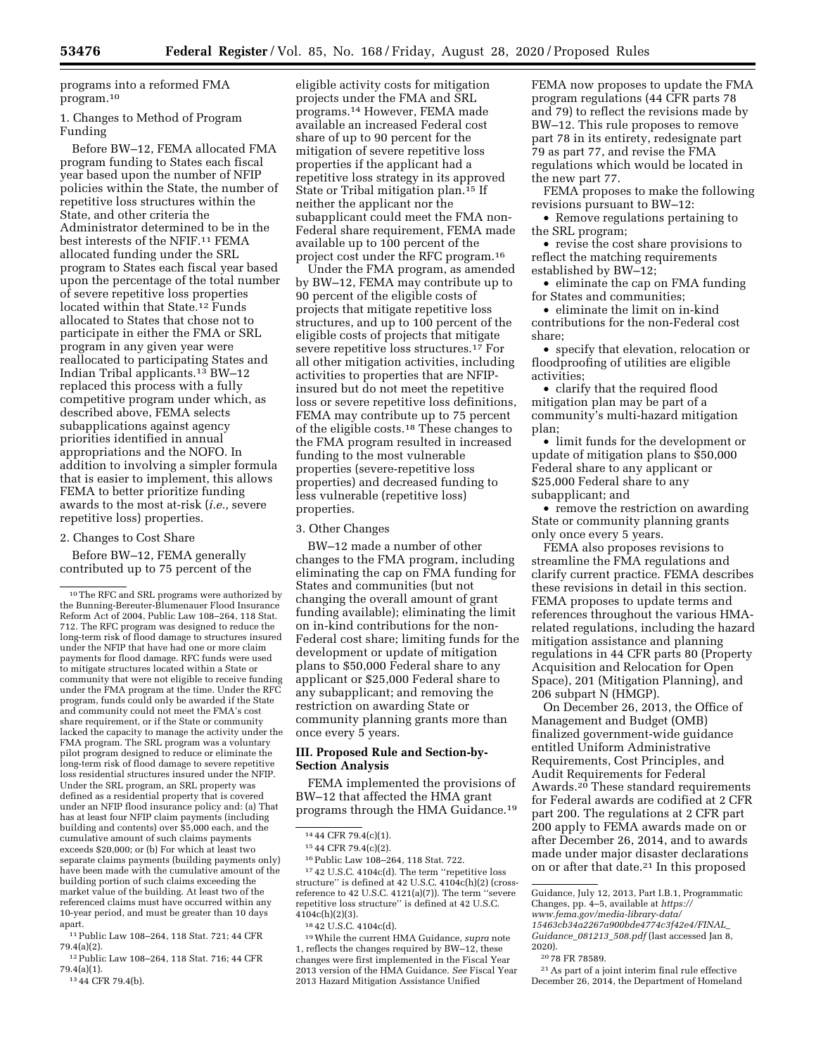programs into a reformed FMA program.10

1. Changes to Method of Program Funding

Before BW–12, FEMA allocated FMA program funding to States each fiscal year based upon the number of NFIP policies within the State, the number of repetitive loss structures within the State, and other criteria the Administrator determined to be in the best interests of the NFIF.11 FEMA allocated funding under the SRL program to States each fiscal year based upon the percentage of the total number of severe repetitive loss properties located within that State.12 Funds allocated to States that chose not to participate in either the FMA or SRL program in any given year were reallocated to participating States and Indian Tribal applicants.13 BW–12 replaced this process with a fully competitive program under which, as described above, FEMA selects subapplications against agency priorities identified in annual appropriations and the NOFO. In addition to involving a simpler formula that is easier to implement, this allows FEMA to better prioritize funding awards to the most at-risk (*i.e.,* severe repetitive loss) properties.

#### 2. Changes to Cost Share

Before BW–12, FEMA generally contributed up to 75 percent of the

11Public Law 108–264, 118 Stat. 721; 44 CFR 79.4(a)(2).

12Public Law 108–264, 118 Stat. 716; 44 CFR 79.4(a)(1).

13 44 CFR 79.4(b).

eligible activity costs for mitigation projects under the FMA and SRL programs.14 However, FEMA made available an increased Federal cost share of up to 90 percent for the mitigation of severe repetitive loss properties if the applicant had a repetitive loss strategy in its approved State or Tribal mitigation plan.15 If neither the applicant nor the subapplicant could meet the FMA non-Federal share requirement, FEMA made available up to 100 percent of the project cost under the RFC program.16

Under the FMA program, as amended by BW–12, FEMA may contribute up to 90 percent of the eligible costs of projects that mitigate repetitive loss structures, and up to 100 percent of the eligible costs of projects that mitigate severe repetitive loss structures.17 For all other mitigation activities, including activities to properties that are NFIPinsured but do not meet the repetitive loss or severe repetitive loss definitions, FEMA may contribute up to 75 percent of the eligible costs.18 These changes to the FMA program resulted in increased funding to the most vulnerable properties (severe-repetitive loss properties) and decreased funding to less vulnerable (repetitive loss) properties.

#### 3. Other Changes

BW–12 made a number of other changes to the FMA program, including eliminating the cap on FMA funding for States and communities (but not changing the overall amount of grant funding available); eliminating the limit on in-kind contributions for the non-Federal cost share; limiting funds for the development or update of mitigation plans to \$50,000 Federal share to any applicant or \$25,000 Federal share to any subapplicant; and removing the restriction on awarding State or community planning grants more than once every 5 years.

#### **III. Proposed Rule and Section-by-Section Analysis**

FEMA implemented the provisions of BW–12 that affected the HMA grant programs through the HMA Guidance.19

16Public Law 108–264, 118 Stat. 722.

17 42 U.S.C. 4104c(d). The term ''repetitive loss structure'' is defined at 42 U.S.C. 4104c(h)(2) (crossreference to 42 U.S.C. 4121(a)(7)). The term ''severe repetitive loss structure'' is defined at 42 U.S.C.  $4104c(h)(2)(3)$ .

19While the current HMA Guidance, *supra* note 1, reflects the changes required by BW–12, these changes were first implemented in the Fiscal Year 2013 version of the HMA Guidance. *See* Fiscal Year 2013 Hazard Mitigation Assistance Unified

FEMA now proposes to update the FMA program regulations (44 CFR parts 78 and 79) to reflect the revisions made by BW–12. This rule proposes to remove part 78 in its entirety, redesignate part 79 as part 77, and revise the FMA regulations which would be located in the new part 77.

FEMA proposes to make the following revisions pursuant to BW–12:

• Remove regulations pertaining to the SRL program;

• revise the cost share provisions to reflect the matching requirements established by BW–12;

• eliminate the cap on FMA funding for States and communities;

• eliminate the limit on in-kind contributions for the non-Federal cost share;

• specify that elevation, relocation or floodproofing of utilities are eligible activities;

• clarify that the required flood mitigation plan may be part of a community's multi-hazard mitigation plan;

• limit funds for the development or update of mitigation plans to \$50,000 Federal share to any applicant or \$25,000 Federal share to any subapplicant; and

• remove the restriction on awarding State or community planning grants only once every 5 years.

FEMA also proposes revisions to streamline the FMA regulations and clarify current practice. FEMA describes these revisions in detail in this section. FEMA proposes to update terms and references throughout the various HMArelated regulations, including the hazard mitigation assistance and planning regulations in 44 CFR parts 80 (Property Acquisition and Relocation for Open Space), 201 (Mitigation Planning), and 206 subpart N (HMGP).

On December 26, 2013, the Office of Management and Budget (OMB) finalized government-wide guidance entitled Uniform Administrative Requirements, Cost Principles, and Audit Requirements for Federal Awards.20 These standard requirements for Federal awards are codified at 2 CFR part 200. The regulations at 2 CFR part 200 apply to FEMA awards made on or after December 26, 2014, and to awards made under major disaster declarations on or after that date.21 In this proposed

Guidance, July 12, 2013, Part I.B.1, Programmatic Changes, pp. 4–5, available at *[https://](https://www.fema.gov/media-library-data/15463cb34a2267a900bde4774c3f42e4/FINAL_Guidance_081213_508.pdf) [www.fema.gov/media-library-data/](https://www.fema.gov/media-library-data/15463cb34a2267a900bde4774c3f42e4/FINAL_Guidance_081213_508.pdf)  [15463cb34a2267a900bde4774c3f42e4/FINAL](https://www.fema.gov/media-library-data/15463cb34a2267a900bde4774c3f42e4/FINAL_Guidance_081213_508.pdf)*\_ *[Guidance](https://www.fema.gov/media-library-data/15463cb34a2267a900bde4774c3f42e4/FINAL_Guidance_081213_508.pdf)*\_*081213*\_*508.pdf* (last accessed Jan 8,

<sup>10</sup>The RFC and SRL programs were authorized by the Bunning-Bereuter-Blumenauer Flood Insurance Reform Act of 2004, Public Law 108–264, 118 Stat. 712. The RFC program was designed to reduce the long-term risk of flood damage to structures insured under the NFIP that have had one or more claim payments for flood damage. RFC funds were used to mitigate structures located within a State or community that were not eligible to receive funding under the FMA program at the time. Under the RFC program, funds could only be awarded if the State and community could not meet the FMA's cost share requirement, or if the State or community lacked the capacity to manage the activity under the FMA program. The SRL program was a voluntary pilot program designed to reduce or eliminate the long-term risk of flood damage to severe repetitive loss residential structures insured under the NFIP. Under the SRL program, an SRL property was defined as a residential property that is covered under an NFIP flood insurance policy and: (a) That has at least four NFIP claim payments (including building and contents) over \$5,000 each, and the cumulative amount of such claims payments exceeds \$20,000; or (b) For which at least two separate claims payments (building payments only) have been made with the cumulative amount of the building portion of such claims exceeding the market value of the building. At least two of the referenced claims must have occurred within any 10-year period, and must be greater than 10 days apart.

<sup>14</sup> 44 CFR 79.4(c)(1).

<sup>15</sup> 44 CFR 79.4(c)(2).

<sup>18</sup> 42 U.S.C. 4104c(d).

<sup>2020).</sup>  20 78 FR 78589.

<sup>21</sup>As part of a joint interim final rule effective December 26, 2014, the Department of Homeland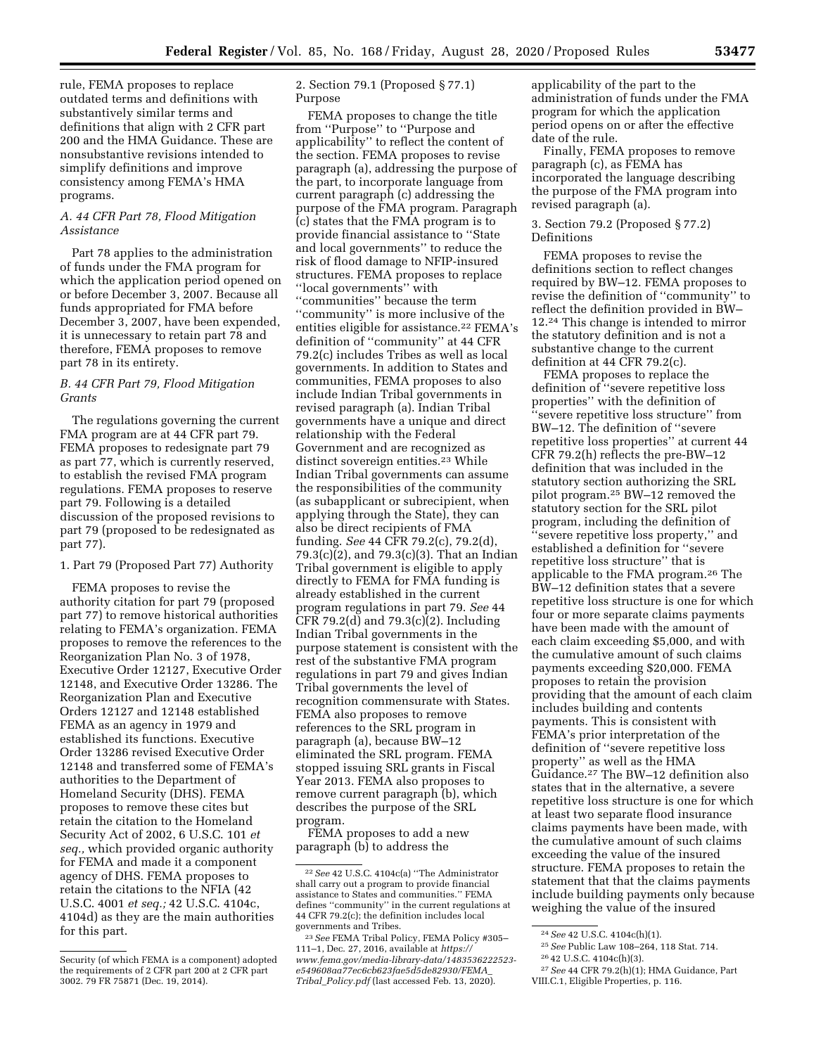2. Section 79.1 (Proposed § 77.1)

rule, FEMA proposes to replace outdated terms and definitions with substantively similar terms and definitions that align with 2 CFR part 200 and the HMA Guidance. These are nonsubstantive revisions intended to simplify definitions and improve consistency among FEMA's HMA programs. Purpose

# *A. 44 CFR Part 78, Flood Mitigation Assistance*

Part 78 applies to the administration of funds under the FMA program for which the application period opened on or before December 3, 2007. Because all funds appropriated for FMA before December 3, 2007, have been expended, it is unnecessary to retain part 78 and therefore, FEMA proposes to remove part 78 in its entirety.

# *B. 44 CFR Part 79, Flood Mitigation Grants*

The regulations governing the current FMA program are at 44 CFR part 79. FEMA proposes to redesignate part 79 as part 77, which is currently reserved, to establish the revised FMA program regulations. FEMA proposes to reserve part 79. Following is a detailed discussion of the proposed revisions to part 79 (proposed to be redesignated as part 77).

1. Part 79 (Proposed Part 77) Authority

FEMA proposes to revise the authority citation for part 79 (proposed part 77) to remove historical authorities relating to FEMA's organization. FEMA proposes to remove the references to the Reorganization Plan No. 3 of 1978, Executive Order 12127, Executive Order 12148, and Executive Order 13286. The Reorganization Plan and Executive Orders 12127 and 12148 established FEMA as an agency in 1979 and established its functions. Executive Order 13286 revised Executive Order 12148 and transferred some of FEMA's authorities to the Department of Homeland Security (DHS). FEMA proposes to remove these cites but retain the citation to the Homeland Security Act of 2002, 6 U.S.C. 101 *et seq.,* which provided organic authority for FEMA and made it a component agency of DHS. FEMA proposes to retain the citations to the NFIA (42 U.S.C. 4001 *et seq.;* 42 U.S.C. 4104c, 4104d) as they are the main authorities for this part.

FEMA proposes to change the title from ''Purpose'' to ''Purpose and applicability'' to reflect the content of the section. FEMA proposes to revise paragraph (a), addressing the purpose of the part, to incorporate language from current paragraph (c) addressing the purpose of the FMA program. Paragraph (c) states that the FMA program is to provide financial assistance to ''State and local governments'' to reduce the risk of flood damage to NFIP-insured structures. FEMA proposes to replace ''local governments'' with ''communities'' because the term ''community'' is more inclusive of the entities eligible for assistance.<sup>22</sup> FEMA's definition of ''community'' at 44 CFR 79.2(c) includes Tribes as well as local governments. In addition to States and communities, FEMA proposes to also include Indian Tribal governments in revised paragraph (a). Indian Tribal governments have a unique and direct relationship with the Federal Government and are recognized as distinct sovereign entities.23 While Indian Tribal governments can assume the responsibilities of the community (as subapplicant or subrecipient, when applying through the State), they can also be direct recipients of FMA funding. *See* 44 CFR 79.2(c), 79.2(d), 79.3(c)(2), and 79.3(c)(3). That an Indian Tribal government is eligible to apply directly to FEMA for FMA funding is already established in the current program regulations in part 79. *See* 44 CFR 79.2(d) and 79.3(c)(2). Including Indian Tribal governments in the purpose statement is consistent with the rest of the substantive FMA program regulations in part 79 and gives Indian Tribal governments the level of recognition commensurate with States. FEMA also proposes to remove references to the SRL program in paragraph (a), because BW–12 eliminated the SRL program. FEMA stopped issuing SRL grants in Fiscal Year 2013. FEMA also proposes to remove current paragraph (b), which describes the purpose of the SRL program.

FEMA proposes to add a new paragraph (b) to address the

applicability of the part to the administration of funds under the FMA program for which the application period opens on or after the effective date of the rule.

Finally, FEMA proposes to remove paragraph (c), as FEMA has incorporated the language describing the purpose of the FMA program into revised paragraph (a).

## 3. Section 79.2 (Proposed § 77.2) Definitions

FEMA proposes to revise the definitions section to reflect changes required by BW–12. FEMA proposes to revise the definition of ''community'' to reflect the definition provided in BW– 12.24 This change is intended to mirror the statutory definition and is not a substantive change to the current definition at 44 CFR 79.2(c).

FEMA proposes to replace the definition of ''severe repetitive loss properties'' with the definition of ''severe repetitive loss structure'' from BW–12. The definition of ''severe repetitive loss properties'' at current 44 CFR 79.2(h) reflects the pre-BW–12 definition that was included in the statutory section authorizing the SRL pilot program.25 BW–12 removed the statutory section for the SRL pilot program, including the definition of ''severe repetitive loss property,'' and established a definition for ''severe repetitive loss structure'' that is applicable to the FMA program.26 The BW–12 definition states that a severe repetitive loss structure is one for which four or more separate claims payments have been made with the amount of each claim exceeding \$5,000, and with the cumulative amount of such claims payments exceeding \$20,000. FEMA proposes to retain the provision providing that the amount of each claim includes building and contents payments. This is consistent with FEMA's prior interpretation of the definition of ''severe repetitive loss property'' as well as the HMA Guidance.27 The BW–12 definition also states that in the alternative, a severe repetitive loss structure is one for which at least two separate flood insurance claims payments have been made, with the cumulative amount of such claims exceeding the value of the insured structure. FEMA proposes to retain the statement that that the claims payments include building payments only because weighing the value of the insured

Security (of which FEMA is a component) adopted the requirements of 2 CFR part 200 at 2 CFR part 3002. 79 FR 75871 (Dec. 19, 2014).

<sup>22</sup>*See* 42 U.S.C. 4104c(a) ''The Administrator shall carry out a program to provide financial assistance to States and communities.'' FEMA defines ''community'' in the current regulations at 44 CFR 79.2(c); the definition includes local governments and Tribes.

<sup>23</sup>*See* FEMA Tribal Policy, FEMA Policy #305– 111–1, Dec. 27, 2016, available at *[https://](https://www.fema.gov/media-library-data/1483536222523-e549608aa77ec6cb623fae5d5de82930/FEMA_Tribal_Policy.pdf) [www.fema.gov/media-library-data/1483536222523](https://www.fema.gov/media-library-data/1483536222523-e549608aa77ec6cb623fae5d5de82930/FEMA_Tribal_Policy.pdf)  [e549608aa77ec6cb623fae5d5de82930/FEMA](https://www.fema.gov/media-library-data/1483536222523-e549608aa77ec6cb623fae5d5de82930/FEMA_Tribal_Policy.pdf)*\_ *Tribal*\_*[Policy.pdf](https://www.fema.gov/media-library-data/1483536222523-e549608aa77ec6cb623fae5d5de82930/FEMA_Tribal_Policy.pdf)* (last accessed Feb. 13, 2020).

<sup>24</sup>*See* 42 U.S.C. 4104c(h)(1).

<sup>25</sup>*See* Public Law 108–264, 118 Stat. 714.

<sup>26</sup> 42 U.S.C. 4104c(h)(3).

<sup>27</sup>*See* 44 CFR 79.2(h)(1); HMA Guidance, Part VIII.C.1, Eligible Properties, p. 116.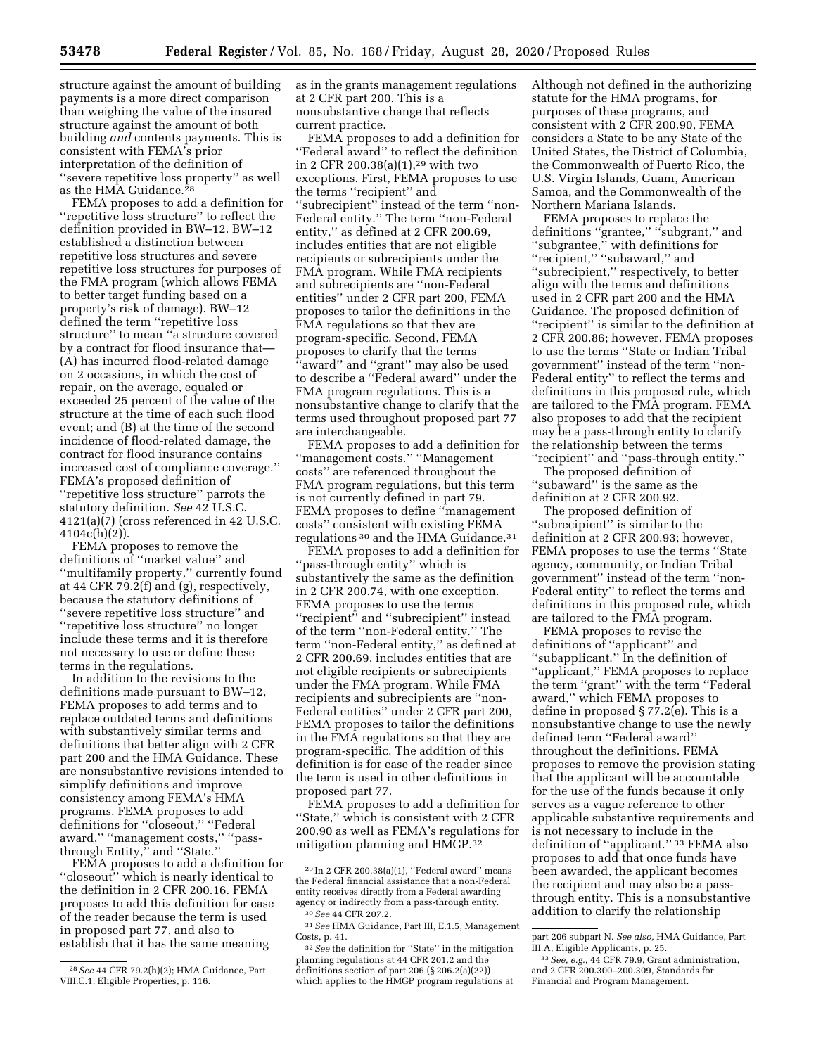structure against the amount of building payments is a more direct comparison than weighing the value of the insured structure against the amount of both

building *and* contents payments. This is consistent with FEMA's prior interpretation of the definition of ''severe repetitive loss property'' as well as the HMA Guidance.28

FEMA proposes to add a definition for ''repetitive loss structure'' to reflect the definition provided in BW–12. BW–12 established a distinction between repetitive loss structures and severe repetitive loss structures for purposes of the FMA program (which allows FEMA to better target funding based on a property's risk of damage). BW–12 defined the term ''repetitive loss structure'' to mean ''a structure covered by a contract for flood insurance that— (A) has incurred flood-related damage on 2 occasions, in which the cost of repair, on the average, equaled or exceeded 25 percent of the value of the structure at the time of each such flood event; and (B) at the time of the second incidence of flood-related damage, the contract for flood insurance contains increased cost of compliance coverage.'' FEMA's proposed definition of ''repetitive loss structure'' parrots the statutory definition. *See* 42 U.S.C.  $4121(a)(7)$  (cross referenced in 42 U.S.C.  $4104c(h)(2)$ ).

FEMA proposes to remove the definitions of ''market value'' and ''multifamily property,'' currently found at 44 CFR 79.2(f) and (g), respectively, because the statutory definitions of ''severe repetitive loss structure'' and ''repetitive loss structure'' no longer include these terms and it is therefore not necessary to use or define these terms in the regulations.

In addition to the revisions to the definitions made pursuant to BW–12, FEMA proposes to add terms and to replace outdated terms and definitions with substantively similar terms and definitions that better align with 2 CFR part 200 and the HMA Guidance. These are nonsubstantive revisions intended to simplify definitions and improve consistency among FEMA's HMA programs. FEMA proposes to add definitions for ''closeout,'' ''Federal award,'' ''management costs,'' ''passthrough Entity,'' and ''State.''

FEMA proposes to add a definition for ''closeout'' which is nearly identical to the definition in 2 CFR 200.16. FEMA proposes to add this definition for ease of the reader because the term is used in proposed part 77, and also to establish that it has the same meaning

as in the grants management regulations at 2 CFR part 200. This is a nonsubstantive change that reflects current practice.

FEMA proposes to add a definition for ''Federal award'' to reflect the definition in 2 CFR 200.38(a) $(1)$ ,<sup>29</sup> with two exceptions. First, FEMA proposes to use the terms ''recipient'' and ''subrecipient'' instead of the term ''non-Federal entity.'' The term ''non-Federal entity,'' as defined at 2 CFR 200.69, includes entities that are not eligible recipients or subrecipients under the FMA program. While FMA recipients and subrecipients are ''non-Federal entities'' under 2 CFR part 200, FEMA proposes to tailor the definitions in the FMA regulations so that they are program-specific. Second, FEMA proposes to clarify that the terms ''award'' and ''grant'' may also be used to describe a ''Federal award'' under the FMA program regulations. This is a nonsubstantive change to clarify that the terms used throughout proposed part 77 are interchangeable.

FEMA proposes to add a definition for ''management costs.'' ''Management costs'' are referenced throughout the FMA program regulations, but this term is not currently defined in part 79. FEMA proposes to define ''management costs'' consistent with existing FEMA regulations 30 and the HMA Guidance.31

FEMA proposes to add a definition for ''pass-through entity'' which is substantively the same as the definition in 2 CFR 200.74, with one exception. FEMA proposes to use the terms ''recipient'' and ''subrecipient'' instead of the term ''non-Federal entity.'' The term ''non-Federal entity,'' as defined at 2 CFR 200.69, includes entities that are not eligible recipients or subrecipients under the FMA program. While FMA recipients and subrecipients are ''non-Federal entities'' under 2 CFR part 200, FEMA proposes to tailor the definitions in the FMA regulations so that they are program-specific. The addition of this definition is for ease of the reader since the term is used in other definitions in proposed part 77.

FEMA proposes to add a definition for ''State,'' which is consistent with 2 CFR 200.90 as well as FEMA's regulations for mitigation planning and HMGP.32

Although not defined in the authorizing statute for the HMA programs, for purposes of these programs, and consistent with 2 CFR 200.90, FEMA considers a State to be any State of the United States, the District of Columbia, the Commonwealth of Puerto Rico, the U.S. Virgin Islands, Guam, American Samoa, and the Commonwealth of the Northern Mariana Islands.

FEMA proposes to replace the definitions ''grantee,'' ''subgrant,'' and ''subgrantee,'' with definitions for "recipient," "subaward," and ''subrecipient,'' respectively, to better align with the terms and definitions used in 2 CFR part 200 and the HMA Guidance. The proposed definition of ''recipient'' is similar to the definition at 2 CFR 200.86; however, FEMA proposes to use the terms ''State or Indian Tribal government'' instead of the term ''non-Federal entity'' to reflect the terms and definitions in this proposed rule, which are tailored to the FMA program. FEMA also proposes to add that the recipient may be a pass-through entity to clarify the relationship between the terms ''recipient'' and ''pass-through entity.''

The proposed definition of "subaward" is the same as the definition at 2 CFR 200.92.

The proposed definition of ''subrecipient'' is similar to the definition at 2 CFR 200.93; however, FEMA proposes to use the terms ''State agency, community, or Indian Tribal government'' instead of the term ''non-Federal entity'' to reflect the terms and definitions in this proposed rule, which are tailored to the FMA program.

FEMA proposes to revise the definitions of ''applicant'' and ''subapplicant.'' In the definition of ''applicant,'' FEMA proposes to replace the term ''grant'' with the term ''Federal award,'' which FEMA proposes to define in proposed § 77.2(e). This is a nonsubstantive change to use the newly defined term ''Federal award'' throughout the definitions. FEMA proposes to remove the provision stating that the applicant will be accountable for the use of the funds because it only serves as a vague reference to other applicable substantive requirements and is not necessary to include in the definition of ''applicant.'' 33 FEMA also proposes to add that once funds have been awarded, the applicant becomes the recipient and may also be a passthrough entity. This is a nonsubstantive addition to clarify the relationship

<sup>28</sup>*See* 44 CFR 79.2(h)(2); HMA Guidance, Part VIII.C.1, Eligible Properties, p. 116.

<sup>29</sup> In 2 CFR 200.38(a)(1), ''Federal award'' means the Federal financial assistance that a non-Federal entity receives directly from a Federal awarding agency or indirectly from a pass-through entity. 30*See* 44 CFR 207.2.

<sup>31</sup>*See* HMA Guidance, Part III, E.1.5, Management Costs, p. 41.

<sup>32</sup>*See* the definition for ''State'' in the mitigation planning regulations at 44 CFR 201.2 and the definitions section of part 206 (§ 206.2(a)(22)) which applies to the HMGP program regulations at

part 206 subpart N. *See also,* HMA Guidance, Part III.A, Eligible Applicants, p. 25.

<sup>33</sup>*See, e.g.,* 44 CFR 79.9, Grant administration, and 2 CFR 200.300–200.309, Standards for Financial and Program Management.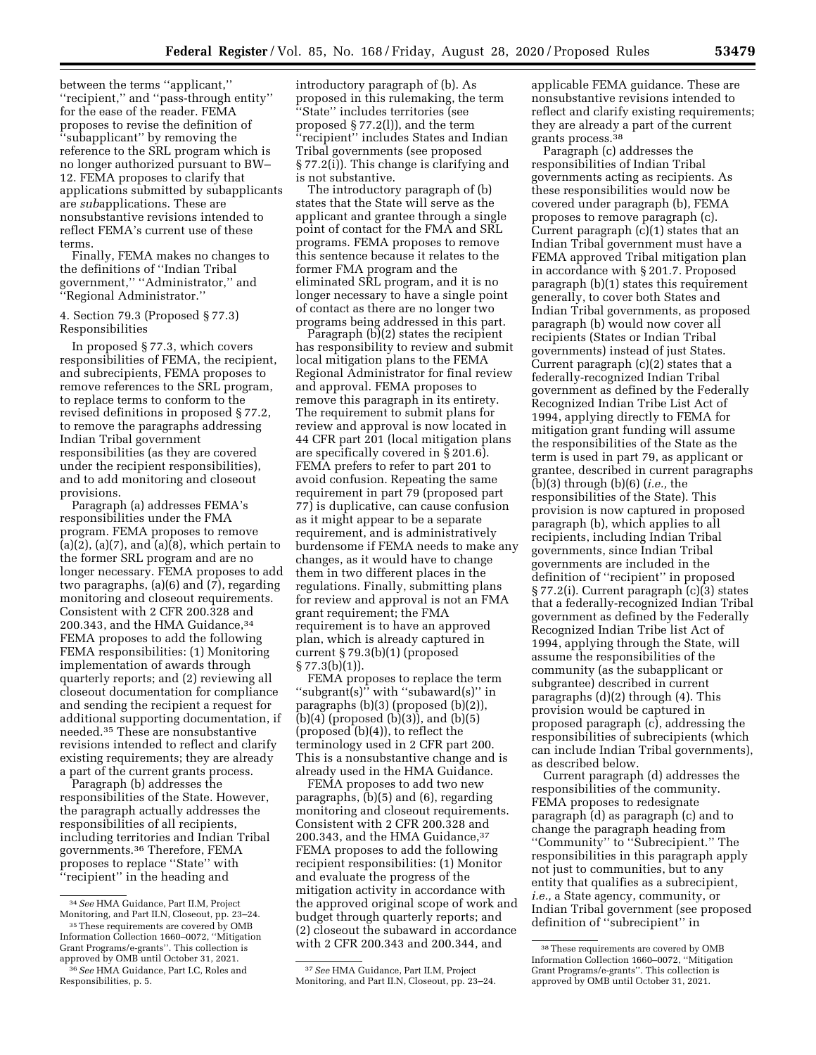between the terms ''applicant,'' ''recipient,'' and ''pass-through entity'' for the ease of the reader. FEMA proposes to revise the definition of ''subapplicant'' by removing the reference to the SRL program which is no longer authorized pursuant to BW– 12. FEMA proposes to clarify that applications submitted by subapplicants are *sub*applications. These are nonsubstantive revisions intended to reflect FEMA's current use of these terms.

Finally, FEMA makes no changes to the definitions of ''Indian Tribal government,'' ''Administrator,'' and ''Regional Administrator.''

#### 4. Section 79.3 (Proposed § 77.3) Responsibilities

In proposed § 77.3, which covers responsibilities of FEMA, the recipient, and subrecipients, FEMA proposes to remove references to the SRL program, to replace terms to conform to the revised definitions in proposed § 77.2, to remove the paragraphs addressing Indian Tribal government responsibilities (as they are covered under the recipient responsibilities), and to add monitoring and closeout provisions.

Paragraph (a) addresses FEMA's responsibilities under the FMA program. FEMA proposes to remove  $(a)(2)$ ,  $(a)(7)$ , and  $(a)(8)$ , which pertain to the former SRL program and are no longer necessary. FEMA proposes to add two paragraphs, (a)(6) and (7), regarding monitoring and closeout requirements. Consistent with 2 CFR 200.328 and 200.343, and the HMA Guidance,34 FEMA proposes to add the following FEMA responsibilities: (1) Monitoring implementation of awards through quarterly reports; and (2) reviewing all closeout documentation for compliance and sending the recipient a request for additional supporting documentation, if needed.35 These are nonsubstantive revisions intended to reflect and clarify existing requirements; they are already a part of the current grants process.

Paragraph (b) addresses the responsibilities of the State. However, the paragraph actually addresses the responsibilities of all recipients, including territories and Indian Tribal governments.36 Therefore, FEMA proposes to replace ''State'' with ''recipient'' in the heading and

introductory paragraph of (b). As proposed in this rulemaking, the term ''State'' includes territories (see proposed § 77.2(l)), and the term ''recipient'' includes States and Indian Tribal governments (see proposed § 77.2(i)). This change is clarifying and

is not substantive. The introductory paragraph of (b) states that the State will serve as the applicant and grantee through a single point of contact for the FMA and SRL programs. FEMA proposes to remove this sentence because it relates to the former FMA program and the eliminated SRL program, and it is no longer necessary to have a single point of contact as there are no longer two programs being addressed in this part.

Paragraph (b)(2) states the recipient has responsibility to review and submit local mitigation plans to the FEMA Regional Administrator for final review and approval. FEMA proposes to remove this paragraph in its entirety. The requirement to submit plans for review and approval is now located in 44 CFR part 201 (local mitigation plans are specifically covered in § 201.6). FEMA prefers to refer to part 201 to avoid confusion. Repeating the same requirement in part 79 (proposed part 77) is duplicative, can cause confusion as it might appear to be a separate requirement, and is administratively burdensome if FEMA needs to make any changes, as it would have to change them in two different places in the regulations. Finally, submitting plans for review and approval is not an FMA grant requirement; the FMA requirement is to have an approved plan, which is already captured in current § 79.3(b)(1) (proposed § 77.3(b)(1)).

FEMA proposes to replace the term ''subgrant(s)'' with ''subaward(s)'' in paragraphs (b)(3) (proposed (b)(2)), (b)(4) (proposed (b)(3)), and (b)(5) (proposed (b)(4)), to reflect the terminology used in 2 CFR part 200. This is a nonsubstantive change and is already used in the HMA Guidance.

FEMA proposes to add two new paragraphs, (b)(5) and (6), regarding monitoring and closeout requirements. Consistent with 2 CFR 200.328 and 200.343, and the HMA Guidance, 37 FEMA proposes to add the following recipient responsibilities: (1) Monitor and evaluate the progress of the mitigation activity in accordance with the approved original scope of work and budget through quarterly reports; and (2) closeout the subaward in accordance with 2 CFR 200.343 and 200.344, and

37*See* HMA Guidance, Part II.M, Project Monitoring, and Part II.N, Closeout, pp. 23–24. applicable FEMA guidance. These are nonsubstantive revisions intended to reflect and clarify existing requirements; they are already a part of the current grants process.38

Paragraph (c) addresses the responsibilities of Indian Tribal governments acting as recipients. As these responsibilities would now be covered under paragraph (b), FEMA proposes to remove paragraph (c). Current paragraph (c)(1) states that an Indian Tribal government must have a FEMA approved Tribal mitigation plan in accordance with § 201.7. Proposed paragraph (b)(1) states this requirement generally, to cover both States and Indian Tribal governments, as proposed paragraph (b) would now cover all recipients (States or Indian Tribal governments) instead of just States. Current paragraph (c)(2) states that a federally-recognized Indian Tribal government as defined by the Federally Recognized Indian Tribe List Act of 1994, applying directly to FEMA for mitigation grant funding will assume the responsibilities of the State as the term is used in part 79, as applicant or grantee, described in current paragraphs (b)(3) through (b)(6) (*i.e.,* the responsibilities of the State). This provision is now captured in proposed paragraph (b), which applies to all recipients, including Indian Tribal governments, since Indian Tribal governments are included in the definition of ''recipient'' in proposed § 77.2(i). Current paragraph (c)(3) states that a federally-recognized Indian Tribal government as defined by the Federally Recognized Indian Tribe list Act of 1994, applying through the State, will assume the responsibilities of the community (as the subapplicant or subgrantee) described in current paragraphs (d)(2) through (4). This provision would be captured in proposed paragraph (c), addressing the responsibilities of subrecipients (which can include Indian Tribal governments), as described below.

Current paragraph (d) addresses the responsibilities of the community. FEMA proposes to redesignate paragraph (d) as paragraph (c) and to change the paragraph heading from ''Community'' to ''Subrecipient.'' The responsibilities in this paragraph apply not just to communities, but to any entity that qualifies as a subrecipient, *i.e.,* a State agency, community, or Indian Tribal government (see proposed definition of ''subrecipient'' in

<sup>34</sup>*See* HMA Guidance, Part II.M, Project Monitoring, and Part II.N, Closeout, pp. 23–24.

<sup>35</sup>These requirements are covered by OMB Information Collection 1660–0072, ''Mitigation Grant Programs/e-grants''. This collection is approved by OMB until October 31, 2021. 36*See* HMA Guidance, Part I.C, Roles and Responsibilities, p. 5.

<sup>38</sup>These requirements are covered by OMB Information Collection 1660–0072, ''Mitigation Grant Programs/e-grants''. This collection is approved by OMB until October 31, 2021.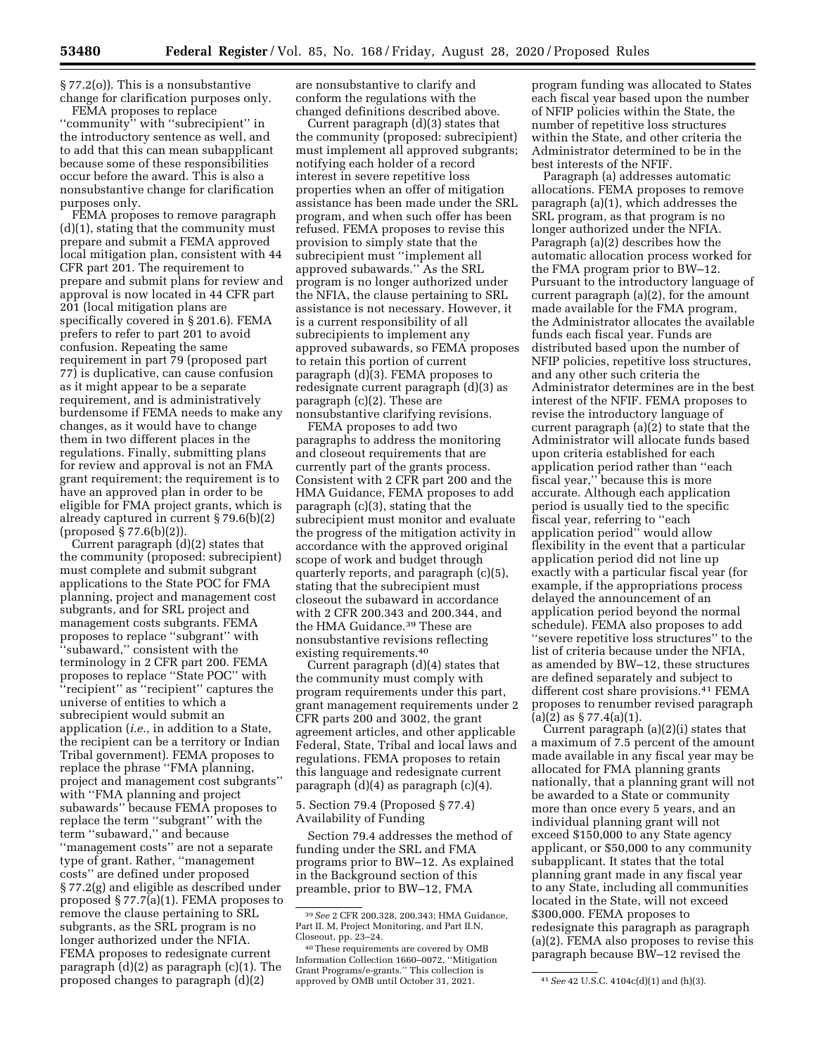§ 77.2(o)). This is a nonsubstantive change for clarification purposes only.

FEMA proposes to replace ''community'' with ''subrecipient'' in the introductory sentence as well, and to add that this can mean subapplicant because some of these responsibilities occur before the award. This is also a nonsubstantive change for clarification purposes only.

FEMA proposes to remove paragraph (d)(1), stating that the community must prepare and submit a FEMA approved local mitigation plan, consistent with 44 CFR part 201. The requirement to prepare and submit plans for review and approval is now located in 44 CFR part 201 (local mitigation plans are specifically covered in § 201.6). FEMA prefers to refer to part 201 to avoid confusion. Repeating the same requirement in part 79 (proposed part 77) is duplicative, can cause confusion as it might appear to be a separate requirement, and is administratively burdensome if FEMA needs to make any changes, as it would have to change them in two different places in the regulations. Finally, submitting plans for review and approval is not an FMA grant requirement; the requirement is to have an approved plan in order to be eligible for FMA project grants, which is already captured in current § 79.6(b)(2) (proposed § 77.6(b)(2)).

Current paragraph (d)(2) states that the community (proposed: subrecipient) must complete and submit subgrant applications to the State POC for FMA planning, project and management cost subgrants, and for SRL project and management costs subgrants. FEMA proposes to replace ''subgrant'' with ''subaward,'' consistent with the terminology in 2 CFR part 200. FEMA proposes to replace ''State POC'' with ''recipient'' as ''recipient'' captures the universe of entities to which a subrecipient would submit an application (*i.e.,* in addition to a State, the recipient can be a territory or Indian Tribal government). FEMA proposes to replace the phrase ''FMA planning, project and management cost subgrants'' with ''FMA planning and project subawards'' because FEMA proposes to replace the term ''subgrant'' with the term ''subaward,'' and because ''management costs'' are not a separate type of grant. Rather, ''management costs'' are defined under proposed § 77.2(g) and eligible as described under proposed § 77.7(a)(1). FEMA proposes to remove the clause pertaining to SRL subgrants, as the SRL program is no longer authorized under the NFIA. FEMA proposes to redesignate current paragraph (d)(2) as paragraph (c)(1). The proposed changes to paragraph (d)(2)

are nonsubstantive to clarify and conform the regulations with the changed definitions described above.

Current paragraph (d)(3) states that the community (proposed: subrecipient) must implement all approved subgrants; notifying each holder of a record interest in severe repetitive loss properties when an offer of mitigation assistance has been made under the SRL program, and when such offer has been refused. FEMA proposes to revise this provision to simply state that the subrecipient must ''implement all approved subawards.'' As the SRL program is no longer authorized under the NFIA, the clause pertaining to SRL assistance is not necessary. However, it is a current responsibility of all subrecipients to implement any approved subawards, so FEMA proposes to retain this portion of current paragraph (d)(3). FEMA proposes to redesignate current paragraph (d)(3) as paragraph (c)(2). These are nonsubstantive clarifying revisions.

FEMA proposes to add two paragraphs to address the monitoring and closeout requirements that are currently part of the grants process. Consistent with 2 CFR part 200 and the HMA Guidance, FEMA proposes to add paragraph (c)(3), stating that the subrecipient must monitor and evaluate the progress of the mitigation activity in accordance with the approved original scope of work and budget through quarterly reports, and paragraph (c)(5), stating that the subrecipient must closeout the subaward in accordance with 2 CFR 200.343 and 200.344, and the HMA Guidance.39 These are nonsubstantive revisions reflecting existing requirements.40

Current paragraph (d)(4) states that the community must comply with program requirements under this part, grant management requirements under 2 CFR parts 200 and 3002, the grant agreement articles, and other applicable Federal, State, Tribal and local laws and regulations. FEMA proposes to retain this language and redesignate current paragraph (d)(4) as paragraph (c)(4).

5. Section 79.4 (Proposed § 77.4) Availability of Funding

Section 79.4 addresses the method of funding under the SRL and FMA programs prior to BW–12. As explained in the Background section of this preamble, prior to BW–12, FMA

program funding was allocated to States each fiscal year based upon the number of NFIP policies within the State, the number of repetitive loss structures within the State, and other criteria the Administrator determined to be in the best interests of the NFIF.

Paragraph (a) addresses automatic allocations. FEMA proposes to remove paragraph (a)(1), which addresses the SRL program, as that program is no longer authorized under the NFIA. Paragraph (a)(2) describes how the automatic allocation process worked for the FMA program prior to BW–12. Pursuant to the introductory language of current paragraph (a)(2), for the amount made available for the FMA program, the Administrator allocates the available funds each fiscal year. Funds are distributed based upon the number of NFIP policies, repetitive loss structures, and any other such criteria the Administrator determines are in the best interest of the NFIF. FEMA proposes to revise the introductory language of current paragraph (a)(2) to state that the Administrator will allocate funds based upon criteria established for each application period rather than ''each fiscal year,'' because this is more accurate. Although each application period is usually tied to the specific fiscal year, referring to ''each application period'' would allow flexibility in the event that a particular application period did not line up exactly with a particular fiscal year (for example, if the appropriations process delayed the announcement of an application period beyond the normal schedule). FEMA also proposes to add ''severe repetitive loss structures'' to the list of criteria because under the NFIA, as amended by BW–12, these structures are defined separately and subject to different cost share provisions.41 FEMA proposes to renumber revised paragraph  $(a)(2)$  as § 77.4 $(a)(1)$ .

Current paragraph (a)(2)(i) states that a maximum of 7.5 percent of the amount made available in any fiscal year may be allocated for FMA planning grants nationally, that a planning grant will not be awarded to a State or community more than once every 5 years, and an individual planning grant will not exceed \$150,000 to any State agency applicant, or \$50,000 to any community subapplicant. It states that the total planning grant made in any fiscal year to any State, including all communities located in the State, will not exceed \$300,000. FEMA proposes to redesignate this paragraph as paragraph (a)(2). FEMA also proposes to revise this paragraph because BW–12 revised the

<sup>39</sup>*See* 2 CFR 200.328, 200.343; HMA Guidance, Part II. M, Project Monitoring, and Part II.N, Closeout, pp. 23–24.

<sup>40</sup>These requirements are covered by OMB Information Collection 1660–0072, ''Mitigation Grant Programs/e-grants.'' This collection is approved by OMB until October 31, 2021. 41*See* 42 U.S.C. 4104c(d)(1) and (h)(3).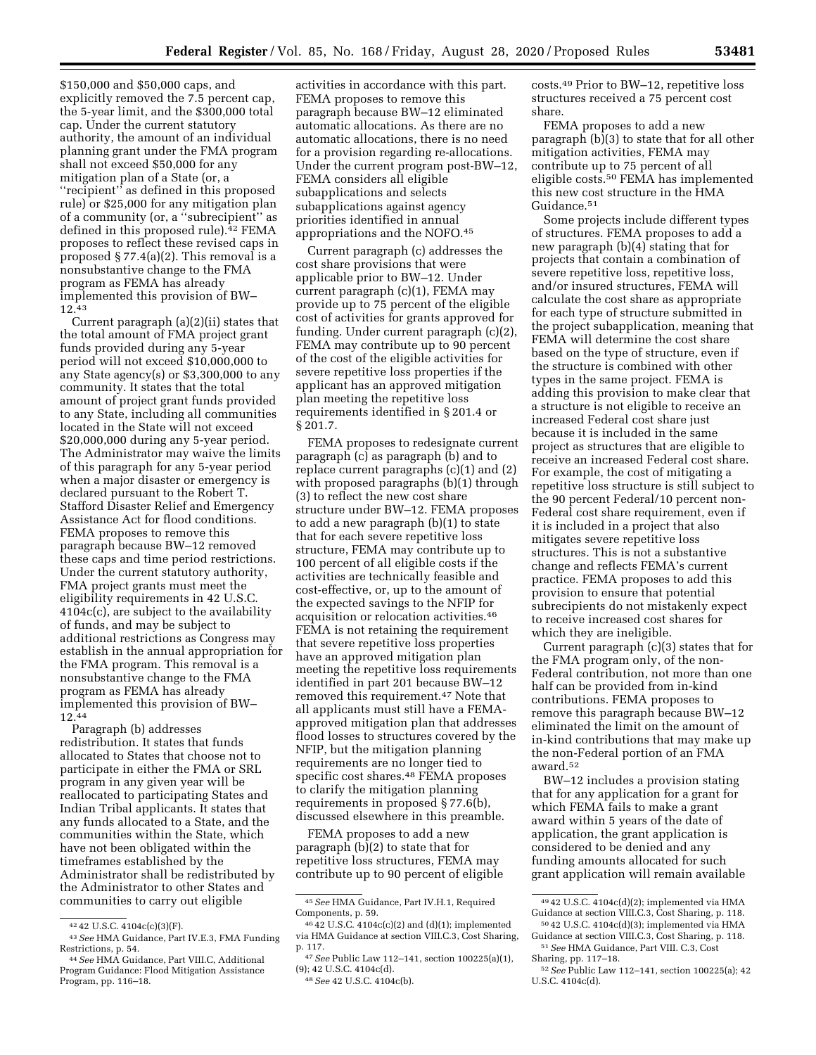costs.49 Prior to BW–12, repetitive loss structures received a 75 percent cost

share. FEMA proposes to add a new paragraph (b)(3) to state that for all other mitigation activities, FEMA may contribute up to 75 percent of all eligible costs.50 FEMA has implemented this new cost structure in the HMA Guidance.51

Some projects include different types of structures. FEMA proposes to add a new paragraph (b)(4) stating that for projects that contain a combination of severe repetitive loss, repetitive loss, and/or insured structures, FEMA will calculate the cost share as appropriate for each type of structure submitted in the project subapplication, meaning that FEMA will determine the cost share based on the type of structure, even if the structure is combined with other types in the same project. FEMA is adding this provision to make clear that a structure is not eligible to receive an increased Federal cost share just because it is included in the same project as structures that are eligible to receive an increased Federal cost share. For example, the cost of mitigating a repetitive loss structure is still subject to the 90 percent Federal/10 percent non-Federal cost share requirement, even if it is included in a project that also mitigates severe repetitive loss structures. This is not a substantive change and reflects FEMA's current practice. FEMA proposes to add this provision to ensure that potential subrecipients do not mistakenly expect to receive increased cost shares for which they are ineligible.

Current paragraph (c)(3) states that for the FMA program only, of the non-Federal contribution, not more than one half can be provided from in-kind contributions. FEMA proposes to remove this paragraph because BW–12 eliminated the limit on the amount of in-kind contributions that may make up the non-Federal portion of an FMA award.52

BW–12 includes a provision stating that for any application for a grant for which FEMA fails to make a grant award within 5 years of the date of application, the grant application is considered to be denied and any funding amounts allocated for such grant application will remain available

\$150,000 and \$50,000 caps, and explicitly removed the 7.5 percent cap, the 5-year limit, and the \$300,000 total cap. Under the current statutory authority, the amount of an individual planning grant under the FMA program shall not exceed \$50,000 for any mitigation plan of a State (or, a ''recipient'' as defined in this proposed rule) or \$25,000 for any mitigation plan of a community (or, a ''subrecipient'' as defined in this proposed rule).<sup>42</sup> FEMA proposes to reflect these revised caps in proposed § 77.4(a)(2). This removal is a nonsubstantive change to the FMA program as FEMA has already implemented this provision of BW– 12.43

Current paragraph (a)(2)(ii) states that the total amount of FMA project grant funds provided during any 5-year period will not exceed \$10,000,000 to any State agency(s) or \$3,300,000 to any community. It states that the total amount of project grant funds provided to any State, including all communities located in the State will not exceed \$20,000,000 during any 5-year period. The Administrator may waive the limits of this paragraph for any 5-year period when a major disaster or emergency is declared pursuant to the Robert T. Stafford Disaster Relief and Emergency Assistance Act for flood conditions. FEMA proposes to remove this paragraph because BW–12 removed these caps and time period restrictions. Under the current statutory authority, FMA project grants must meet the eligibility requirements in 42 U.S.C. 4104c(c), are subject to the availability of funds, and may be subject to additional restrictions as Congress may establish in the annual appropriation for the FMA program. This removal is a nonsubstantive change to the FMA program as FEMA has already implemented this provision of BW– 12.44

Paragraph (b) addresses redistribution. It states that funds allocated to States that choose not to participate in either the FMA or SRL program in any given year will be reallocated to participating States and Indian Tribal applicants. It states that any funds allocated to a State, and the communities within the State, which have not been obligated within the timeframes established by the Administrator shall be redistributed by the Administrator to other States and communities to carry out eligible

activities in accordance with this part. FEMA proposes to remove this paragraph because BW–12 eliminated automatic allocations. As there are no automatic allocations, there is no need for a provision regarding re-allocations. Under the current program post-BW–12, FEMA considers all eligible subapplications and selects subapplications against agency priorities identified in annual appropriations and the NOFO.45

Current paragraph (c) addresses the cost share provisions that were applicable prior to BW–12. Under current paragraph (c)(1), FEMA may provide up to 75 percent of the eligible cost of activities for grants approved for funding. Under current paragraph (c)(2), FEMA may contribute up to 90 percent of the cost of the eligible activities for severe repetitive loss properties if the applicant has an approved mitigation plan meeting the repetitive loss requirements identified in § 201.4 or § 201.7.

FEMA proposes to redesignate current paragraph (c) as paragraph (b) and to replace current paragraphs (c)(1) and (2) with proposed paragraphs (b)(1) through (3) to reflect the new cost share structure under BW–12. FEMA proposes to add a new paragraph (b)(1) to state that for each severe repetitive loss structure, FEMA may contribute up to 100 percent of all eligible costs if the activities are technically feasible and cost-effective, or, up to the amount of the expected savings to the NFIP for acquisition or relocation activities.46 FEMA is not retaining the requirement that severe repetitive loss properties have an approved mitigation plan meeting the repetitive loss requirements identified in part 201 because BW–12 removed this requirement.47 Note that all applicants must still have a FEMAapproved mitigation plan that addresses flood losses to structures covered by the NFIP, but the mitigation planning requirements are no longer tied to specific cost shares.48 FEMA proposes to clarify the mitigation planning requirements in proposed § 77.6(b), discussed elsewhere in this preamble.

FEMA proposes to add a new paragraph (b)(2) to state that for repetitive loss structures, FEMA may contribute up to 90 percent of eligible

<sup>49</sup> 42 U.S.C. 4104c(d)(2); implemented via HMA Guidance at section VIII.C.3, Cost Sharing, p. 118.

<sup>50</sup> 42 U.S.C. 4104c(d)(3); implemented via HMA Guidance at section VIII.C.3, Cost Sharing, p. 118. 51*See* HMA Guidance, Part VIII. C.3, Cost

Sharing, pp. 117–18. 52*See* Public Law 112–141, section 100225(a); 42

U.S.C. 4104c(d).

<sup>42</sup> 42 U.S.C. 4104c(c)(3)(F). 43*See* HMA Guidance, Part IV.E.3, FMA Funding

<sup>&</sup>lt;sup>44</sup> See HMA Guidance, Part VIII.C, Additional Program Guidance: Flood Mitigation Assistance Program, pp. 116–18.

<sup>45</sup>*See* HMA Guidance, Part IV.H.1, Required Components, p. 59.

<sup>46</sup> 42 U.S.C. 4104c(c)(2) and (d)(1); implemented via HMA Guidance at section VIII.C.3, Cost Sharing, p. 117.

<sup>47</sup>*See* Public Law 112–141, section 100225(a)(1), (9); 42 U.S.C. 4104c(d).

<sup>48</sup>*See* 42 U.S.C. 4104c(b).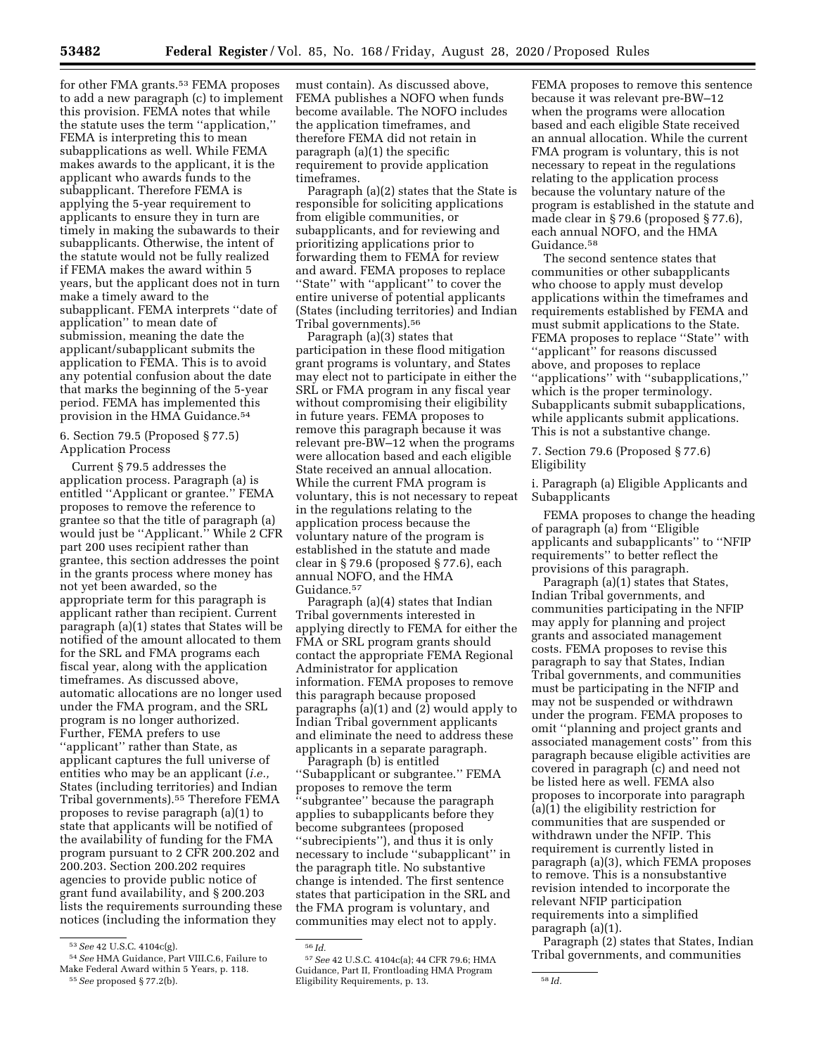for other FMA grants.<sup>53</sup> FEMA proposes to add a new paragraph (c) to implement this provision. FEMA notes that while the statute uses the term ''application,'' FEMA is interpreting this to mean subapplications as well. While FEMA makes awards to the applicant, it is the applicant who awards funds to the subapplicant. Therefore FEMA is applying the 5-year requirement to applicants to ensure they in turn are timely in making the subawards to their subapplicants. Otherwise, the intent of the statute would not be fully realized if FEMA makes the award within 5 years, but the applicant does not in turn make a timely award to the subapplicant. FEMA interprets ''date of application'' to mean date of submission, meaning the date the applicant/subapplicant submits the application to FEMA. This is to avoid any potential confusion about the date that marks the beginning of the 5-year period. FEMA has implemented this provision in the HMA Guidance.54

## 6. Section 79.5 (Proposed § 77.5) Application Process

Current § 79.5 addresses the application process. Paragraph (a) is entitled ''Applicant or grantee.'' FEMA proposes to remove the reference to grantee so that the title of paragraph (a) would just be ''Applicant.'' While 2 CFR part 200 uses recipient rather than grantee, this section addresses the point in the grants process where money has not yet been awarded, so the appropriate term for this paragraph is applicant rather than recipient. Current paragraph (a)(1) states that States will be notified of the amount allocated to them for the SRL and FMA programs each fiscal year, along with the application timeframes. As discussed above, automatic allocations are no longer used under the FMA program, and the SRL program is no longer authorized. Further, FEMA prefers to use ''applicant'' rather than State, as applicant captures the full universe of entities who may be an applicant (*i.e.,*  States (including territories) and Indian Tribal governments).55 Therefore FEMA proposes to revise paragraph (a)(1) to state that applicants will be notified of the availability of funding for the FMA program pursuant to 2 CFR 200.202 and 200.203. Section 200.202 requires agencies to provide public notice of grant fund availability, and § 200.203 lists the requirements surrounding these notices (including the information they

must contain). As discussed above, FEMA publishes a NOFO when funds become available. The NOFO includes the application timeframes, and therefore FEMA did not retain in paragraph (a)(1) the specific requirement to provide application timeframes.

Paragraph (a)(2) states that the State is responsible for soliciting applications from eligible communities, or subapplicants, and for reviewing and prioritizing applications prior to forwarding them to FEMA for review and award. FEMA proposes to replace ''State'' with ''applicant'' to cover the entire universe of potential applicants (States (including territories) and Indian Tribal governments).56

Paragraph (a)(3) states that participation in these flood mitigation grant programs is voluntary, and States may elect not to participate in either the SRL or FMA program in any fiscal year without compromising their eligibility in future years. FEMA proposes to remove this paragraph because it was relevant pre-BW–12 when the programs were allocation based and each eligible State received an annual allocation. While the current FMA program is voluntary, this is not necessary to repeat in the regulations relating to the application process because the voluntary nature of the program is established in the statute and made clear in § 79.6 (proposed § 77.6), each annual NOFO, and the HMA Guidance.<sup>57</sup>

Paragraph (a)(4) states that Indian Tribal governments interested in applying directly to FEMA for either the FMA or SRL program grants should contact the appropriate FEMA Regional Administrator for application information. FEMA proposes to remove this paragraph because proposed paragraphs (a)(1) and (2) would apply to Indian Tribal government applicants and eliminate the need to address these applicants in a separate paragraph.

Paragraph (b) is entitled ''Subapplicant or subgrantee.'' FEMA proposes to remove the term ''subgrantee'' because the paragraph applies to subapplicants before they become subgrantees (proposed ''subrecipients''), and thus it is only necessary to include ''subapplicant'' in the paragraph title. No substantive change is intended. The first sentence states that participation in the SRL and the FMA program is voluntary, and communities may elect not to apply.

FEMA proposes to remove this sentence because it was relevant pre-BW–12 when the programs were allocation based and each eligible State received an annual allocation. While the current FMA program is voluntary, this is not necessary to repeat in the regulations relating to the application process because the voluntary nature of the program is established in the statute and made clear in § 79.6 (proposed § 77.6), each annual NOFO, and the HMA Guidance.58

The second sentence states that communities or other subapplicants who choose to apply must develop applications within the timeframes and requirements established by FEMA and must submit applications to the State. FEMA proposes to replace "State" with ''applicant'' for reasons discussed above, and proposes to replace ''applications'' with ''subapplications,'' which is the proper terminology. Subapplicants submit subapplications, while applicants submit applications. This is not a substantive change.

## 7. Section 79.6 (Proposed § 77.6) Eligibility

i. Paragraph (a) Eligible Applicants and Subapplicants

FEMA proposes to change the heading of paragraph (a) from ''Eligible applicants and subapplicants'' to ''NFIP requirements'' to better reflect the provisions of this paragraph.

Paragraph (a)(1) states that States, Indian Tribal governments, and communities participating in the NFIP may apply for planning and project grants and associated management costs. FEMA proposes to revise this paragraph to say that States, Indian Tribal governments, and communities must be participating in the NFIP and may not be suspended or withdrawn under the program. FEMA proposes to omit ''planning and project grants and associated management costs'' from this paragraph because eligible activities are covered in paragraph (c) and need not be listed here as well. FEMA also proposes to incorporate into paragraph (a)(1) the eligibility restriction for communities that are suspended or withdrawn under the NFIP. This requirement is currently listed in paragraph (a)(3), which FEMA proposes to remove. This is a nonsubstantive revision intended to incorporate the relevant NFIP participation requirements into a simplified paragraph (a)(1).

Paragraph (2) states that States, Indian Tribal governments, and communities

<sup>53</sup>*See* 42 U.S.C. 4104c(g).

<sup>54</sup>*See* HMA Guidance, Part VIII.C.6, Failure to Make Federal Award within 5 Years, p. 118. 55*See* proposed § 77.2(b).

<sup>56</sup> *Id.*  57*See* 42 U.S.C. 4104c(a); 44 CFR 79.6; HMA Guidance, Part II, Frontloading HMA Program Eligibility Requirements, p. 13. 58 *Id.*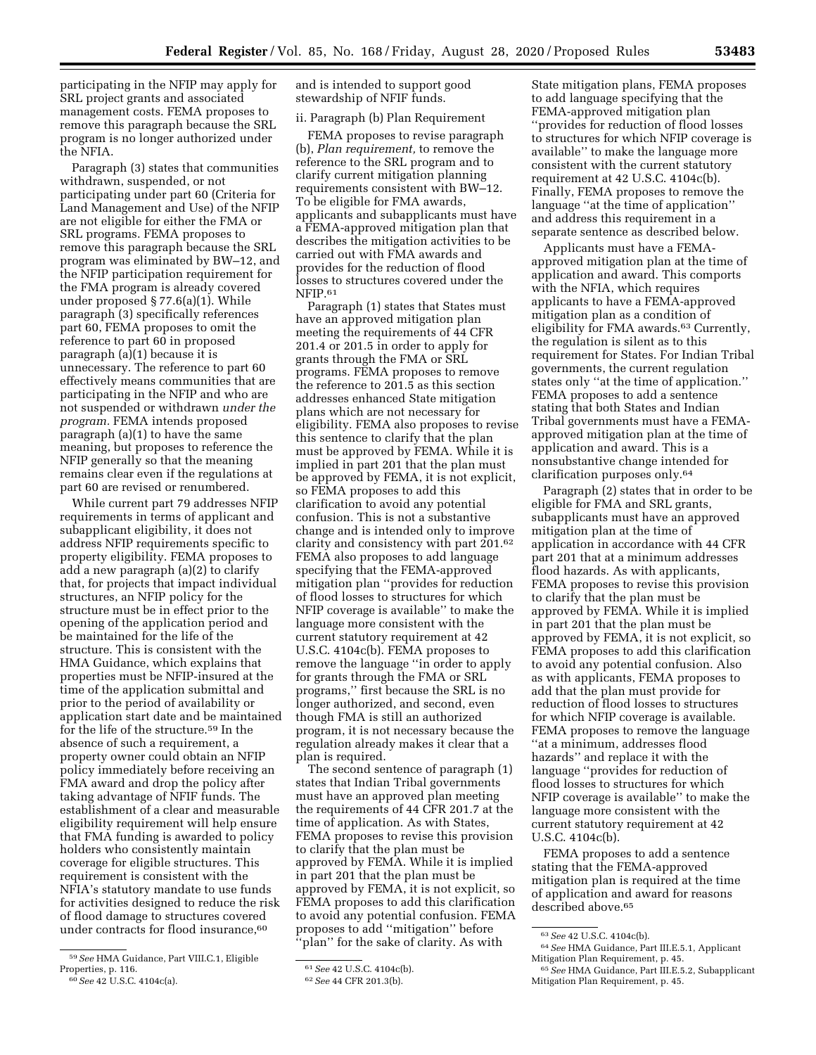participating in the NFIP may apply for SRL project grants and associated management costs. FEMA proposes to remove this paragraph because the SRL program is no longer authorized under the NFIA.

Paragraph (3) states that communities withdrawn, suspended, or not participating under part 60 (Criteria for Land Management and Use) of the NFIP are not eligible for either the FMA or SRL programs. FEMA proposes to remove this paragraph because the SRL program was eliminated by BW–12, and the NFIP participation requirement for the FMA program is already covered under proposed § 77.6(a)(1). While paragraph (3) specifically references part 60, FEMA proposes to omit the reference to part 60 in proposed paragraph (a)(1) because it is unnecessary. The reference to part 60 effectively means communities that are participating in the NFIP and who are not suspended or withdrawn *under the program.* FEMA intends proposed paragraph (a)(1) to have the same meaning, but proposes to reference the NFIP generally so that the meaning remains clear even if the regulations at part 60 are revised or renumbered.

While current part 79 addresses NFIP requirements in terms of applicant and subapplicant eligibility, it does not address NFIP requirements specific to property eligibility. FEMA proposes to add a new paragraph (a)(2) to clarify that, for projects that impact individual structures, an NFIP policy for the structure must be in effect prior to the opening of the application period and be maintained for the life of the structure. This is consistent with the HMA Guidance, which explains that properties must be NFIP-insured at the time of the application submittal and prior to the period of availability or application start date and be maintained for the life of the structure.59 In the absence of such a requirement, a property owner could obtain an NFIP policy immediately before receiving an FMA award and drop the policy after taking advantage of NFIF funds. The establishment of a clear and measurable eligibility requirement will help ensure that FMA funding is awarded to policy holders who consistently maintain coverage for eligible structures. This requirement is consistent with the NFIA's statutory mandate to use funds for activities designed to reduce the risk of flood damage to structures covered under contracts for flood insurance,<sup>60</sup>

60*See* 42 U.S.C. 4104c(a).

and is intended to support good stewardship of NFIF funds.

#### ii. Paragraph (b) Plan Requirement

FEMA proposes to revise paragraph (b), *Plan requirement,* to remove the reference to the SRL program and to clarify current mitigation planning requirements consistent with BW–12. To be eligible for FMA awards, applicants and subapplicants must have a FEMA-approved mitigation plan that describes the mitigation activities to be carried out with FMA awards and provides for the reduction of flood losses to structures covered under the NFIP.<sup>61</sup>

Paragraph (1) states that States must have an approved mitigation plan meeting the requirements of 44 CFR 201.4 or 201.5 in order to apply for grants through the FMA or SRL programs. FEMA proposes to remove the reference to 201.5 as this section addresses enhanced State mitigation plans which are not necessary for eligibility. FEMA also proposes to revise this sentence to clarify that the plan must be approved by FEMA. While it is implied in part 201 that the plan must be approved by FEMA, it is not explicit, so FEMA proposes to add this clarification to avoid any potential confusion. This is not a substantive change and is intended only to improve clarity and consistency with part 201.62 FEMA also proposes to add language specifying that the FEMA-approved mitigation plan ''provides for reduction of flood losses to structures for which NFIP coverage is available'' to make the language more consistent with the current statutory requirement at 42 U.S.C. 4104c(b). FEMA proposes to remove the language ''in order to apply for grants through the FMA or SRL programs,'' first because the SRL is no longer authorized, and second, even though FMA is still an authorized program, it is not necessary because the regulation already makes it clear that a plan is required.

The second sentence of paragraph (1) states that Indian Tribal governments must have an approved plan meeting the requirements of 44 CFR 201.7 at the time of application. As with States, FEMA proposes to revise this provision to clarify that the plan must be approved by FEMA. While it is implied in part 201 that the plan must be approved by FEMA, it is not explicit, so FEMA proposes to add this clarification to avoid any potential confusion. FEMA proposes to add ''mitigation'' before 'plan'' for the sake of clarity. As with

State mitigation plans, FEMA proposes to add language specifying that the FEMA-approved mitigation plan ''provides for reduction of flood losses to structures for which NFIP coverage is available'' to make the language more consistent with the current statutory requirement at 42 U.S.C. 4104c(b). Finally, FEMA proposes to remove the language ''at the time of application'' and address this requirement in a separate sentence as described below.

Applicants must have a FEMAapproved mitigation plan at the time of application and award. This comports with the NFIA, which requires applicants to have a FEMA-approved mitigation plan as a condition of eligibility for FMA awards.63 Currently, the regulation is silent as to this requirement for States. For Indian Tribal governments, the current regulation states only ''at the time of application.'' FEMA proposes to add a sentence stating that both States and Indian Tribal governments must have a FEMAapproved mitigation plan at the time of application and award. This is a nonsubstantive change intended for clarification purposes only.64

Paragraph (2) states that in order to be eligible for FMA and SRL grants, subapplicants must have an approved mitigation plan at the time of application in accordance with 44 CFR part 201 that at a minimum addresses flood hazards. As with applicants, FEMA proposes to revise this provision to clarify that the plan must be approved by FEMA. While it is implied in part 201 that the plan must be approved by FEMA, it is not explicit, so FEMA proposes to add this clarification to avoid any potential confusion. Also as with applicants, FEMA proposes to add that the plan must provide for reduction of flood losses to structures for which NFIP coverage is available. FEMA proposes to remove the language ''at a minimum, addresses flood hazards'' and replace it with the language ''provides for reduction of flood losses to structures for which NFIP coverage is available'' to make the language more consistent with the current statutory requirement at 42 U.S.C. 4104c(b).

FEMA proposes to add a sentence stating that the FEMA-approved mitigation plan is required at the time of application and award for reasons described above.<sup>65</sup>

<sup>59</sup>*See* HMA Guidance, Part VIII.C.1, Eligible Properties, p. 116.

<sup>61</sup>*See* 42 U.S.C. 4104c(b).

<sup>62</sup>*See* 44 CFR 201.3(b).

<sup>63</sup>*See* 42 U.S.C. 4104c(b).

<sup>64</sup>*See* HMA Guidance, Part III.E.5.1, Applicant Mitigation Plan Requirement, p. 45.

<sup>65</sup>*See* HMA Guidance, Part III.E.5.2, Subapplicant Mitigation Plan Requirement, p. 45.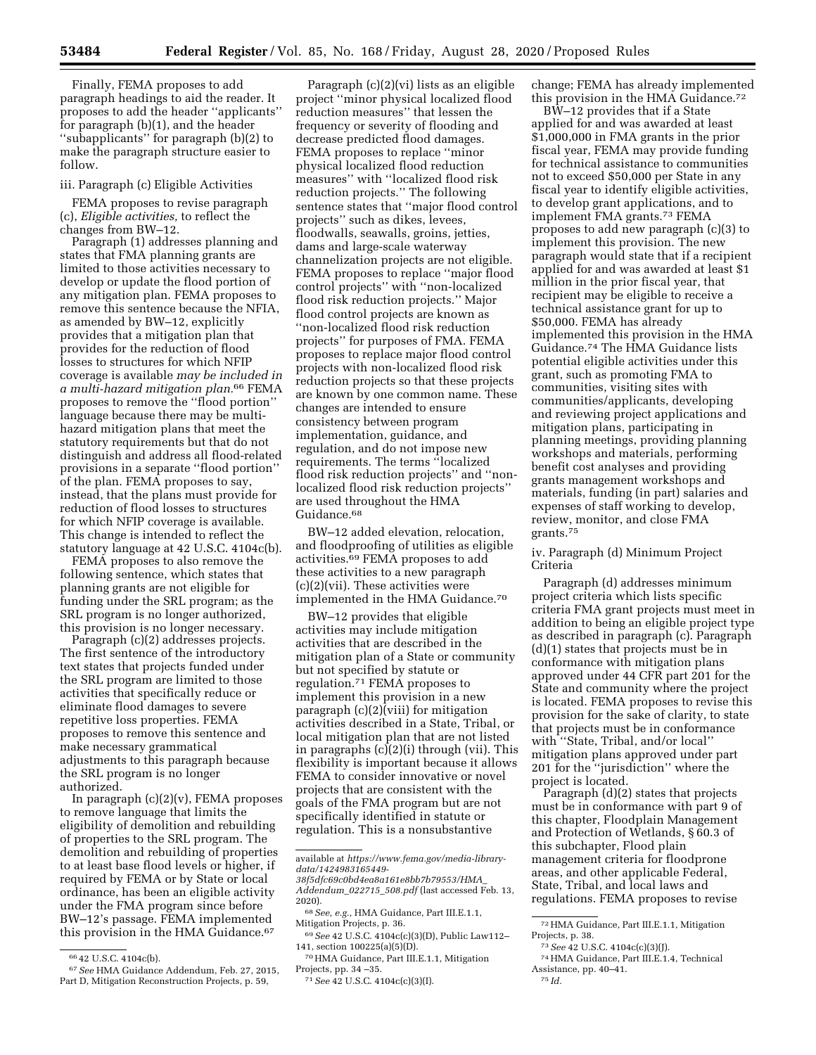Finally, FEMA proposes to add paragraph headings to aid the reader. It proposes to add the header ''applicants'' for paragraph (b)(1), and the header ''subapplicants'' for paragraph (b)(2) to make the paragraph structure easier to follow.

#### iii. Paragraph (c) Eligible Activities

FEMA proposes to revise paragraph (c), *Eligible activities,* to reflect the changes from BW–12.

Paragraph (1) addresses planning and states that FMA planning grants are limited to those activities necessary to develop or update the flood portion of any mitigation plan. FEMA proposes to remove this sentence because the NFIA, as amended by BW–12, explicitly provides that a mitigation plan that provides for the reduction of flood losses to structures for which NFIP coverage is available *may be included in a multi-hazard mitigation plan.*66 FEMA proposes to remove the ''flood portion'' language because there may be multihazard mitigation plans that meet the statutory requirements but that do not distinguish and address all flood-related provisions in a separate ''flood portion'' of the plan. FEMA proposes to say, instead, that the plans must provide for reduction of flood losses to structures for which NFIP coverage is available. This change is intended to reflect the statutory language at 42 U.S.C. 4104c(b).

FEMA proposes to also remove the following sentence, which states that planning grants are not eligible for funding under the SRL program; as the SRL program is no longer authorized, this provision is no longer necessary.

Paragraph (c)(2) addresses projects. The first sentence of the introductory text states that projects funded under the SRL program are limited to those activities that specifically reduce or eliminate flood damages to severe repetitive loss properties. FEMA proposes to remove this sentence and make necessary grammatical adjustments to this paragraph because the SRL program is no longer authorized.

In paragraph  $(c)(2)(v)$ , FEMA proposes to remove language that limits the eligibility of demolition and rebuilding of properties to the SRL program. The demolition and rebuilding of properties to at least base flood levels or higher, if required by FEMA or by State or local ordinance, has been an eligible activity under the FMA program since before BW–12's passage. FEMA implemented this provision in the HMA Guidance.<sup>67</sup>

Paragraph (c)(2)(vi) lists as an eligible project ''minor physical localized flood reduction measures'' that lessen the frequency or severity of flooding and decrease predicted flood damages. FEMA proposes to replace ''minor physical localized flood reduction measures'' with ''localized flood risk reduction projects.'' The following sentence states that ''major flood control projects'' such as dikes, levees, floodwalls, seawalls, groins, jetties, dams and large-scale waterway channelization projects are not eligible. FEMA proposes to replace ''major flood control projects'' with ''non-localized flood risk reduction projects.'' Major flood control projects are known as ''non-localized flood risk reduction projects'' for purposes of FMA. FEMA proposes to replace major flood control projects with non-localized flood risk reduction projects so that these projects are known by one common name. These changes are intended to ensure consistency between program implementation, guidance, and regulation, and do not impose new requirements. The terms ''localized flood risk reduction projects'' and ''nonlocalized flood risk reduction projects'' are used throughout the HMA Guidance.68

BW–12 added elevation, relocation, and floodproofing of utilities as eligible activities.69 FEMA proposes to add these activities to a new paragraph (c)(2)(vii). These activities were implemented in the HMA Guidance.70

BW–12 provides that eligible activities may include mitigation activities that are described in the mitigation plan of a State or community but not specified by statute or regulation.71 FEMA proposes to implement this provision in a new paragraph  $(c)(2)$ (viii) for mitigation activities described in a State, Tribal, or local mitigation plan that are not listed in paragraphs (c)(2)(i) through (vii). This flexibility is important because it allows FEMA to consider innovative or novel projects that are consistent with the goals of the FMA program but are not specifically identified in statute or regulation. This is a nonsubstantive

change; FEMA has already implemented this provision in the HMA Guidance.72

BW–12 provides that if a State applied for and was awarded at least \$1,000,000 in FMA grants in the prior fiscal year, FEMA may provide funding for technical assistance to communities not to exceed \$50,000 per State in any fiscal year to identify eligible activities, to develop grant applications, and to implement FMA grants.73 FEMA proposes to add new paragraph (c)(3) to implement this provision. The new paragraph would state that if a recipient applied for and was awarded at least \$1 million in the prior fiscal year, that recipient may be eligible to receive a technical assistance grant for up to \$50,000. FEMA has already implemented this provision in the HMA Guidance.74 The HMA Guidance lists potential eligible activities under this grant, such as promoting FMA to communities, visiting sites with communities/applicants, developing and reviewing project applications and mitigation plans, participating in planning meetings, providing planning workshops and materials, performing benefit cost analyses and providing grants management workshops and materials, funding (in part) salaries and expenses of staff working to develop, review, monitor, and close FMA grants.75

iv. Paragraph (d) Minimum Project Criteria

Paragraph (d) addresses minimum project criteria which lists specific criteria FMA grant projects must meet in addition to being an eligible project type as described in paragraph (c). Paragraph (d)(1) states that projects must be in conformance with mitigation plans approved under 44 CFR part 201 for the State and community where the project is located. FEMA proposes to revise this provision for the sake of clarity, to state that projects must be in conformance with ''State, Tribal, and/or local'' mitigation plans approved under part 201 for the ''jurisdiction'' where the project is located.

Paragraph (d)(2) states that projects must be in conformance with part 9 of this chapter, Floodplain Management and Protection of Wetlands, § 60.3 of this subchapter, Flood plain management criteria for floodprone areas, and other applicable Federal, State, Tribal, and local laws and regulations. FEMA proposes to revise

<sup>66</sup> 42 U.S.C. 4104c(b).

<sup>67</sup>*See* HMA Guidance Addendum, Feb. 27, 2015, Part D, Mitigation Reconstruction Projects, p. 59,

available at *[https://www.fema.gov/media-library](https://www.fema.gov/media-library-data/1424983165449-38f5dfc69c0bd4ea8a161e8bb7b79553/HMA_Addendum_022715_508.pdf)[data/1424983165449-](https://www.fema.gov/media-library-data/1424983165449-38f5dfc69c0bd4ea8a161e8bb7b79553/HMA_Addendum_022715_508.pdf) [38f5dfc69c0bd4ea8a161e8bb7b79553/HMA](https://www.fema.gov/media-library-data/1424983165449-38f5dfc69c0bd4ea8a161e8bb7b79553/HMA_Addendum_022715_508.pdf)*\_

*[Addendum](https://www.fema.gov/media-library-data/1424983165449-38f5dfc69c0bd4ea8a161e8bb7b79553/HMA_Addendum_022715_508.pdf)*\_*022715*\_*508.pdf* (last accessed Feb. 13, 2020).

<sup>68</sup>*See, e.g.,* HMA Guidance, Part III.E.1.1, Mitigation Projects, p. 36.

<sup>69</sup>*See* 42 U.S.C. 4104c(c)(3)(D), Public Law112– 141, section 100225(a)(5)(D).

<sup>70</sup>HMA Guidance, Part III.E.1.1, Mitigation Projects, pp. 34 –35.

<sup>71</sup>*See* 42 U.S.C. 4104c(c)(3)(I).

<sup>72</sup>HMA Guidance, Part III.E.1.1, Mitigation

<sup>&</sup>lt;sup>73</sup> See 42 U.S.C. 4104c(c)(3)(J).<br><sup>74</sup> HMA Guidance, Part III.E.1.4, Technical Assistance, pp. 40–41. 75 *Id.*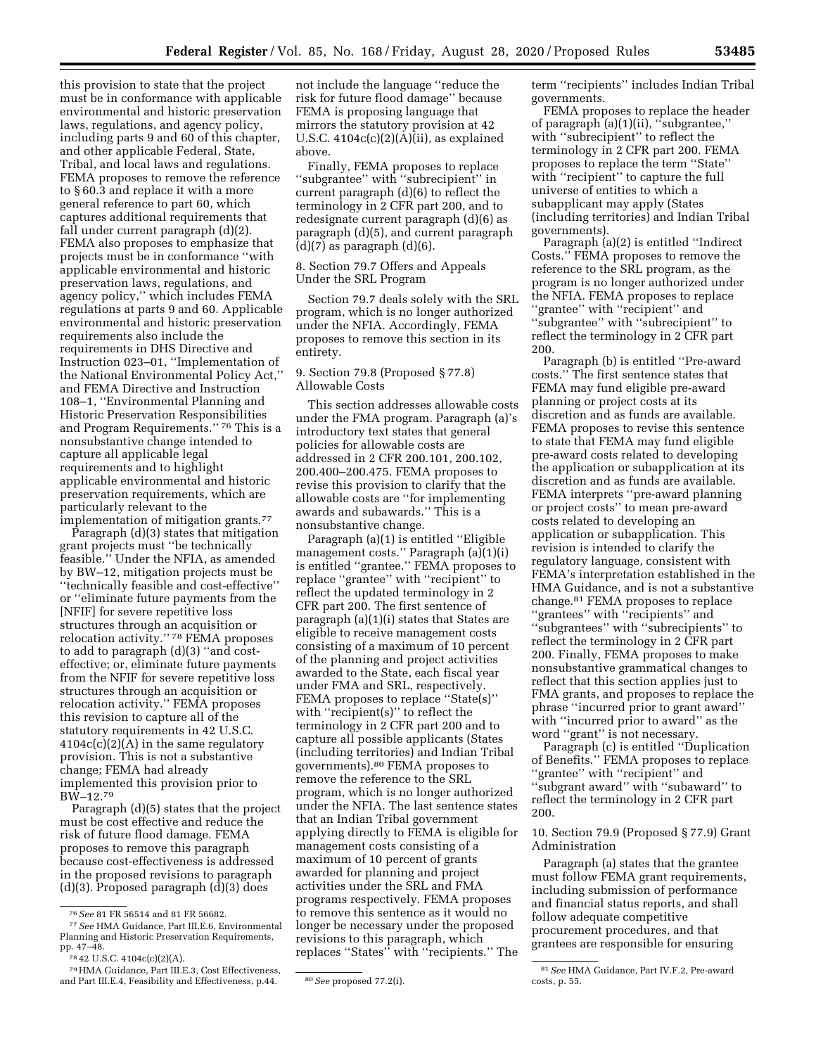this provision to state that the project must be in conformance with applicable environmental and historic preservation laws, regulations, and agency policy, including parts 9 and 60 of this chapter, and other applicable Federal, State, Tribal, and local laws and regulations. FEMA proposes to remove the reference to § 60.3 and replace it with a more general reference to part 60, which captures additional requirements that fall under current paragraph (d)(2). FEMA also proposes to emphasize that projects must be in conformance ''with applicable environmental and historic preservation laws, regulations, and agency policy,'' which includes FEMA regulations at parts 9 and 60. Applicable environmental and historic preservation requirements also include the requirements in DHS Directive and Instruction 023–01, ''Implementation of the National Environmental Policy Act,'' and FEMA Directive and Instruction 108–1, ''Environmental Planning and Historic Preservation Responsibilities and Program Requirements.'' 76 This is a nonsubstantive change intended to capture all applicable legal requirements and to highlight applicable environmental and historic preservation requirements, which are particularly relevant to the

implementation of mitigation grants.77 Paragraph (d)(3) states that mitigation grant projects must ''be technically feasible.'' Under the NFIA, as amended by BW–12, mitigation projects must be ''technically feasible and cost-effective'' or ''eliminate future payments from the [NFIF] for severe repetitive loss structures through an acquisition or relocation activity.'' 78 FEMA proposes to add to paragraph (d)(3) ''and costeffective; or, eliminate future payments from the NFIF for severe repetitive loss structures through an acquisition or relocation activity.'' FEMA proposes this revision to capture all of the statutory requirements in 42 U.S.C.  $4104c(c)(2)(A)$  in the same regulatory provision. This is not a substantive change; FEMA had already implemented this provision prior to BW–12.79

Paragraph (d)(5) states that the project must be cost effective and reduce the risk of future flood damage. FEMA proposes to remove this paragraph because cost-effectiveness is addressed in the proposed revisions to paragraph (d)(3). Proposed paragraph (d)(3) does

not include the language ''reduce the risk for future flood damage'' because FEMA is proposing language that mirrors the statutory provision at 42 U.S.C. 4104c(c)(2)(A)(ii), as explained above.

Finally, FEMA proposes to replace ''subgrantee'' with ''subrecipient'' in current paragraph (d)(6) to reflect the terminology in 2 CFR part 200, and to redesignate current paragraph (d)(6) as paragraph (d)(5), and current paragraph  $(d)(7)$  as paragraph  $(d)(6)$ .

8. Section 79.7 Offers and Appeals Under the SRL Program

Section 79.7 deals solely with the SRL program, which is no longer authorized under the NFIA. Accordingly, FEMA proposes to remove this section in its entirety.

# 9. Section 79.8 (Proposed § 77.8) Allowable Costs

This section addresses allowable costs under the FMA program. Paragraph (a)'s introductory text states that general policies for allowable costs are addressed in 2 CFR 200.101, 200.102, 200.400–200.475. FEMA proposes to revise this provision to clarify that the allowable costs are ''for implementing awards and subawards.'' This is a nonsubstantive change.

Paragraph (a)(1) is entitled ''Eligible management costs.'' Paragraph (a)(1)(i) is entitled ''grantee.'' FEMA proposes to replace ''grantee'' with ''recipient'' to reflect the updated terminology in 2 CFR part 200. The first sentence of paragraph (a)(1)(i) states that States are eligible to receive management costs consisting of a maximum of 10 percent of the planning and project activities awarded to the State, each fiscal year under FMA and SRL, respectively. FEMA proposes to replace "State(s)" with "recipient(s)" to reflect the terminology in 2 CFR part 200 and to capture all possible applicants (States (including territories) and Indian Tribal governments).80 FEMA proposes to remove the reference to the SRL program, which is no longer authorized under the NFIA. The last sentence states that an Indian Tribal government applying directly to FEMA is eligible for management costs consisting of a maximum of 10 percent of grants awarded for planning and project activities under the SRL and FMA programs respectively. FEMA proposes to remove this sentence as it would no longer be necessary under the proposed revisions to this paragraph, which replaces ''States'' with ''recipients.'' The

term ''recipients'' includes Indian Tribal governments.

FEMA proposes to replace the header of paragraph (a)(1)(ii), ''subgrantee,'' with ''subrecipient'' to reflect the terminology in 2 CFR part 200. FEMA proposes to replace the term ''State'' with "recipient" to capture the full universe of entities to which a subapplicant may apply (States (including territories) and Indian Tribal governments).

Paragraph (a)(2) is entitled ''Indirect Costs.'' FEMA proposes to remove the reference to the SRL program, as the program is no longer authorized under the NFIA. FEMA proposes to replace ''grantee'' with ''recipient'' and ''subgrantee'' with ''subrecipient'' to reflect the terminology in 2 CFR part 200.

Paragraph (b) is entitled ''Pre-award costs.'' The first sentence states that FEMA may fund eligible pre-award planning or project costs at its discretion and as funds are available. FEMA proposes to revise this sentence to state that FEMA may fund eligible pre-award costs related to developing the application or subapplication at its discretion and as funds are available. FEMA interprets ''pre-award planning or project costs'' to mean pre-award costs related to developing an application or subapplication. This revision is intended to clarify the regulatory language, consistent with FEMA's interpretation established in the HMA Guidance, and is not a substantive change.81 FEMA proposes to replace ''grantees'' with ''recipients'' and ''subgrantees'' with ''subrecipients'' to reflect the terminology in 2 CFR part 200. Finally, FEMA proposes to make nonsubstantive grammatical changes to reflect that this section applies just to FMA grants, and proposes to replace the phrase ''incurred prior to grant award'' with "incurred prior to award" as the word ''grant'' is not necessary.

Paragraph (c) is entitled ''Duplication of Benefits.'' FEMA proposes to replace ''grantee'' with ''recipient'' and ''subgrant award'' with ''subaward'' to reflect the terminology in 2 CFR part 200.

10. Section 79.9 (Proposed § 77.9) Grant Administration

Paragraph (a) states that the grantee must follow FEMA grant requirements, including submission of performance and financial status reports, and shall follow adequate competitive procurement procedures, and that grantees are responsible for ensuring

<sup>76</sup>*See* 81 FR 56514 and 81 FR 56682. 77*See* HMA Guidance, Part III.E.6, Environmental

Planning and Historic Preservation Requirements,

pp. 47–48. 78 42 U.S.C. 4104c(c)(2)(A).

<sup>79</sup>HMA Guidance, Part III.E.3, Cost Effectiveness, and Part III.E.4, Feasibility and Effectiveness, p.44. <sup>80</sup> See proposed 77.2(i).

<sup>81</sup>*See* HMA Guidance, Part IV.F.2, Pre-award costs, p. 55.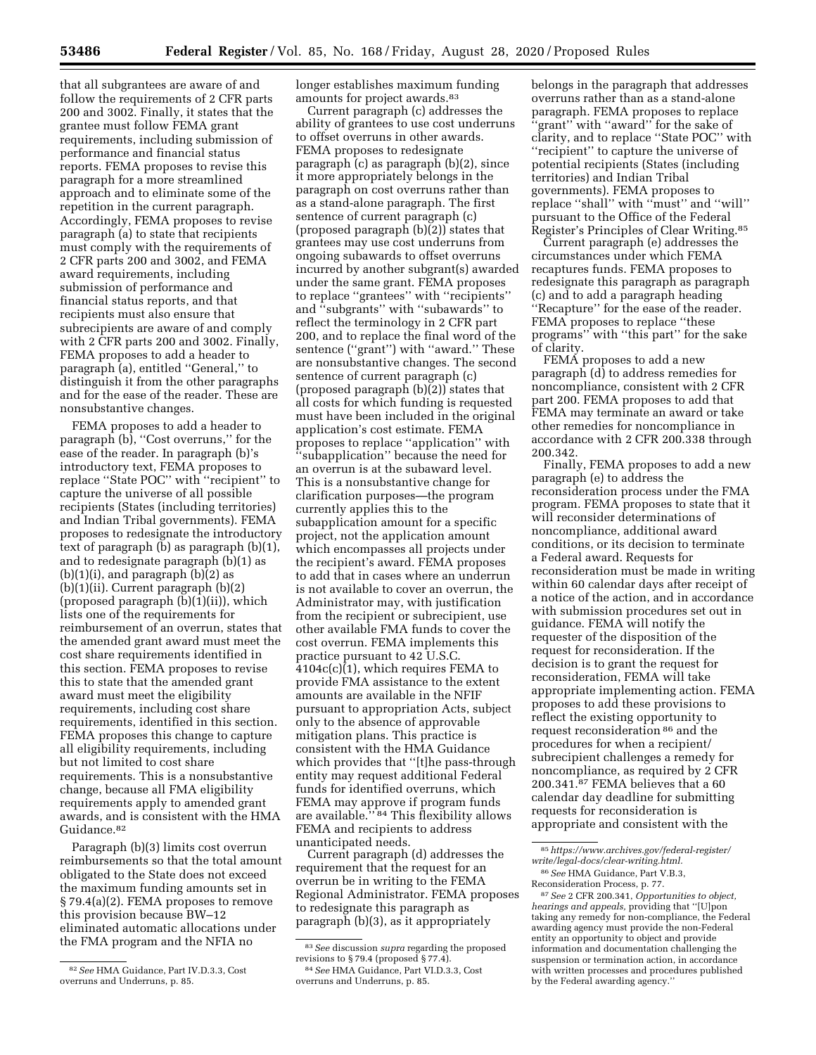that all subgrantees are aware of and follow the requirements of 2 CFR parts 200 and 3002. Finally, it states that the grantee must follow FEMA grant requirements, including submission of performance and financial status reports. FEMA proposes to revise this paragraph for a more streamlined approach and to eliminate some of the repetition in the current paragraph. Accordingly, FEMA proposes to revise paragraph (a) to state that recipients must comply with the requirements of 2 CFR parts 200 and 3002, and FEMA award requirements, including submission of performance and financial status reports, and that recipients must also ensure that subrecipients are aware of and comply with 2 CFR parts 200 and 3002. Finally, FEMA proposes to add a header to paragraph (a), entitled ''General,'' to distinguish it from the other paragraphs and for the ease of the reader. These are nonsubstantive changes.

FEMA proposes to add a header to paragraph (b), "Cost overruns," for the ease of the reader. In paragraph (b)'s introductory text, FEMA proposes to replace ''State POC'' with ''recipient'' to capture the universe of all possible recipients (States (including territories) and Indian Tribal governments). FEMA proposes to redesignate the introductory text of paragraph (b) as paragraph (b)(1), and to redesignate paragraph (b)(1) as  $(b)(1)(i)$ , and paragraph  $(b)(2)$  as (b)(1)(ii). Current paragraph (b)(2) (proposed paragraph (b)(1)(ii)), which lists one of the requirements for reimbursement of an overrun, states that the amended grant award must meet the cost share requirements identified in this section. FEMA proposes to revise this to state that the amended grant award must meet the eligibility requirements, including cost share requirements, identified in this section. FEMA proposes this change to capture all eligibility requirements, including but not limited to cost share requirements. This is a nonsubstantive change, because all FMA eligibility requirements apply to amended grant awards, and is consistent with the HMA Guidance.82

Paragraph (b)(3) limits cost overrun reimbursements so that the total amount obligated to the State does not exceed the maximum funding amounts set in § 79.4(a)(2). FEMA proposes to remove this provision because BW–12 eliminated automatic allocations under the FMA program and the NFIA no

longer establishes maximum funding amounts for project awards.<sup>83</sup>

Current paragraph (c) addresses the ability of grantees to use cost underruns to offset overruns in other awards. FEMA proposes to redesignate paragraph (c) as paragraph (b)(2), since it more appropriately belongs in the paragraph on cost overruns rather than as a stand-alone paragraph. The first sentence of current paragraph (c) (proposed paragraph (b)(2)) states that grantees may use cost underruns from ongoing subawards to offset overruns incurred by another subgrant(s) awarded under the same grant. FEMA proposes to replace ''grantees'' with ''recipients'' and ''subgrants'' with ''subawards'' to reflect the terminology in 2 CFR part 200, and to replace the final word of the sentence ("grant") with "award." These are nonsubstantive changes. The second sentence of current paragraph (c) (proposed paragraph (b)(2)) states that all costs for which funding is requested must have been included in the original application's cost estimate. FEMA proposes to replace ''application'' with ''subapplication'' because the need for an overrun is at the subaward level. This is a nonsubstantive change for clarification purposes—the program currently applies this to the subapplication amount for a specific project, not the application amount which encompasses all projects under the recipient's award. FEMA proposes to add that in cases where an underrun is not available to cover an overrun, the Administrator may, with justification from the recipient or subrecipient, use other available FMA funds to cover the cost overrun. FEMA implements this practice pursuant to 42 U.S.C. 4104c(c)(1), which requires FEMA to provide FMA assistance to the extent amounts are available in the NFIF pursuant to appropriation Acts, subject only to the absence of approvable mitigation plans. This practice is consistent with the HMA Guidance which provides that ''[t]he pass-through entity may request additional Federal funds for identified overruns, which FEMA may approve if program funds are available.'' 84 This flexibility allows FEMA and recipients to address unanticipated needs.

Current paragraph (d) addresses the requirement that the request for an overrun be in writing to the FEMA Regional Administrator. FEMA proposes to redesignate this paragraph as paragraph (b)(3), as it appropriately

belongs in the paragraph that addresses overruns rather than as a stand-alone paragraph. FEMA proposes to replace ''grant'' with ''award'' for the sake of clarity, and to replace ''State POC'' with ''recipient'' to capture the universe of potential recipients (States (including territories) and Indian Tribal governments). FEMA proposes to replace ''shall'' with ''must'' and ''will'' pursuant to the Office of the Federal Register's Principles of Clear Writing.85

Current paragraph (e) addresses the circumstances under which FEMA recaptures funds. FEMA proposes to redesignate this paragraph as paragraph (c) and to add a paragraph heading ''Recapture'' for the ease of the reader. FEMA proposes to replace ''these programs'' with ''this part'' for the sake of clarity.

FEMA proposes to add a new paragraph (d) to address remedies for noncompliance, consistent with 2 CFR part 200. FEMA proposes to add that FEMA may terminate an award or take other remedies for noncompliance in accordance with 2 CFR 200.338 through 200.342.

Finally, FEMA proposes to add a new paragraph (e) to address the reconsideration process under the FMA program. FEMA proposes to state that it will reconsider determinations of noncompliance, additional award conditions, or its decision to terminate a Federal award. Requests for reconsideration must be made in writing within 60 calendar days after receipt of a notice of the action, and in accordance with submission procedures set out in guidance. FEMA will notify the requester of the disposition of the request for reconsideration. If the decision is to grant the request for reconsideration, FEMA will take appropriate implementing action. FEMA proposes to add these provisions to reflect the existing opportunity to request reconsideration 86 and the procedures for when a recipient/ subrecipient challenges a remedy for noncompliance, as required by 2 CFR 200.341.87 FEMA believes that a 60 calendar day deadline for submitting requests for reconsideration is appropriate and consistent with the

<sup>82</sup>*See* HMA Guidance, Part IV.D.3.3, Cost overruns and Underruns, p. 85.

<sup>83</sup>*See* discussion *supra* regarding the proposed revisions to § 79.4 (proposed § 77.4). 84*See* HMA Guidance, Part VI.D.3.3, Cost overruns and Underruns, p. 85.

<sup>85</sup>*[https://www.archives.gov/federal-register/](https://www.archives.gov/federal-register/write/legal-docs/clear-writing.html) [write/legal-docs/clear-writing.html.](https://www.archives.gov/federal-register/write/legal-docs/clear-writing.html)* 

<sup>86</sup>*See* HMA Guidance, Part V.B.3, Reconsideration Process, p. 77.

<sup>87</sup>*See* 2 CFR 200.341, *Opportunities to object, hearings and appeals,* providing that ''[U]pon taking any remedy for non-compliance, the Federal awarding agency must provide the non-Federal entity an opportunity to object and provide information and documentation challenging the suspension or termination action, in accordance with written processes and procedures published by the Federal awarding agency.''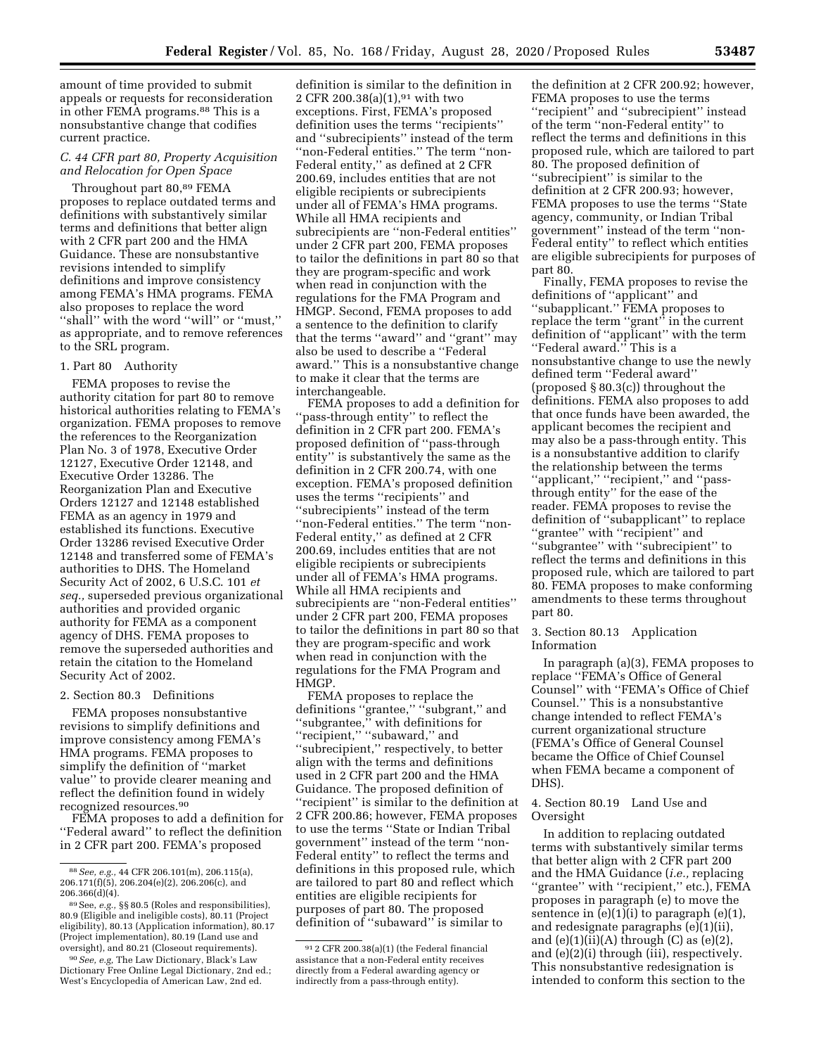amount of time provided to submit appeals or requests for reconsideration in other FEMA programs.88 This is a nonsubstantive change that codifies current practice.

## *C. 44 CFR part 80, Property Acquisition and Relocation for Open Space*

Throughout part 80,89 FEMA proposes to replace outdated terms and definitions with substantively similar terms and definitions that better align with 2 CFR part 200 and the HMA Guidance. These are nonsubstantive revisions intended to simplify definitions and improve consistency among FEMA's HMA programs. FEMA also proposes to replace the word ''shall'' with the word ''will'' or ''must,'' as appropriate, and to remove references to the SRL program.

#### 1. Part 80 Authority

FEMA proposes to revise the authority citation for part 80 to remove historical authorities relating to FEMA's organization. FEMA proposes to remove the references to the Reorganization Plan No. 3 of 1978, Executive Order 12127, Executive Order 12148, and Executive Order 13286. The Reorganization Plan and Executive Orders 12127 and 12148 established FEMA as an agency in 1979 and established its functions. Executive Order 13286 revised Executive Order 12148 and transferred some of FEMA's authorities to DHS. The Homeland Security Act of 2002, 6 U.S.C. 101 *et seq.,* superseded previous organizational authorities and provided organic authority for FEMA as a component agency of DHS. FEMA proposes to remove the superseded authorities and retain the citation to the Homeland Security Act of 2002.

#### 2. Section 80.3 Definitions

FEMA proposes nonsubstantive revisions to simplify definitions and improve consistency among FEMA's HMA programs. FEMA proposes to simplify the definition of ''market value'' to provide clearer meaning and reflect the definition found in widely recognized resources.90

FEMA proposes to add a definition for ''Federal award'' to reflect the definition in 2 CFR part 200. FEMA's proposed

90*See, e.g,* The Law Dictionary, Black's Law Dictionary Free Online Legal Dictionary, 2nd ed.; West's Encyclopedia of American Law, 2nd ed.

definition is similar to the definition in 2 CFR 200.38(a) $(1)$ ,<sup>91</sup> with two exceptions. First, FEMA's proposed definition uses the terms ''recipients'' and ''subrecipients'' instead of the term ''non-Federal entities.'' The term ''non-Federal entity,'' as defined at 2 CFR 200.69, includes entities that are not eligible recipients or subrecipients under all of FEMA's HMA programs. While all HMA recipients and subrecipients are ''non-Federal entities'' under 2 CFR part 200, FEMA proposes to tailor the definitions in part 80 so that they are program-specific and work when read in conjunction with the regulations for the FMA Program and HMGP. Second, FEMA proposes to add a sentence to the definition to clarify that the terms ''award'' and ''grant'' may also be used to describe a ''Federal award.'' This is a nonsubstantive change to make it clear that the terms are interchangeable.

FEMA proposes to add a definition for ''pass-through entity'' to reflect the definition in 2 CFR part 200. FEMA's proposed definition of ''pass-through entity'' is substantively the same as the definition in 2 CFR 200.74, with one exception. FEMA's proposed definition uses the terms ''recipients'' and ''subrecipients'' instead of the term ''non-Federal entities.'' The term ''non-Federal entity,'' as defined at 2 CFR 200.69, includes entities that are not eligible recipients or subrecipients under all of FEMA's HMA programs. While all HMA recipients and subrecipients are ''non-Federal entities'' under 2 CFR part 200, FEMA proposes to tailor the definitions in part 80 so that they are program-specific and work when read in conjunction with the regulations for the FMA Program and HMGP.

FEMA proposes to replace the definitions ''grantee,'' ''subgrant,'' and ''subgrantee,'' with definitions for "recipient," "subaward," and ''subrecipient,'' respectively, to better align with the terms and definitions used in 2 CFR part 200 and the HMA Guidance. The proposed definition of ''recipient'' is similar to the definition at 2 CFR 200.86; however, FEMA proposes to use the terms ''State or Indian Tribal government'' instead of the term ''non-Federal entity'' to reflect the terms and definitions in this proposed rule, which are tailored to part 80 and reflect which entities are eligible recipients for purposes of part 80. The proposed definition of ''subaward'' is similar to

the definition at 2 CFR 200.92; however, FEMA proposes to use the terms ''recipient'' and ''subrecipient'' instead of the term ''non-Federal entity'' to reflect the terms and definitions in this proposed rule, which are tailored to part 80. The proposed definition of ''subrecipient'' is similar to the definition at 2 CFR 200.93; however, FEMA proposes to use the terms ''State agency, community, or Indian Tribal government'' instead of the term ''non-Federal entity'' to reflect which entities are eligible subrecipients for purposes of part 80.

Finally, FEMA proposes to revise the definitions of ''applicant'' and ''subapplicant.'' FEMA proposes to replace the term ''grant'' in the current definition of ''applicant'' with the term ''Federal award.'' This is a nonsubstantive change to use the newly defined term ''Federal award'' (proposed § 80.3(c)) throughout the definitions. FEMA also proposes to add that once funds have been awarded, the applicant becomes the recipient and may also be a pass-through entity. This is a nonsubstantive addition to clarify the relationship between the terms ''applicant,'' ''recipient,'' and ''passthrough entity'' for the ease of the reader. FEMA proposes to revise the definition of ''subapplicant'' to replace ''grantee'' with ''recipient'' and ''subgrantee'' with ''subrecipient'' to reflect the terms and definitions in this proposed rule, which are tailored to part 80. FEMA proposes to make conforming amendments to these terms throughout part 80.

## 3. Section 80.13 Application Information

In paragraph (a)(3), FEMA proposes to replace ''FEMA's Office of General Counsel'' with ''FEMA's Office of Chief Counsel.'' This is a nonsubstantive change intended to reflect FEMA's current organizational structure (FEMA's Office of General Counsel became the Office of Chief Counsel when FEMA became a component of DHS).

## 4. Section 80.19 Land Use and Oversight

In addition to replacing outdated terms with substantively similar terms that better align with 2 CFR part 200 and the HMA Guidance (*i.e.,* replacing ''grantee'' with ''recipient,'' etc.), FEMA proposes in paragraph (e) to move the sentence in  $(e)(1)(i)$  to paragraph  $(e)(1)$ , and redesignate paragraphs (e)(1)(ii), and  $(e)(1)(ii)(A)$  through  $(C)$  as  $(e)(2)$ , and (e)(2)(i) through (iii), respectively. This nonsubstantive redesignation is intended to conform this section to the

<sup>88</sup>*See, e.g.,* 44 CFR 206.101(m), 206.115(a), 206.171(f)(5), 206.204(e)(2), 206.206(c), and 206.366(d)(4).

<sup>89</sup>See, *e.g.,* §§ 80.5 (Roles and responsibilities), 80.9 (Eligible and ineligible costs), 80.11 (Project eligibility), 80.13 (Application information), 80.17 (Project implementation), 80.19 (Land use and oversight), and 80.21 (Closeout requirements).

<sup>91</sup> 2 CFR 200.38(a)(1) (the Federal financial assistance that a non-Federal entity receives directly from a Federal awarding agency or indirectly from a pass-through entity).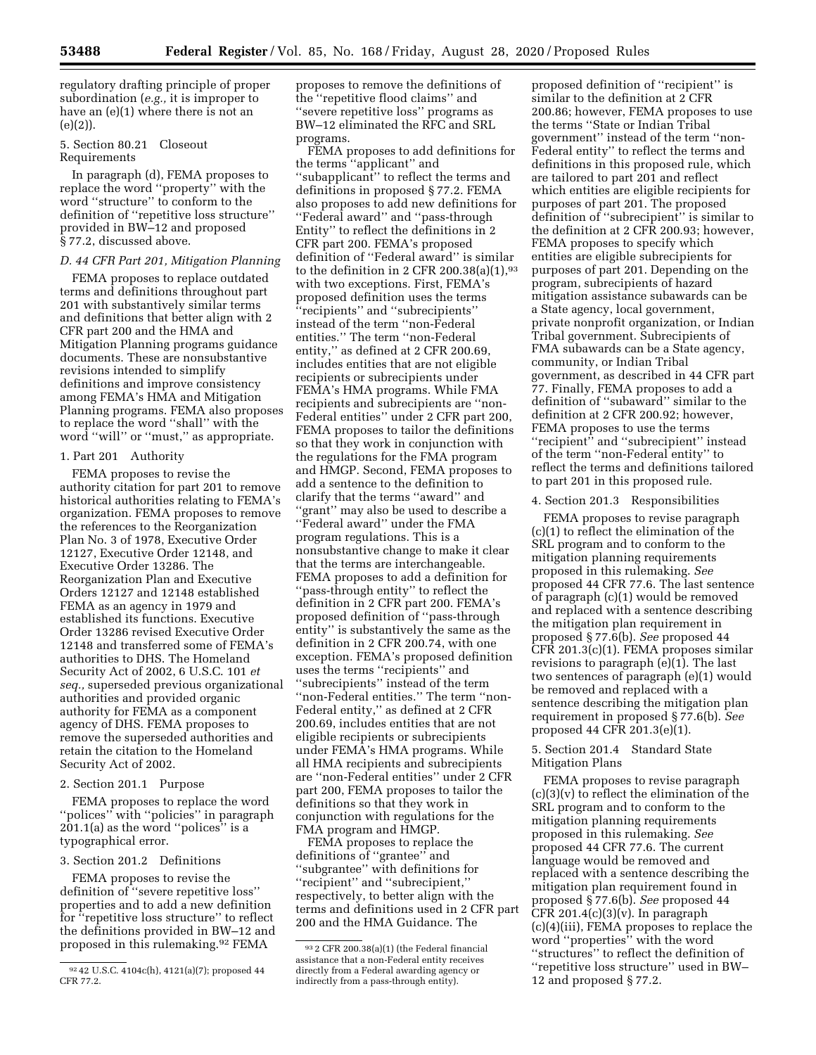regulatory drafting principle of proper subordination (*e.g.,* it is improper to have an (e)(1) where there is not an (e)(2)).

## 5. Section 80.21 Closeout Requirements

In paragraph (d), FEMA proposes to replace the word ''property'' with the word ''structure'' to conform to the definition of ''repetitive loss structure'' provided in BW–12 and proposed § 77.2, discussed above.

# *D. 44 CFR Part 201, Mitigation Planning*

FEMA proposes to replace outdated terms and definitions throughout part 201 with substantively similar terms and definitions that better align with 2 CFR part 200 and the HMA and Mitigation Planning programs guidance documents. These are nonsubstantive revisions intended to simplify definitions and improve consistency among FEMA's HMA and Mitigation Planning programs. FEMA also proposes to replace the word ''shall'' with the word ''will'' or ''must,'' as appropriate.

## 1. Part 201 Authority

FEMA proposes to revise the authority citation for part 201 to remove historical authorities relating to FEMA's organization. FEMA proposes to remove the references to the Reorganization Plan No. 3 of 1978, Executive Order 12127, Executive Order 12148, and Executive Order 13286. The Reorganization Plan and Executive Orders 12127 and 12148 established FEMA as an agency in 1979 and established its functions. Executive Order 13286 revised Executive Order 12148 and transferred some of FEMA's authorities to DHS. The Homeland Security Act of 2002, 6 U.S.C. 101 *et seq.,* superseded previous organizational authorities and provided organic authority for FEMA as a component agency of DHS. FEMA proposes to remove the superseded authorities and retain the citation to the Homeland Security Act of 2002.

## 2. Section 201.1 Purpose

FEMA proposes to replace the word ''polices'' with ''policies'' in paragraph 201.1(a) as the word ''polices'' is a typographical error.

#### 3. Section 201.2 Definitions

FEMA proposes to revise the definition of ''severe repetitive loss'' properties and to add a new definition for ''repetitive loss structure'' to reflect the definitions provided in BW–12 and proposed in this rulemaking.92 FEMA

proposes to remove the definitions of the ''repetitive flood claims'' and ''severe repetitive loss'' programs as BW–12 eliminated the RFC and SRL programs.

FEMA proposes to add definitions for the terms ''applicant'' and ''subapplicant'' to reflect the terms and definitions in proposed § 77.2. FEMA also proposes to add new definitions for ''Federal award'' and ''pass-through Entity'' to reflect the definitions in 2 CFR part 200. FEMA's proposed definition of ''Federal award'' is similar to the definition in 2 CFR 200.38(a)(1), $93$ with two exceptions. First, FEMA's proposed definition uses the terms ''recipients'' and ''subrecipients'' instead of the term ''non-Federal entities.'' The term ''non-Federal entity,'' as defined at 2 CFR 200.69, includes entities that are not eligible recipients or subrecipients under FEMA's HMA programs. While FMA recipients and subrecipients are ''non-Federal entities'' under 2 CFR part 200, FEMA proposes to tailor the definitions so that they work in conjunction with the regulations for the FMA program and HMGP. Second, FEMA proposes to add a sentence to the definition to clarify that the terms ''award'' and 'grant'' may also be used to describe a ''Federal award'' under the FMA program regulations. This is a nonsubstantive change to make it clear that the terms are interchangeable. FEMA proposes to add a definition for ''pass-through entity'' to reflect the definition in 2 CFR part 200. FEMA's proposed definition of ''pass-through entity'' is substantively the same as the definition in 2 CFR 200.74, with one exception. FEMA's proposed definition uses the terms ''recipients'' and ''subrecipients'' instead of the term ''non-Federal entities.'' The term ''non-Federal entity,'' as defined at 2 CFR 200.69, includes entities that are not eligible recipients or subrecipients under FEMA's HMA programs. While all HMA recipients and subrecipients are ''non-Federal entities'' under 2 CFR part 200, FEMA proposes to tailor the definitions so that they work in conjunction with regulations for the FMA program and HMGP.

FEMA proposes to replace the definitions of ''grantee'' and ''subgrantee'' with definitions for ''recipient'' and ''subrecipient,'' respectively, to better align with the terms and definitions used in 2 CFR part 200 and the HMA Guidance. The

proposed definition of ''recipient'' is similar to the definition at 2 CFR 200.86; however, FEMA proposes to use the terms ''State or Indian Tribal government'' instead of the term ''non-Federal entity'' to reflect the terms and definitions in this proposed rule, which are tailored to part 201 and reflect which entities are eligible recipients for purposes of part 201. The proposed definition of ''subrecipient'' is similar to the definition at 2 CFR 200.93; however, FEMA proposes to specify which entities are eligible subrecipients for purposes of part 201. Depending on the program, subrecipients of hazard mitigation assistance subawards can be a State agency, local government, private nonprofit organization, or Indian Tribal government. Subrecipients of FMA subawards can be a State agency, community, or Indian Tribal government, as described in 44 CFR part 77. Finally, FEMA proposes to add a definition of ''subaward'' similar to the definition at 2 CFR 200.92; however, FEMA proposes to use the terms ''recipient'' and ''subrecipient'' instead of the term ''non-Federal entity'' to reflect the terms and definitions tailored to part 201 in this proposed rule.

#### 4. Section 201.3 Responsibilities

FEMA proposes to revise paragraph (c)(1) to reflect the elimination of the SRL program and to conform to the mitigation planning requirements proposed in this rulemaking. *See*  proposed 44 CFR 77.6. The last sentence of paragraph (c)(1) would be removed and replaced with a sentence describing the mitigation plan requirement in proposed § 77.6(b). *See* proposed 44 CFR 201.3(c)(1). FEMA proposes similar revisions to paragraph (e)(1). The last two sentences of paragraph (e)(1) would be removed and replaced with a sentence describing the mitigation plan requirement in proposed § 77.6(b). *See*  proposed 44 CFR 201.3(e)(1).

## 5. Section 201.4 Standard State Mitigation Plans

FEMA proposes to revise paragraph  $(c)(3)(v)$  to reflect the elimination of the SRL program and to conform to the mitigation planning requirements proposed in this rulemaking. *See*  proposed 44 CFR 77.6. The current language would be removed and replaced with a sentence describing the mitigation plan requirement found in proposed § 77.6(b). *See* proposed 44 CFR 201.4 $(c)(3)(v)$ . In paragraph (c)(4)(iii), FEMA proposes to replace the word ''properties'' with the word ''structures'' to reflect the definition of ''repetitive loss structure'' used in BW– 12 and proposed § 77.2.

<sup>92</sup> 42 U.S.C. 4104c(h), 4121(a)(7); proposed 44 CFR 77.2.

<sup>93</sup> 2 CFR 200.38(a)(1) (the Federal financial assistance that a non-Federal entity receives directly from a Federal awarding agency or indirectly from a pass-through entity).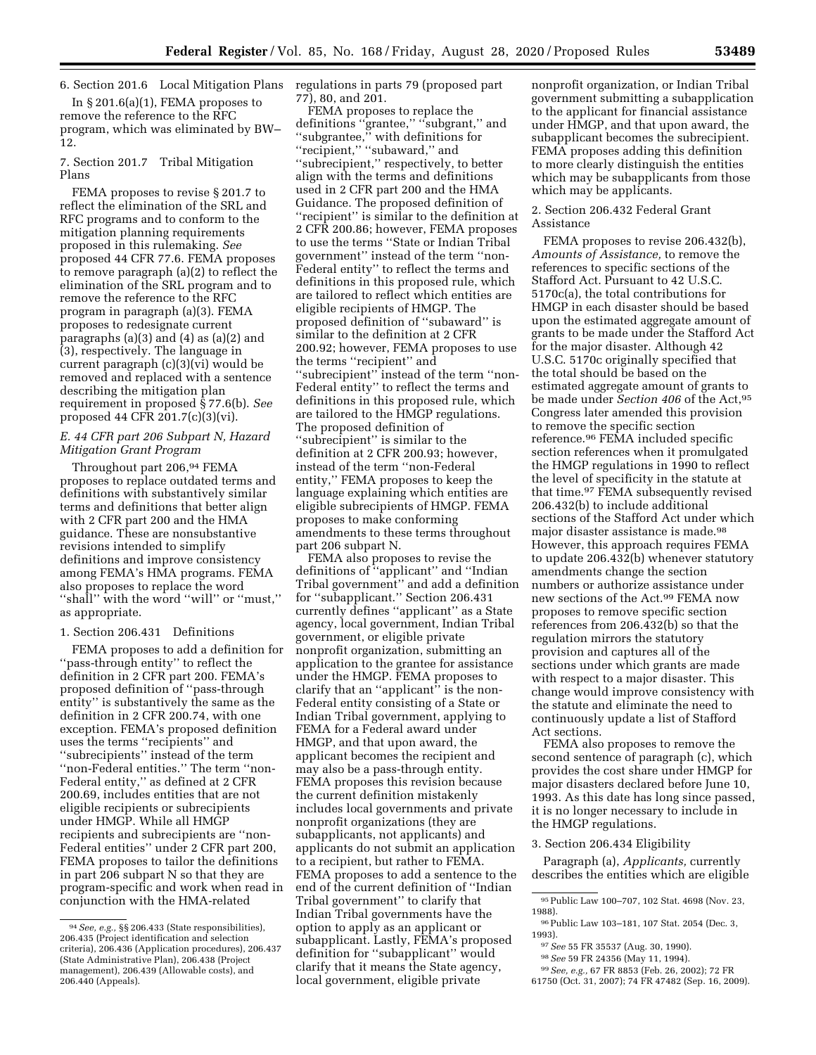6. Section 201.6 Local Mitigation Plans regulations in parts 79 (proposed part

In § 201.6(a)(1), FEMA proposes to remove the reference to the RFC program, which was eliminated by BW– 12.

## 7. Section 201.7 Tribal Mitigation Plans

FEMA proposes to revise § 201.7 to reflect the elimination of the SRL and RFC programs and to conform to the mitigation planning requirements proposed in this rulemaking. *See*  proposed 44 CFR 77.6. FEMA proposes to remove paragraph (a)(2) to reflect the elimination of the SRL program and to remove the reference to the RFC program in paragraph (a)(3). FEMA proposes to redesignate current paragraphs (a)(3) and (4) as (a)(2) and (3), respectively. The language in current paragraph (c)(3)(vi) would be removed and replaced with a sentence describing the mitigation plan requirement in proposed § 77.6(b). *See*  proposed 44 CFR 201.7(c)(3)(vi).

## *E. 44 CFR part 206 Subpart N, Hazard Mitigation Grant Program*

Throughout part 206,94 FEMA proposes to replace outdated terms and definitions with substantively similar terms and definitions that better align with 2 CFR part 200 and the HMA guidance. These are nonsubstantive revisions intended to simplify definitions and improve consistency among FEMA's HMA programs. FEMA also proposes to replace the word ''shall'' with the word ''will'' or ''must,'' as appropriate.

# 1. Section 206.431 Definitions

FEMA proposes to add a definition for ''pass-through entity'' to reflect the definition in 2 CFR part 200. FEMA's proposed definition of ''pass-through entity'' is substantively the same as the definition in 2 CFR 200.74, with one exception. FEMA's proposed definition uses the terms ''recipients'' and ''subrecipients'' instead of the term ''non-Federal entities.'' The term ''non-Federal entity,'' as defined at 2 CFR 200.69, includes entities that are not eligible recipients or subrecipients under HMGP. While all HMGP recipients and subrecipients are ''non-Federal entities'' under 2 CFR part 200, FEMA proposes to tailor the definitions in part 206 subpart N so that they are program-specific and work when read in conjunction with the HMA-related

77), 80, and 201.

FEMA proposes to replace the definitions ''grantee,'' ''subgrant,'' and ''subgrantee,'' with definitions for ''recipient,'' ''subaward,'' and ''subrecipient,'' respectively, to better align with the terms and definitions used in 2 CFR part 200 and the HMA Guidance. The proposed definition of ''recipient'' is similar to the definition at 2 CFR 200.86; however, FEMA proposes to use the terms ''State or Indian Tribal government'' instead of the term ''non-Federal entity'' to reflect the terms and definitions in this proposed rule, which are tailored to reflect which entities are eligible recipients of HMGP. The proposed definition of ''subaward'' is similar to the definition at 2 CFR 200.92; however, FEMA proposes to use the terms ''recipient'' and ''subrecipient'' instead of the term ''non-Federal entity'' to reflect the terms and definitions in this proposed rule, which are tailored to the HMGP regulations. The proposed definition of ''subrecipient'' is similar to the definition at 2 CFR 200.93; however, instead of the term ''non-Federal entity,'' FEMA proposes to keep the language explaining which entities are eligible subrecipients of HMGP. FEMA proposes to make conforming amendments to these terms throughout part 206 subpart N.

FEMA also proposes to revise the definitions of ''applicant'' and ''Indian Tribal government'' and add a definition for ''subapplicant.'' Section 206.431 currently defines ''applicant'' as a State agency, local government, Indian Tribal government, or eligible private nonprofit organization, submitting an application to the grantee for assistance under the HMGP. FEMA proposes to clarify that an ''applicant'' is the non-Federal entity consisting of a State or Indian Tribal government, applying to FEMA for a Federal award under HMGP, and that upon award, the applicant becomes the recipient and may also be a pass-through entity. FEMA proposes this revision because the current definition mistakenly includes local governments and private nonprofit organizations (they are subapplicants, not applicants) and applicants do not submit an application to a recipient, but rather to FEMA. FEMA proposes to add a sentence to the end of the current definition of ''Indian Tribal government'' to clarify that Indian Tribal governments have the option to apply as an applicant or subapplicant. Lastly, FEMA's proposed definition for ''subapplicant'' would clarify that it means the State agency, local government, eligible private

nonprofit organization, or Indian Tribal government submitting a subapplication to the applicant for financial assistance under HMGP, and that upon award, the subapplicant becomes the subrecipient. FEMA proposes adding this definition to more clearly distinguish the entities which may be subapplicants from those which may be applicants.

## 2. Section 206.432 Federal Grant Assistance

FEMA proposes to revise 206.432(b), *Amounts of Assistance,* to remove the references to specific sections of the Stafford Act. Pursuant to 42 U.S.C. 5170c(a), the total contributions for HMGP in each disaster should be based upon the estimated aggregate amount of grants to be made under the Stafford Act for the major disaster. Although 42 U.S.C. 5170c originally specified that the total should be based on the estimated aggregate amount of grants to be made under *Section 406* of the Act,95 Congress later amended this provision to remove the specific section reference.96 FEMA included specific section references when it promulgated the HMGP regulations in 1990 to reflect the level of specificity in the statute at that time.97 FEMA subsequently revised 206.432(b) to include additional sections of the Stafford Act under which major disaster assistance is made.98 However, this approach requires FEMA to update 206.432(b) whenever statutory amendments change the section numbers or authorize assistance under new sections of the Act.99 FEMA now proposes to remove specific section references from 206.432(b) so that the regulation mirrors the statutory provision and captures all of the sections under which grants are made with respect to a major disaster. This change would improve consistency with the statute and eliminate the need to continuously update a list of Stafford Act sections.

FEMA also proposes to remove the second sentence of paragraph (c), which provides the cost share under HMGP for major disasters declared before June 10, 1993. As this date has long since passed, it is no longer necessary to include in the HMGP regulations.

#### 3. Section 206.434 Eligibility

Paragraph (a), *Applicants,* currently describes the entities which are eligible

- 96Public Law 103–181, 107 Stat. 2054 (Dec. 3, 1993).
- 97*See* 55 FR 35537 (Aug. 30, 1990).
- 98*See* 59 FR 24356 (May 11, 1994).
- 99*See, e.g.,* 67 FR 8853 (Feb. 26, 2002); 72 FR
- 61750 (Oct. 31, 2007); 74 FR 47482 (Sep. 16, 2009).

<sup>94</sup>*See, e.g.,* §§ 206.433 (State responsibilities), 206.435 (Project identification and selection criteria), 206.436 (Application procedures), 206.437 (State Administrative Plan), 206.438 (Project management), 206.439 (Allowable costs), and 206.440 (Appeals).

<sup>95</sup>Public Law 100–707, 102 Stat. 4698 (Nov. 23, 1988).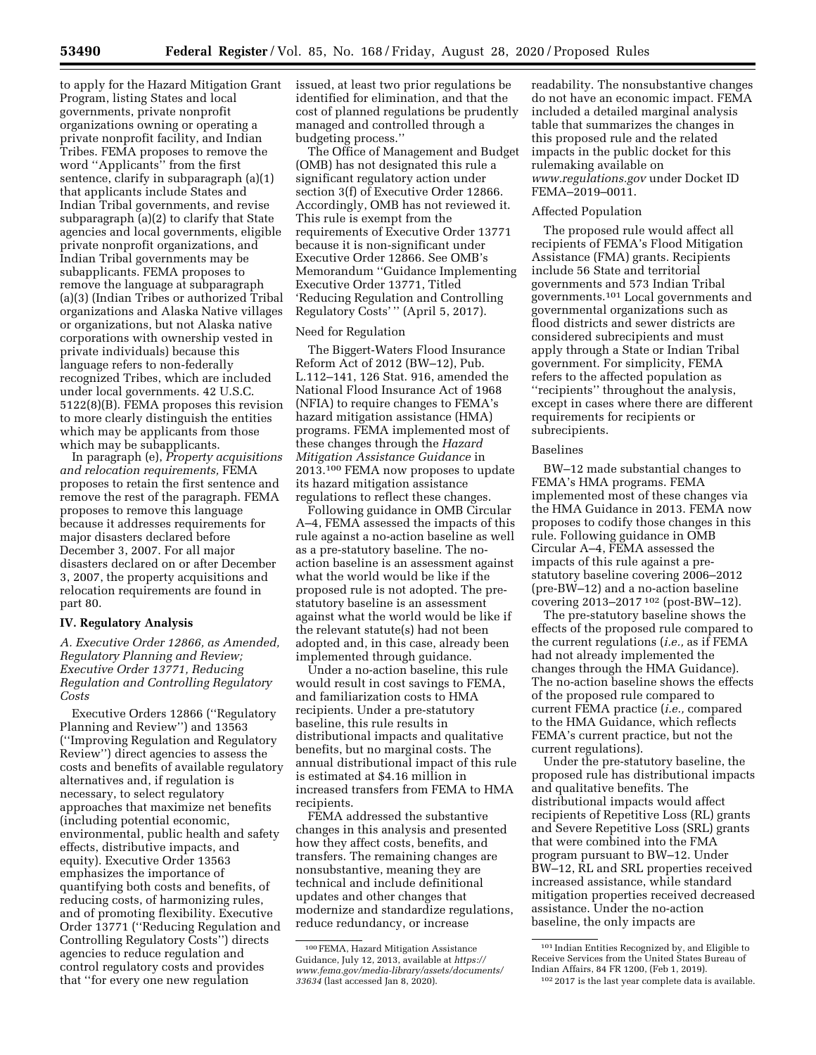to apply for the Hazard Mitigation Grant Program, listing States and local governments, private nonprofit organizations owning or operating a private nonprofit facility, and Indian Tribes. FEMA proposes to remove the word ''Applicants'' from the first sentence, clarify in subparagraph (a)(1) that applicants include States and Indian Tribal governments, and revise subparagraph (a)(2) to clarify that State agencies and local governments, eligible private nonprofit organizations, and Indian Tribal governments may be subapplicants. FEMA proposes to remove the language at subparagraph (a)(3) (Indian Tribes or authorized Tribal organizations and Alaska Native villages or organizations, but not Alaska native corporations with ownership vested in private individuals) because this language refers to non-federally recognized Tribes, which are included under local governments. 42 U.S.C. 5122(8)(B). FEMA proposes this revision to more clearly distinguish the entities which may be applicants from those which may be subapplicants.

In paragraph (e), *Property acquisitions and relocation requirements,* FEMA proposes to retain the first sentence and remove the rest of the paragraph. FEMA proposes to remove this language because it addresses requirements for major disasters declared before December 3, 2007. For all major disasters declared on or after December 3, 2007, the property acquisitions and relocation requirements are found in part 80.

# **IV. Regulatory Analysis**

*A. Executive Order 12866, as Amended, Regulatory Planning and Review; Executive Order 13771, Reducing Regulation and Controlling Regulatory Costs* 

Executive Orders 12866 (''Regulatory Planning and Review'') and 13563 (''Improving Regulation and Regulatory Review'') direct agencies to assess the costs and benefits of available regulatory alternatives and, if regulation is necessary, to select regulatory approaches that maximize net benefits (including potential economic, environmental, public health and safety effects, distributive impacts, and equity). Executive Order 13563 emphasizes the importance of quantifying both costs and benefits, of reducing costs, of harmonizing rules, and of promoting flexibility. Executive Order 13771 (''Reducing Regulation and Controlling Regulatory Costs'') directs agencies to reduce regulation and control regulatory costs and provides that ''for every one new regulation

issued, at least two prior regulations be identified for elimination, and that the cost of planned regulations be prudently managed and controlled through a budgeting process.''

The Office of Management and Budget (OMB) has not designated this rule a significant regulatory action under section 3(f) of Executive Order 12866. Accordingly, OMB has not reviewed it. This rule is exempt from the requirements of Executive Order 13771 because it is non-significant under Executive Order 12866. See OMB's Memorandum ''Guidance Implementing Executive Order 13771, Titled 'Reducing Regulation and Controlling Regulatory Costs' '' (April 5, 2017).

# Need for Regulation

The Biggert-Waters Flood Insurance Reform Act of 2012 (BW–12), Pub. L.112–141, 126 Stat. 916, amended the National Flood Insurance Act of 1968 (NFIA) to require changes to FEMA's hazard mitigation assistance (HMA) programs. FEMA implemented most of these changes through the *Hazard Mitigation Assistance Guidance* in 2013.100 FEMA now proposes to update its hazard mitigation assistance regulations to reflect these changes.

Following guidance in OMB Circular A–4, FEMA assessed the impacts of this rule against a no-action baseline as well as a pre-statutory baseline. The noaction baseline is an assessment against what the world would be like if the proposed rule is not adopted. The prestatutory baseline is an assessment against what the world would be like if the relevant statute(s) had not been adopted and, in this case, already been implemented through guidance.

Under a no-action baseline, this rule would result in cost savings to FEMA, and familiarization costs to HMA recipients. Under a pre-statutory baseline, this rule results in distributional impacts and qualitative benefits, but no marginal costs. The annual distributional impact of this rule is estimated at \$4.16 million in increased transfers from FEMA to HMA recipients.

FEMA addressed the substantive changes in this analysis and presented how they affect costs, benefits, and transfers. The remaining changes are nonsubstantive, meaning they are technical and include definitional updates and other changes that modernize and standardize regulations, reduce redundancy, or increase

readability. The nonsubstantive changes do not have an economic impact. FEMA included a detailed marginal analysis table that summarizes the changes in this proposed rule and the related impacts in the public docket for this rulemaking available on *[www.regulations.gov](http://www.regulations.gov)* under Docket ID FEMA–2019–0011.

# Affected Population

The proposed rule would affect all recipients of FEMA's Flood Mitigation Assistance (FMA) grants. Recipients include 56 State and territorial governments and 573 Indian Tribal governments.101 Local governments and governmental organizations such as flood districts and sewer districts are considered subrecipients and must apply through a State or Indian Tribal government. For simplicity, FEMA refers to the affected population as ''recipients'' throughout the analysis, except in cases where there are different requirements for recipients or subrecipients.

#### Baselines

BW–12 made substantial changes to FEMA's HMA programs. FEMA implemented most of these changes via the HMA Guidance in 2013. FEMA now proposes to codify those changes in this rule. Following guidance in OMB Circular A–4, FEMA assessed the impacts of this rule against a prestatutory baseline covering 2006–2012 (pre-BW–12) and a no-action baseline covering 2013–2017 102 (post-BW–12).

The pre-statutory baseline shows the effects of the proposed rule compared to the current regulations (*i.e.,* as if FEMA had not already implemented the changes through the HMA Guidance). The no-action baseline shows the effects of the proposed rule compared to current FEMA practice (*i.e.,* compared to the HMA Guidance, which reflects FEMA's current practice, but not the current regulations).

Under the pre-statutory baseline, the proposed rule has distributional impacts and qualitative benefits. The distributional impacts would affect recipients of Repetitive Loss (RL) grants and Severe Repetitive Loss (SRL) grants that were combined into the FMA program pursuant to BW–12. Under BW–12, RL and SRL properties received increased assistance, while standard mitigation properties received decreased assistance. Under the no-action baseline, the only impacts are

<sup>100</sup>FEMA, Hazard Mitigation Assistance Guidance, July 12, 2013, available at *[https://](https://www.fema.gov/media-library/assets/documents/33634) [www.fema.gov/media-library/assets/documents/](https://www.fema.gov/media-library/assets/documents/33634)  [33634](https://www.fema.gov/media-library/assets/documents/33634)* (last accessed Jan 8, 2020).

<sup>101</sup> Indian Entities Recognized by, and Eligible to Receive Services from the United States Bureau of Indian Affairs, 84 FR 1200, (Feb 1, 2019).

<sup>102</sup> 2017 is the last year complete data is available.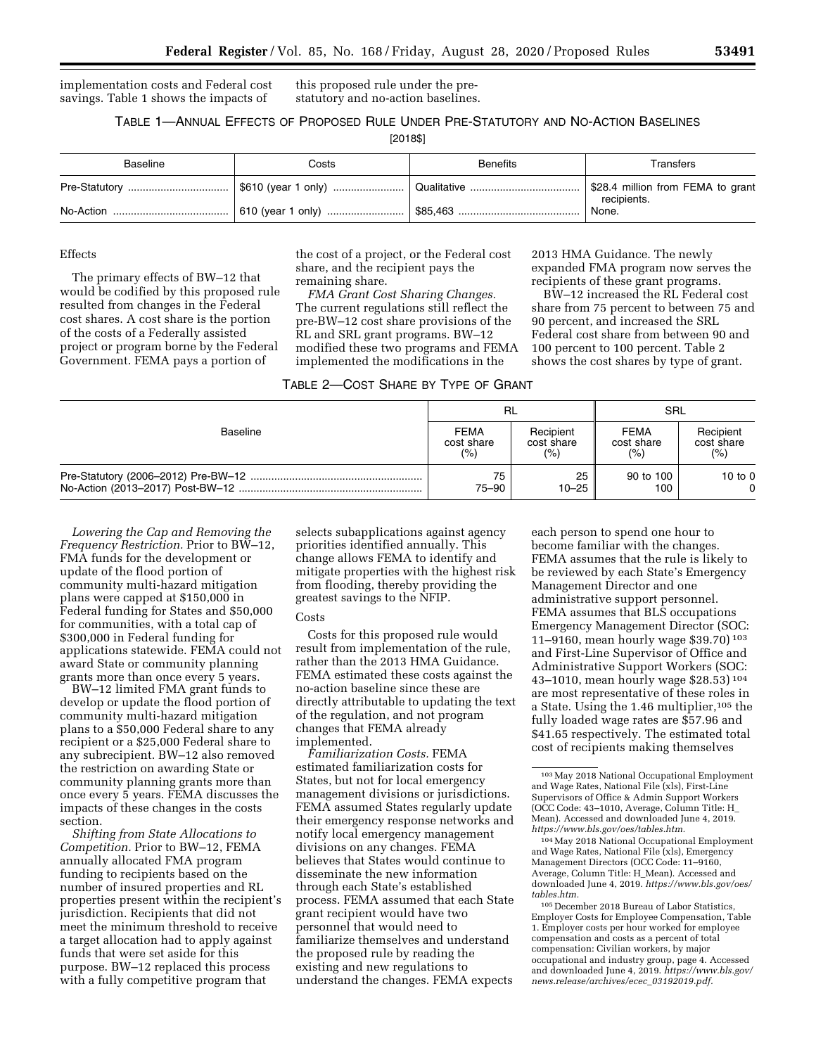implementation costs and Federal cost savings. Table 1 shows the impacts of

this proposed rule under the prestatutory and no-action baselines.

# TABLE 1—ANNUAL EFFECTS OF PROPOSED RULE UNDER PRE-STATUTORY AND NO-ACTION BASELINES

[2018\$]

| <b>Baseline</b> | Costs | <b>Benefits</b> | Transfers                                        |
|-----------------|-------|-----------------|--------------------------------------------------|
|                 |       |                 | \$28.4 million from FEMA to grant<br>recipients. |
|                 |       |                 | None.                                            |

# Effects

The primary effects of BW–12 that would be codified by this proposed rule resulted from changes in the Federal cost shares. A cost share is the portion of the costs of a Federally assisted project or program borne by the Federal Government. FEMA pays a portion of

the cost of a project, or the Federal cost share, and the recipient pays the remaining share.

*FMA Grant Cost Sharing Changes.*  The current regulations still reflect the pre-BW–12 cost share provisions of the RL and SRL grant programs. BW–12 modified these two programs and FEMA implemented the modifications in the

2013 HMA Guidance. The newly expanded FMA program now serves the recipients of these grant programs.

BW–12 increased the RL Federal cost share from 75 percent to between 75 and 90 percent, and increased the SRL Federal cost share from between 90 and 100 percent to 100 percent. Table 2 shows the cost shares by type of grant.

|          | RL          |            | SRL         |            |
|----------|-------------|------------|-------------|------------|
| Baseline | <b>FEMA</b> | Recipient  | <b>FEMA</b> | Recipient  |
|          | cost share  | cost share | cost share  | cost share |
|          | (%)         | (%)        | (%)         | (% )       |
|          | 75          | 25         | 90 to 100   | 10 to $0$  |
|          | 75–90       | $10 - 25$  | 100         | $\Omega$   |

*Lowering the Cap and Removing the Frequency Restriction.* Prior to BW–12, FMA funds for the development or update of the flood portion of community multi-hazard mitigation plans were capped at \$150,000 in Federal funding for States and \$50,000 for communities, with a total cap of \$300,000 in Federal funding for applications statewide. FEMA could not award State or community planning grants more than once every 5 years.

BW–12 limited FMA grant funds to develop or update the flood portion of community multi-hazard mitigation plans to a \$50,000 Federal share to any recipient or a \$25,000 Federal share to any subrecipient. BW–12 also removed the restriction on awarding State or community planning grants more than once every 5 years. FEMA discusses the impacts of these changes in the costs section.

*Shifting from State Allocations to Competition.* Prior to BW–12, FEMA annually allocated FMA program funding to recipients based on the number of insured properties and RL properties present within the recipient's jurisdiction. Recipients that did not meet the minimum threshold to receive a target allocation had to apply against funds that were set aside for this purpose. BW–12 replaced this process with a fully competitive program that

selects subapplications against agency priorities identified annually. This change allows FEMA to identify and mitigate properties with the highest risk from flooding, thereby providing the greatest savings to the NFIP.

#### Costs

Costs for this proposed rule would result from implementation of the rule, rather than the 2013 HMA Guidance. FEMA estimated these costs against the no-action baseline since these are directly attributable to updating the text of the regulation, and not program changes that FEMA already implemented.

*Familiarization Costs.* FEMA estimated familiarization costs for States, but not for local emergency management divisions or jurisdictions. FEMA assumed States regularly update their emergency response networks and notify local emergency management divisions on any changes. FEMA believes that States would continue to disseminate the new information through each State's established process. FEMA assumed that each State grant recipient would have two personnel that would need to familiarize themselves and understand the proposed rule by reading the existing and new regulations to understand the changes. FEMA expects

each person to spend one hour to become familiar with the changes. FEMA assumes that the rule is likely to be reviewed by each State's Emergency Management Director and one administrative support personnel. FEMA assumes that BLS occupations Emergency Management Director (SOC: 11–9160, mean hourly wage \$39.70) 103 and First-Line Supervisor of Office and Administrative Support Workers (SOC: 43–1010, mean hourly wage \$28.53) 104 are most representative of these roles in a State. Using the 1.46 multiplier,<sup>105</sup> the fully loaded wage rates are \$57.96 and \$41.65 respectively. The estimated total cost of recipients making themselves

104May 2018 National Occupational Employment and Wage Rates, National File (xls), Emergency Management Directors (OCC Code: 11–9160, Average, Column Title: H\_Mean). Accessed and downloaded June 4, 2019. *[https://www.bls.gov/oes/](https://www.bls.gov/oes/tables.htm) [tables.htm.](https://www.bls.gov/oes/tables.htm)* 

105 December 2018 Bureau of Labor Statistics, Employer Costs for Employee Compensation, Table 1. Employer costs per hour worked for employee compensation and costs as a percent of total compensation: Civilian workers, by major occupational and industry group, page 4. Accessed and downloaded June 4, 2019. *[https://www.bls.gov/](https://www.bls.gov/news.release/archives/ecec_03192019.pdf)  [news.release/archives/ecec](https://www.bls.gov/news.release/archives/ecec_03192019.pdf)*\_*03192019.pdf.* 

<sup>103</sup>May 2018 National Occupational Employment and Wage Rates, National File (xls), First-Line Supervisors of Office & Admin Support Workers (OCC Code: 43–1010, Average, Column Title: H\_ Mean). Accessed and downloaded June 4, 2019. *[https://www.bls.gov/oes/tables.htm.](https://www.bls.gov/oes/tables.htm)*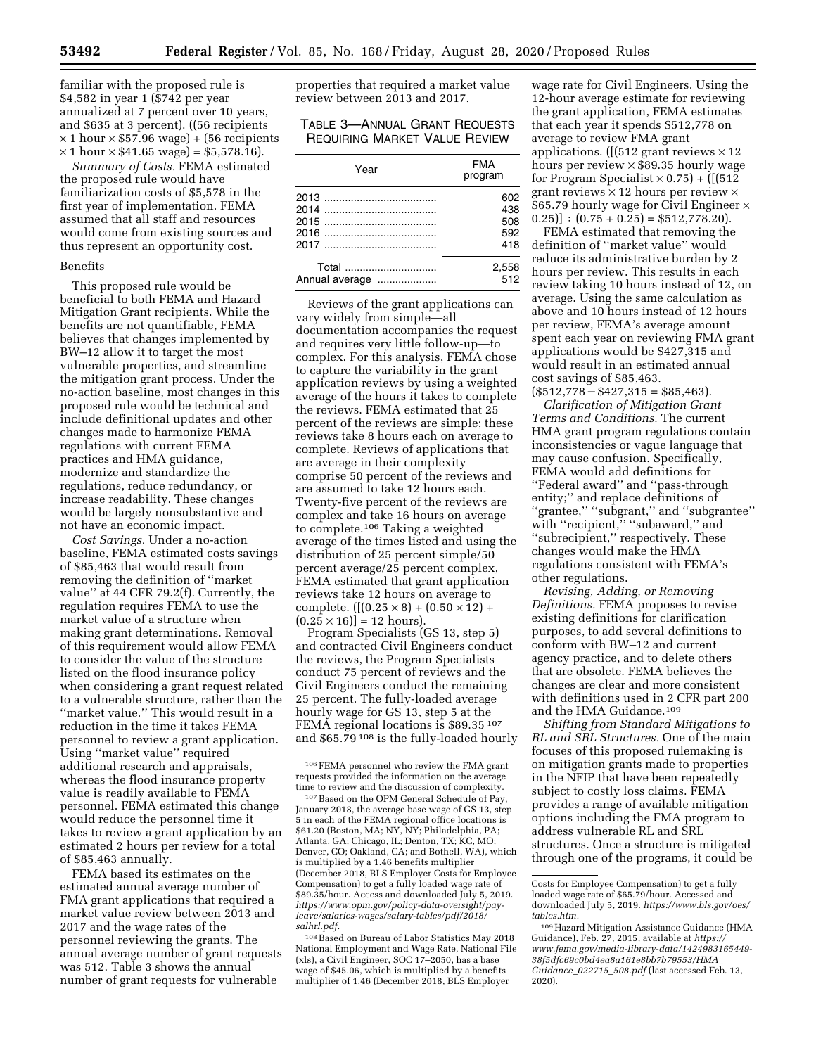familiar with the proposed rule is \$4,582 in year 1 (\$742 per year annualized at 7 percent over 10 years, and \$635 at 3 percent). ((56 recipients  $\times$  1 hour  $\times$  \$57.96 wage) + (56 recipients  $\times$  1 hour  $\times$  \$41.65 wage) = \$5,578.16).

*Summary of Costs.* FEMA estimated the proposed rule would have familiarization costs of \$5,578 in the first year of implementation. FEMA assumed that all staff and resources would come from existing sources and thus represent an opportunity cost.

#### Benefits

This proposed rule would be beneficial to both FEMA and Hazard Mitigation Grant recipients. While the benefits are not quantifiable, FEMA believes that changes implemented by BW–12 allow it to target the most vulnerable properties, and streamline the mitigation grant process. Under the no-action baseline, most changes in this proposed rule would be technical and include definitional updates and other changes made to harmonize FEMA regulations with current FEMA practices and HMA guidance, modernize and standardize the regulations, reduce redundancy, or increase readability. These changes would be largely nonsubstantive and not have an economic impact.

*Cost Savings.* Under a no-action baseline, FEMA estimated costs savings of \$85,463 that would result from removing the definition of ''market value'' at 44 CFR 79.2(f). Currently, the regulation requires FEMA to use the market value of a structure when making grant determinations. Removal of this requirement would allow FEMA to consider the value of the structure listed on the flood insurance policy when considering a grant request related to a vulnerable structure, rather than the ''market value.'' This would result in a reduction in the time it takes FEMA personnel to review a grant application. Using ''market value'' required additional research and appraisals, whereas the flood insurance property value is readily available to FEMA personnel. FEMA estimated this change would reduce the personnel time it takes to review a grant application by an estimated 2 hours per review for a total of \$85,463 annually.

FEMA based its estimates on the estimated annual average number of FMA grant applications that required a market value review between 2013 and 2017 and the wage rates of the personnel reviewing the grants. The annual average number of grant requests was 512. Table 3 shows the annual number of grant requests for vulnerable

properties that required a market value review between 2013 and 2017.

TABLE 3—ANNUAL GRANT REQUESTS REQUIRING MARKET VALUE REVIEW

| Year           | <b>FMA</b><br>program |
|----------------|-----------------------|
|                | 602                   |
|                | 438                   |
|                | 508                   |
|                | 592                   |
|                | 418                   |
| Total          | 2,558                 |
| Annual average | 512                   |

Reviews of the grant applications can vary widely from simple—all documentation accompanies the request and requires very little follow-up—to complex. For this analysis, FEMA chose to capture the variability in the grant application reviews by using a weighted average of the hours it takes to complete the reviews. FEMA estimated that 25 percent of the reviews are simple; these reviews take 8 hours each on average to complete. Reviews of applications that are average in their complexity comprise 50 percent of the reviews and are assumed to take 12 hours each. Twenty-five percent of the reviews are complex and take 16 hours on average to complete.106 Taking a weighted average of the times listed and using the distribution of 25 percent simple/50 percent average/25 percent complex, FEMA estimated that grant application reviews take 12 hours on average to complete.  $([(0.25 \times 8) + (0.50 \times 12) +$  $(0.25 \times 16)$ ] = 12 hours).

Program Specialists (GS 13, step 5) and contracted Civil Engineers conduct the reviews, the Program Specialists conduct 75 percent of reviews and the Civil Engineers conduct the remaining 25 percent. The fully-loaded average hourly wage for GS 13, step 5 at the FEMA regional locations is \$89.35 107 and \$65.79 108 is the fully-loaded hourly

107Based on the OPM General Schedule of Pay, January 2018, the average base wage of GS 13, step 5 in each of the FEMA regional office locations is \$61.20 (Boston, MA; NY, NY; Philadelphia, PA; Atlanta, GA; Chicago, IL; Denton, TX; KC, MO; Denver, CO; Oakland, CA; and Bothell, WA), which is multiplied by a 1.46 benefits multiplier (December 2018, BLS Employer Costs for Employee Compensation) to get a fully loaded wage rate of \$89.35/hour. Access and downloaded July 5, 2019. *[https://www.opm.gov/policy-data-oversight/pay](https://www.opm.gov/policy-data-oversight/pay-leave/salaries-wages/salary-tables/pdf/2018/salhrl.pdf)[leave/salaries-wages/salary-tables/pdf/2018/](https://www.opm.gov/policy-data-oversight/pay-leave/salaries-wages/salary-tables/pdf/2018/salhrl.pdf)  [salhrl.pdf.](https://www.opm.gov/policy-data-oversight/pay-leave/salaries-wages/salary-tables/pdf/2018/salhrl.pdf)* 

108Based on Bureau of Labor Statistics May 2018 National Employment and Wage Rate, National File (xls), a Civil Engineer, SOC 17–2050, has a base wage of \$45.06, which is multiplied by a benefits multiplier of 1.46 (December 2018, BLS Employer

wage rate for Civil Engineers. Using the 12-hour average estimate for reviewing the grant application, FEMA estimates that each year it spends \$512,778 on average to review FMA grant applications. ([(512 grant reviews  $\times$  12 hours per review  $\times$  \$89.35 hourly wage for Program Specialist  $\times$  0.75) + ([(512 grant reviews  $\times$  12 hours per review  $\times$ \$65.79 hourly wage for Civil Engineer ×  $(0.25)] \div (0.75 + 0.25) = $512,778.20$ .

FEMA estimated that removing the definition of ''market value'' would reduce its administrative burden by 2 hours per review. This results in each review taking 10 hours instead of 12, on average. Using the same calculation as above and 10 hours instead of 12 hours per review, FEMA's average amount spent each year on reviewing FMA grant applications would be \$427,315 and would result in an estimated annual cost savings of \$85,463.  $($512,778 - $427,315 = $85,463).$ 

*Clarification of Mitigation Grant Terms and Conditions.* The current HMA grant program regulations contain inconsistencies or vague language that may cause confusion. Specifically, FEMA would add definitions for ''Federal award'' and ''pass-through entity;'' and replace definitions of ''grantee,'' ''subgrant,'' and ''subgrantee'' with "recipient," "subaward," and ''subrecipient,'' respectively. These changes would make the HMA regulations consistent with FEMA's other regulations.

*Revising, Adding, or Removing Definitions.* FEMA proposes to revise existing definitions for clarification purposes, to add several definitions to conform with BW–12 and current agency practice, and to delete others that are obsolete. FEMA believes the changes are clear and more consistent with definitions used in 2 CFR part 200 and the HMA Guidance.109

*Shifting from Standard Mitigations to RL and SRL Structures.* One of the main focuses of this proposed rulemaking is on mitigation grants made to properties in the NFIP that have been repeatedly subject to costly loss claims. FEMA provides a range of available mitigation options including the FMA program to address vulnerable RL and SRL structures. Once a structure is mitigated through one of the programs, it could be

<sup>106</sup>FEMA personnel who review the FMA grant requests provided the information on the average time to review and the discussion of complexity.

Costs for Employee Compensation) to get a fully loaded wage rate of \$65.79/hour. Accessed and downloaded July 5, 2019. *[https://www.bls.gov/oes/](https://www.bls.gov/oes/tables.htm)  [tables.htm.](https://www.bls.gov/oes/tables.htm)* 

<sup>109</sup>Hazard Mitigation Assistance Guidance (HMA Guidance), Feb. 27, 2015, available at *[https://](https://www.fema.gov/media-library-data/1424983165449-38f5dfc69c0bd4ea8a161e8bb7b79553/HMA_Guidance_022715_508.pdf) [www.fema.gov/media-library-data/1424983165449-](https://www.fema.gov/media-library-data/1424983165449-38f5dfc69c0bd4ea8a161e8bb7b79553/HMA_Guidance_022715_508.pdf)  [38f5dfc69c0bd4ea8a161e8bb7b79553/HMA](https://www.fema.gov/media-library-data/1424983165449-38f5dfc69c0bd4ea8a161e8bb7b79553/HMA_Guidance_022715_508.pdf)*\_ *[Guidance](https://www.fema.gov/media-library-data/1424983165449-38f5dfc69c0bd4ea8a161e8bb7b79553/HMA_Guidance_022715_508.pdf)*\_*022715*\_*508.pdf* (last accessed Feb. 13, 2020).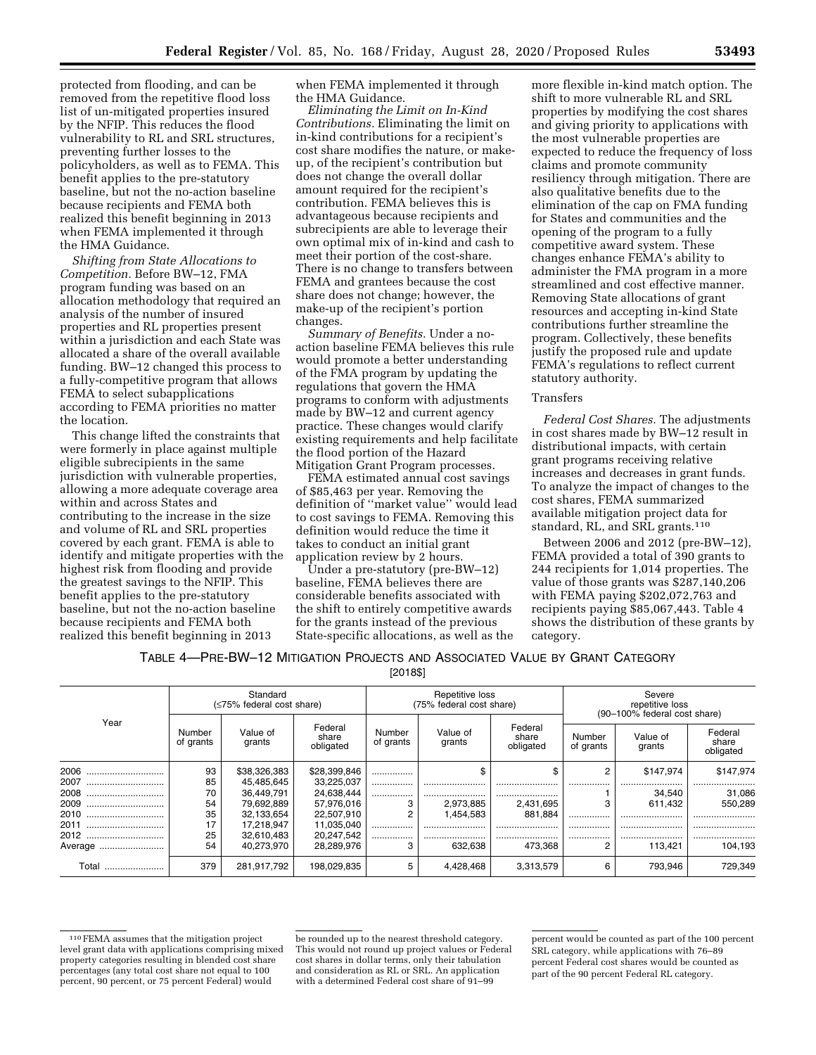protected from flooding, and can be removed from the repetitive flood loss list of un-mitigated properties insured by the NFIP. This reduces the flood vulnerability to RL and SRL structures, preventing further losses to the policyholders, as well as to FEMA. This benefit applies to the pre-statutory baseline, but not the no-action baseline because recipients and FEMA both realized this benefit beginning in 2013 when FEMA implemented it through the HMA Guidance.

*Shifting from State Allocations to Competition.* Before BW–12, FMA program funding was based on an allocation methodology that required an analysis of the number of insured properties and RL properties present within a jurisdiction and each State was allocated a share of the overall available funding. BW–12 changed this process to a fully-competitive program that allows FEMA to select subapplications according to FEMA priorities no matter the location.

This change lifted the constraints that were formerly in place against multiple eligible subrecipients in the same jurisdiction with vulnerable properties, allowing a more adequate coverage area within and across States and contributing to the increase in the size and volume of RL and SRL properties covered by each grant. FEMA is able to identify and mitigate properties with the highest risk from flooding and provide the greatest savings to the NFIP. This benefit applies to the pre-statutory baseline, but not the no-action baseline because recipients and FEMA both realized this benefit beginning in 2013

when FEMA implemented it through the HMA Guidance.

*Eliminating the Limit on In-Kind Contributions.* Eliminating the limit on in-kind contributions for a recipient's cost share modifies the nature, or makeup, of the recipient's contribution but does not change the overall dollar amount required for the recipient's contribution. FEMA believes this is advantageous because recipients and subrecipients are able to leverage their own optimal mix of in-kind and cash to meet their portion of the cost-share. There is no change to transfers between FEMA and grantees because the cost share does not change; however, the make-up of the recipient's portion changes.

*Summary of Benefits.* Under a noaction baseline FEMA believes this rule would promote a better understanding of the FMA program by updating the regulations that govern the HMA programs to conform with adjustments made by BW–12 and current agency practice. These changes would clarify existing requirements and help facilitate the flood portion of the Hazard Mitigation Grant Program processes.

FEMA estimated annual cost savings of \$85,463 per year. Removing the definition of ''market value'' would lead to cost savings to FEMA. Removing this definition would reduce the time it takes to conduct an initial grant application review by 2 hours.

Under a pre-statutory (pre-BW–12) baseline, FEMA believes there are considerable benefits associated with the shift to entirely competitive awards for the grants instead of the previous State-specific allocations, as well as the

more flexible in-kind match option. The shift to more vulnerable RL and SRL properties by modifying the cost shares and giving priority to applications with the most vulnerable properties are expected to reduce the frequency of loss claims and promote community resiliency through mitigation. There are also qualitative benefits due to the elimination of the cap on FMA funding for States and communities and the opening of the program to a fully competitive award system. These changes enhance FEMA's ability to administer the FMA program in a more streamlined and cost effective manner. Removing State allocations of grant resources and accepting in-kind State contributions further streamline the program. Collectively, these benefits justify the proposed rule and update FEMA's regulations to reflect current statutory authority.

#### Transfers

*Federal Cost Shares.* The adjustments in cost shares made by BW–12 result in distributional impacts, with certain grant programs receiving relative increases and decreases in grant funds. To analyze the impact of changes to the cost shares, FEMA summarized available mitigation project data for standard, RL, and SRL grants.110

Between 2006 and 2012 (pre-BW–12), FEMA provided a total of 390 grants to 244 recipients for 1,014 properties. The value of those grants was \$287,140,206 with FEMA paying \$202,072,763 and recipients paying \$85,067,443. Table 4 shows the distribution of these grants by category.

TABLE 4—PRE-BW–12 MITIGATION PROJECTS AND ASSOCIATED VALUE BY GRANT CATEGORY

[2018\$]

|          | Standard<br>(≤75% federal cost share) |                                                                                                                                   |              | Repetitive loss<br>(75% federal cost share) |                    |                               | Severe<br>repetitive loss<br>(90–100% federal cost share) |           |           |
|----------|---------------------------------------|-----------------------------------------------------------------------------------------------------------------------------------|--------------|---------------------------------------------|--------------------|-------------------------------|-----------------------------------------------------------|-----------|-----------|
| Year     | Number<br>of grants                   | Federal<br>Federal<br>Value of<br>Value of<br>Number<br>share<br>share<br>of grants<br>grants<br>grants<br>obligated<br>obligated |              | Number<br>of grants                         | Value of<br>grants | Federal<br>share<br>obligated |                                                           |           |           |
| 2006     | 93                                    | \$38,326,383                                                                                                                      | \$28,399,846 | .                                           |                    |                               | 2                                                         | \$147.974 | \$147.974 |
| 2007     | 85                                    | 45,485,645                                                                                                                        | 33,225,037   |                                             |                    |                               |                                                           |           |           |
| 2008<br> | 70                                    | 36.449.791                                                                                                                        | 24.638.444   |                                             |                    |                               |                                                           | 34.540    | 31,086    |
| 2009<br> | 54                                    | 79,692,889                                                                                                                        | 57,976,016   | 3                                           | 2,973,885          | 2,431,695                     | 3                                                         | 611.432   | 550.289   |
| 2010     | 35                                    | 32.133.654                                                                                                                        | 22,507,910   |                                             | 1.454.583          | 881.884                       | .                                                         |           |           |
| 2011     | 17                                    | 17,218,947                                                                                                                        | 11,035,040   | .                                           |                    |                               | .                                                         |           |           |
| 2012     | 25                                    | 32,610,483                                                                                                                        | 20,247,542   | .                                           |                    |                               |                                                           |           |           |
| Average  | 54                                    | 40.273.970                                                                                                                        | 28.289.976   | 3                                           | 632.638            | 473.368                       | 2                                                         | 113.421   | 104.193   |
| Total    | 379                                   | 281,917,792                                                                                                                       | 198,029,835  | 5                                           | 4.428.468          | 3,313,579                     | 6                                                         | 793.946   | 729,349   |

<sup>110</sup>FEMA assumes that the mitigation project level grant data with applications comprising mixed property categories resulting in blended cost share percentages (any total cost share not equal to 100 percent, 90 percent, or 75 percent Federal) would

be rounded up to the nearest threshold category. This would not round up project values or Federal cost shares in dollar terms, only their tabulation and consideration as RL or SRL. An application with a determined Federal cost share of 91–99

percent would be counted as part of the 100 percent SRL category, while applications with 76–89 percent Federal cost shares would be counted as part of the 90 percent Federal RL category.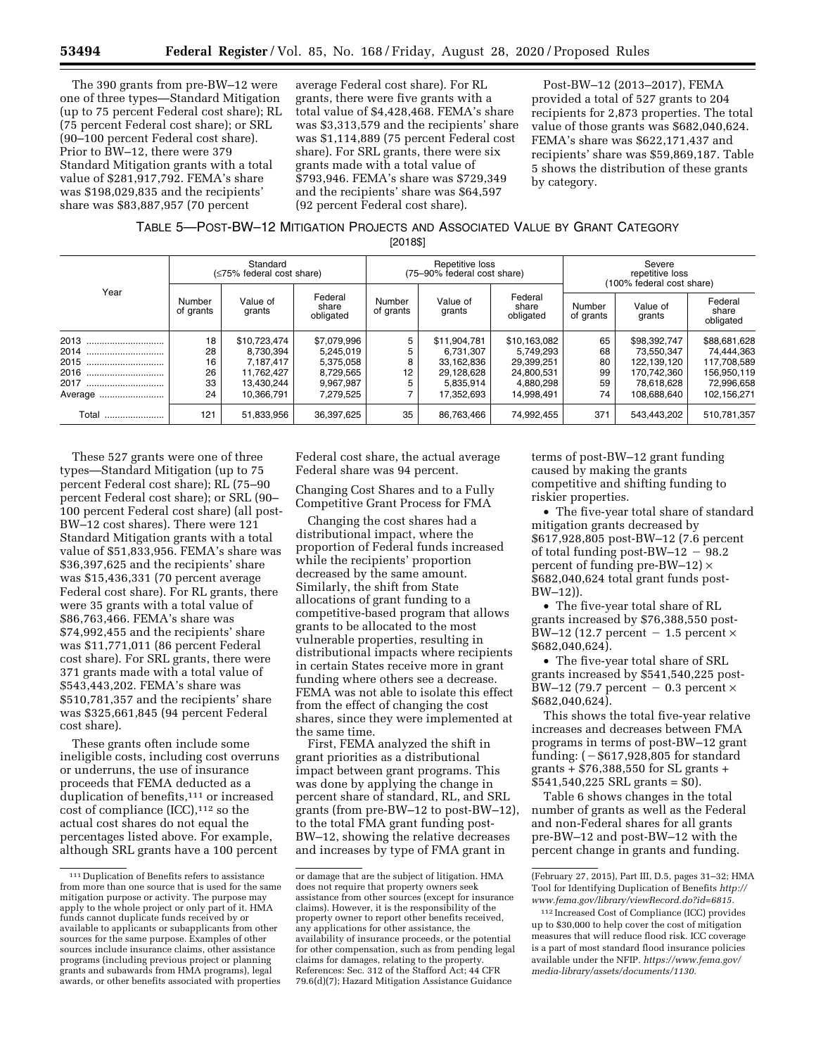The 390 grants from pre-BW–12 were one of three types—Standard Mitigation (up to 75 percent Federal cost share); RL (75 percent Federal cost share); or SRL (90–100 percent Federal cost share). Prior to BW–12, there were 379 Standard Mitigation grants with a total value of \$281,917,792. FEMA's share was \$198,029,835 and the recipients' share was \$83,887,957 (70 percent

average Federal cost share). For RL grants, there were five grants with a total value of \$4,428,468. FEMA's share was \$3,313,579 and the recipients' share was \$1,114,889 (75 percent Federal cost share). For SRL grants, there were six grants made with a total value of \$793,946. FEMA's share was \$729,349 and the recipients' share was \$64,597 (92 percent Federal cost share).

Post-BW–12 (2013–2017), FEMA provided a total of 527 grants to 204 recipients for 2,873 properties. The total value of those grants was \$682,040,624. FEMA's share was \$622,171,437 and recipients' share was \$59,869,187. Table 5 shows the distribution of these grants by category.

#### TABLE 5—POST-BW–12 MITIGATION PROJECTS AND ASSOCIATED VALUE BY GRANT CATEGORY [2018\$]

|          | Standard<br>(≤75% federal cost share) |                    |                               | Repetitive loss<br>(75-90% federal cost share) |                    |                               | Severe<br>repetitive loss<br>(100% federal cost share) |                    |                               |
|----------|---------------------------------------|--------------------|-------------------------------|------------------------------------------------|--------------------|-------------------------------|--------------------------------------------------------|--------------------|-------------------------------|
| Year     | Number<br>of grants                   | Value of<br>grants | Federal<br>share<br>obligated | Number<br>of grants                            | Value of<br>grants | Federal<br>share<br>obligated | Number<br>of grants                                    | Value of<br>grants | Federal<br>share<br>obligated |
| 2013     | 18                                    | \$10,723,474       | \$7,079,996                   | 5                                              | \$11.904.781       | \$10,163,082                  | 65                                                     | \$98,392,747       | \$88,681,628                  |
| 2014<br> | 28                                    | 8.730.394          | 5,245,019                     | 5                                              | 6.731.307          | 5.749.293                     | 68                                                     | 73,550,347         | 74,444,363                    |
| 2015     | 16                                    | 7,187,417          | 5,375,058                     | 8                                              | 33,162,836         | 29.399.251                    | 80                                                     | 122.139.120        | 117,708,589                   |
| 2016     | 26                                    | 11.762.427         | 8,729,565                     | 12                                             | 29.128.628         | 24.800.531                    | 99                                                     | 170.742.360        | 156.950.119                   |
| 2017     | 33                                    | 13.430.244         | 9,967,987                     | 5                                              | 5.835.914          | 4.880.298                     | 59                                                     | 78.618.628         | 72,996,658                    |
| Average  | 24                                    | 10.366.791         | 7,279,525                     |                                                | 17.352.693         | 14.998.491                    | 74                                                     | 108.688.640        | 102,156,271                   |
| Total    | 121                                   | 51,833,956         | 36,397,625                    | 35                                             | 86.763.466         | 74.992.455                    | 371                                                    | 543.443.202        | 510.781.357                   |

These 527 grants were one of three types—Standard Mitigation (up to 75 percent Federal cost share); RL (75–90 percent Federal cost share); or SRL (90– 100 percent Federal cost share) (all post-BW–12 cost shares). There were 121 Standard Mitigation grants with a total value of \$51,833,956. FEMA's share was \$36,397,625 and the recipients' share was \$15,436,331 (70 percent average Federal cost share). For RL grants, there were 35 grants with a total value of \$86,763,466. FEMA's share was \$74,992,455 and the recipients' share was \$11,771,011 (86 percent Federal cost share). For SRL grants, there were 371 grants made with a total value of \$543,443,202. FEMA's share was \$510,781,357 and the recipients' share was \$325,661,845 (94 percent Federal cost share).

These grants often include some ineligible costs, including cost overruns or underruns, the use of insurance proceeds that FEMA deducted as a duplication of benefits,111 or increased cost of compliance  $(ICC)$ ,  $112$  so the actual cost shares do not equal the percentages listed above. For example, although SRL grants have a 100 percent

Federal cost share, the actual average Federal share was 94 percent.

Changing Cost Shares and to a Fully Competitive Grant Process for FMA

Changing the cost shares had a distributional impact, where the proportion of Federal funds increased while the recipients' proportion decreased by the same amount. Similarly, the shift from State allocations of grant funding to a competitive-based program that allows grants to be allocated to the most vulnerable properties, resulting in distributional impacts where recipients in certain States receive more in grant funding where others see a decrease. FEMA was not able to isolate this effect from the effect of changing the cost shares, since they were implemented at the same time.

First, FEMA analyzed the shift in grant priorities as a distributional impact between grant programs. This was done by applying the change in percent share of standard, RL, and SRL grants (from pre-BW–12 to post-BW–12), to the total FMA grant funding post-BW–12, showing the relative decreases and increases by type of FMA grant in

terms of post-BW–12 grant funding caused by making the grants competitive and shifting funding to riskier properties.

• The five-year total share of standard mitigation grants decreased by \$617,928,805 post-BW–12 (7.6 percent of total funding post-BW $-12 - 98.2$ percent of funding pre-BW–12)  $\times$ \$682,040,624 total grant funds post-BW–12)).

• The five-year total share of RL grants increased by \$76,388,550 post-BW–12 (12.7 percent  $-1.5$  percent  $\times$ \$682,040,624).

• The five-year total share of SRL grants increased by \$541,540,225 post-BW–12 (79.7 percent  $-0.3$  percent  $\times$ \$682,040,624).

This shows the total five-year relative increases and decreases between FMA programs in terms of post-BW–12 grant funding:  $(-\$617,928,805$  for standard grants + \$76,388,550 for SL grants + \$541,540,225 SRL grants = \$0).

Table 6 shows changes in the total number of grants as well as the Federal and non-Federal shares for all grants pre-BW–12 and post-BW–12 with the percent change in grants and funding.

 $^{\rm 111}$  Duplication of Benefits refers to assistance from more than one source that is used for the same mitigation purpose or activity. The purpose may apply to the whole project or only part of it. HMA funds cannot duplicate funds received by or available to applicants or subapplicants from other sources for the same purpose. Examples of other sources include insurance claims, other assistance programs (including previous project or planning grants and subawards from HMA programs), legal awards, or other benefits associated with properties

or damage that are the subject of litigation. HMA does not require that property owners seek assistance from other sources (except for insurance claims). However, it is the responsibility of the property owner to report other benefits received, any applications for other assistance, the availability of insurance proceeds, or the potential for other compensation, such as from pending legal claims for damages, relating to the property. References: Sec. 312 of the Stafford Act; 44 CFR 79.6(d)(7); Hazard Mitigation Assistance Guidance

<sup>(</sup>February 27, 2015), Part III, D.5, pages 31–32; HMA Tool for Identifying Duplication of Benefits *[http://](http://www.fema.gov/library/viewRecord.do?id=6815)  [www.fema.gov/library/viewRecord.do?id=6815.](http://www.fema.gov/library/viewRecord.do?id=6815)* 

<sup>112</sup> Increased Cost of Compliance (ICC) provides up to \$30,000 to help cover the cost of mitigation measures that will reduce flood risk. ICC coverage is a part of most standard flood insurance policies available under the NFIP. *[https://www.fema.gov/](https://www.fema.gov/media-library/assets/documents/1130) [media-library/assets/documents/1130.](https://www.fema.gov/media-library/assets/documents/1130)*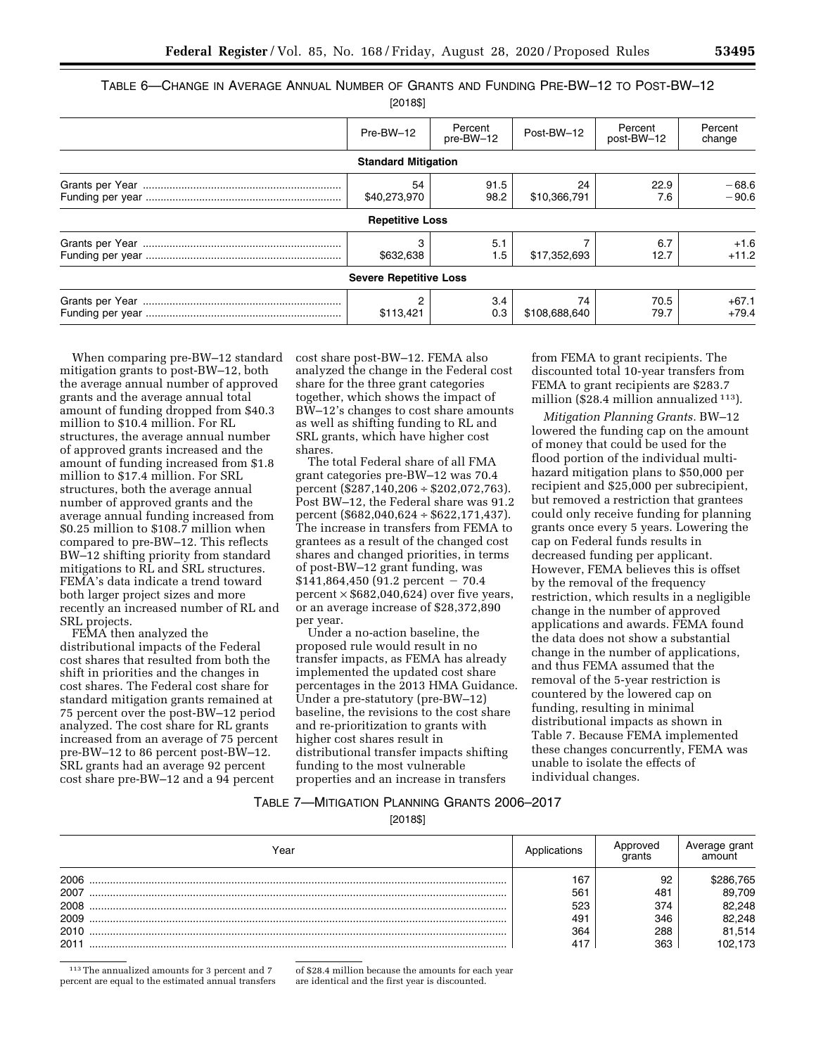| Table 6—Change in Average Annual Number of Grants and Funding Pre-BW—12 to Post-BW—12 |  |        |  |  |
|---------------------------------------------------------------------------------------|--|--------|--|--|
|                                                                                       |  | 0.0401 |  |  |

| اقەر 120                      |                      |                     |                       |                    |
|-------------------------------|----------------------|---------------------|-----------------------|--------------------|
| Pre-BW-12                     | Percent<br>pre-BW-12 | Post-BW-12          | Percent<br>post-BW-12 | Percent<br>change  |
| <b>Standard Mitigation</b>    |                      |                     |                       |                    |
| 54<br>\$40,273,970            | 91.5<br>98.2         | 24<br>\$10,366,791  | 22.9<br>7.6           | $-68.6$<br>$-90.6$ |
| <b>Repetitive Loss</b>        |                      |                     |                       |                    |
| \$632,638                     | 5.1<br>1.5           | \$17,352,693        | 6.7<br>12.7           | $+1.6$<br>$+11.2$  |
| <b>Severe Repetitive Loss</b> |                      |                     |                       |                    |
| 2<br>\$113,421                | 3.4<br>0.3           | 74<br>\$108,688,640 | 70.5<br>79.7          | $+67.1$<br>$+79.4$ |

When comparing pre-BW–12 standard mitigation grants to post-BW–12, both the average annual number of approved grants and the average annual total amount of funding dropped from \$40.3 million to \$10.4 million. For RL structures, the average annual number of approved grants increased and the amount of funding increased from \$1.8 million to \$17.4 million. For SRL structures, both the average annual number of approved grants and the average annual funding increased from \$0.25 million to \$108.7 million when compared to pre-BW–12. This reflects BW–12 shifting priority from standard mitigations to RL and SRL structures. FEMA's data indicate a trend toward both larger project sizes and more recently an increased number of RL and SRL projects.

FEMA then analyzed the distributional impacts of the Federal cost shares that resulted from both the shift in priorities and the changes in cost shares. The Federal cost share for standard mitigation grants remained at 75 percent over the post-BW–12 period analyzed. The cost share for RL grants increased from an average of 75 percent pre-BW–12 to 86 percent post-BW–12. SRL grants had an average 92 percent cost share pre-BW–12 and a 94 percent

cost share post-BW–12. FEMA also analyzed the change in the Federal cost share for the three grant categories together, which shows the impact of BW–12's changes to cost share amounts as well as shifting funding to RL and SRL grants, which have higher cost shares.

The total Federal share of all FMA grant categories pre-BW–12 was 70.4 percent (\$287,140,206 ÷ \$202,072,763). Post BW–12, the Federal share was 91.2 percent (\$682,040,624 ÷ \$622,171,437). The increase in transfers from FEMA to grantees as a result of the changed cost shares and changed priorities, in terms of post-BW–12 grant funding, was  $$141,864,450$  (91.2 percent - 70.4 percent  $\times$  \$682,040,624) over five years, or an average increase of \$28,372,890 per year.

Under a no-action baseline, the proposed rule would result in no transfer impacts, as FEMA has already implemented the updated cost share percentages in the 2013 HMA Guidance. Under a pre-statutory (pre-BW–12) baseline, the revisions to the cost share and re-prioritization to grants with higher cost shares result in distributional transfer impacts shifting funding to the most vulnerable properties and an increase in transfers

from FEMA to grant recipients. The discounted total 10-year transfers from FEMA to grant recipients are \$283.7 million (\$28.4 million annualized 113).

*Mitigation Planning Grants.* BW–12 lowered the funding cap on the amount of money that could be used for the flood portion of the individual multihazard mitigation plans to \$50,000 per recipient and \$25,000 per subrecipient, but removed a restriction that grantees could only receive funding for planning grants once every 5 years. Lowering the cap on Federal funds results in decreased funding per applicant. However, FEMA believes this is offset by the removal of the frequency restriction, which results in a negligible change in the number of approved applications and awards. FEMA found the data does not show a substantial change in the number of applications, and thus FEMA assumed that the removal of the 5-year restriction is countered by the lowered cap on funding, resulting in minimal distributional impacts as shown in Table 7. Because FEMA implemented these changes concurrently, FEMA was unable to isolate the effects of individual changes.

# TABLE 7—MITIGATION PLANNING GRANTS 2006–2017

[2018\$]

| Year | plications | Approved<br>arants | Average grant<br>amount |
|------|------------|--------------------|-------------------------|
| 2006 | 167        | 92                 | 286,765ء                |
| 2007 | 561        | 481                | 89,709                  |
| 2008 | 523        | 374                | 82,248                  |
| 2009 | 491        | 346                | 82,248                  |
| 2010 | 364        | 288                | 81,514                  |
| 2011 | 417        | 363                | 102.173                 |

113The annualized amounts for 3 percent and 7 percent are equal to the estimated annual transfers

of \$28.4 million because the amounts for each year are identical and the first year is discounted.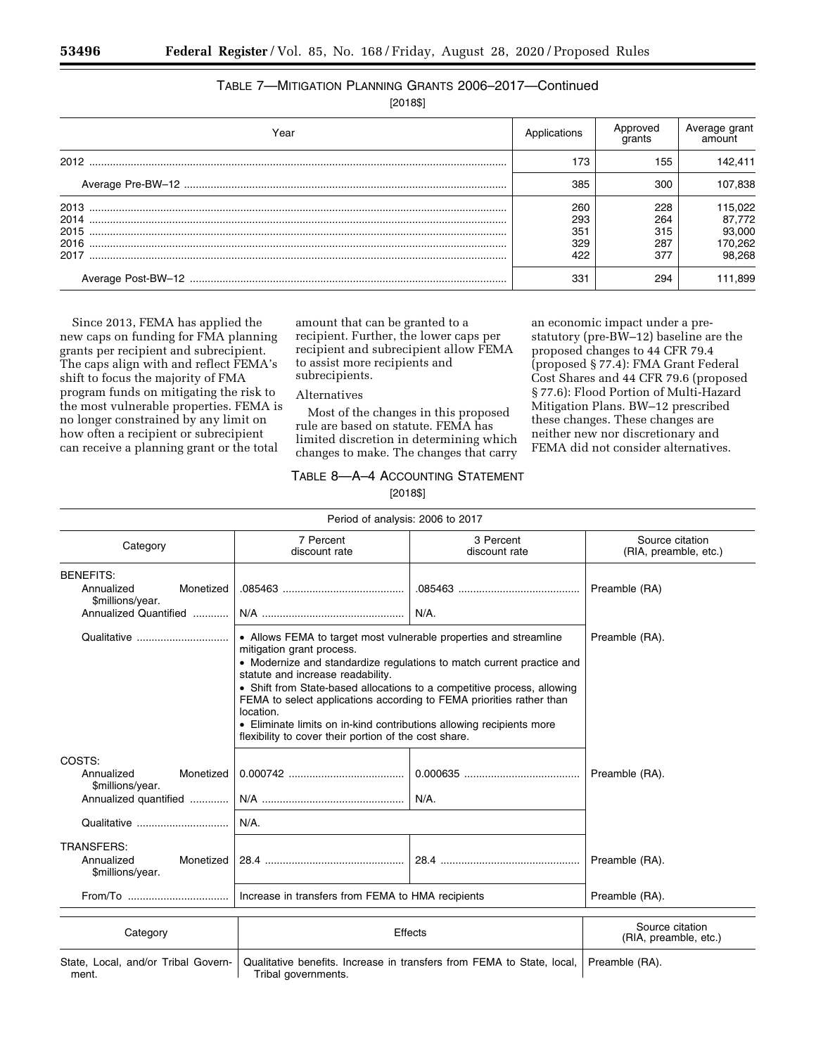# TABLE 7—MITIGATION PLANNING GRANTS 2006–2017—Continued

[2018\$]

| Year                         | Applications                    | Approved<br>grants              | Average grant<br>amount                          |
|------------------------------|---------------------------------|---------------------------------|--------------------------------------------------|
| 2012                         | 173                             | 155                             | 142.411                                          |
|                              | 385                             | 300                             | 107,838                                          |
| 2014<br>2015<br>2016<br>2017 | 260<br>293<br>351<br>329<br>422 | 228<br>264<br>315<br>287<br>377 | 115,022<br>87,772<br>93,000<br>170,262<br>98.268 |
|                              | 331                             | 294                             | 111,899                                          |

Since 2013, FEMA has applied the new caps on funding for FMA planning grants per recipient and subrecipient. The caps align with and reflect FEMA's shift to focus the majority of FMA program funds on mitigating the risk to the most vulnerable properties. FEMA is no longer constrained by any limit on how often a recipient or subrecipient can receive a planning grant or the total

amount that can be granted to a recipient. Further, the lower caps per recipient and subrecipient allow FEMA to assist more recipients and subrecipients.

an economic impact under a prestatutory (pre-BW–12) baseline are the proposed changes to 44 CFR 79.4 (proposed § 77.4): FMA Grant Federal Cost Shares and 44 CFR 79.6 (proposed § 77.6): Flood Portion of Multi-Hazard Mitigation Plans. BW–12 prescribed these changes. These changes are neither new nor discretionary and FEMA did not consider alternatives.

Alternatives

Most of the changes in this proposed rule are based on statute. FEMA has limited discretion in determining which changes to make. The changes that carry

# TABLE 8—A–4 ACCOUNTING STATEMENT [2018\$]

Period of analysis: 2006 to 2017 Category 7 Percent discount rate 3 Percent discount rate Source citation (RIA, preamble, etc.) BENEFITS: Annualized Monetized \$millions/year. .085463 ......................................... .085463 ......................................... Preamble (RA) Annualized Quantified ............ N/A ................................................ N/A. Qualitative ............................... • Allows FEMA to target most vulnerable properties and streamline mitigation grant process. Preamble (RA). • Modernize and standardize regulations to match current practice and statute and increase readability. • Shift from State-based allocations to a competitive process, allowing FEMA to select applications according to FEMA priorities rather than location. • Eliminate limits on in-kind contributions allowing recipients more flexibility to cover their portion of the cost share. COSTS: Annualized Monetized \$millions/year. 0.000742 ....................................... 0.000635 ....................................... Preamble (RA). Annualized quantified ............. N/A ................................................ N/A. Qualitative ............................... N/A. TRANSFERS: Annualized Monetized \$millions/year. 28.4 ............................................... 28.4 ............................................... Preamble (RA). From/To .................................. Increase in transfers from FEMA to HMA recipients Preamble (RA). Category **Source citation**<br>Category **Effects** Effects Source citation Source citation (RIA, preamble, etc.)

State, Local, and/or Tribal Government. Qualitative benefits. Increase in transfers from FEMA to State, local, Tribal governments. Preamble (RA).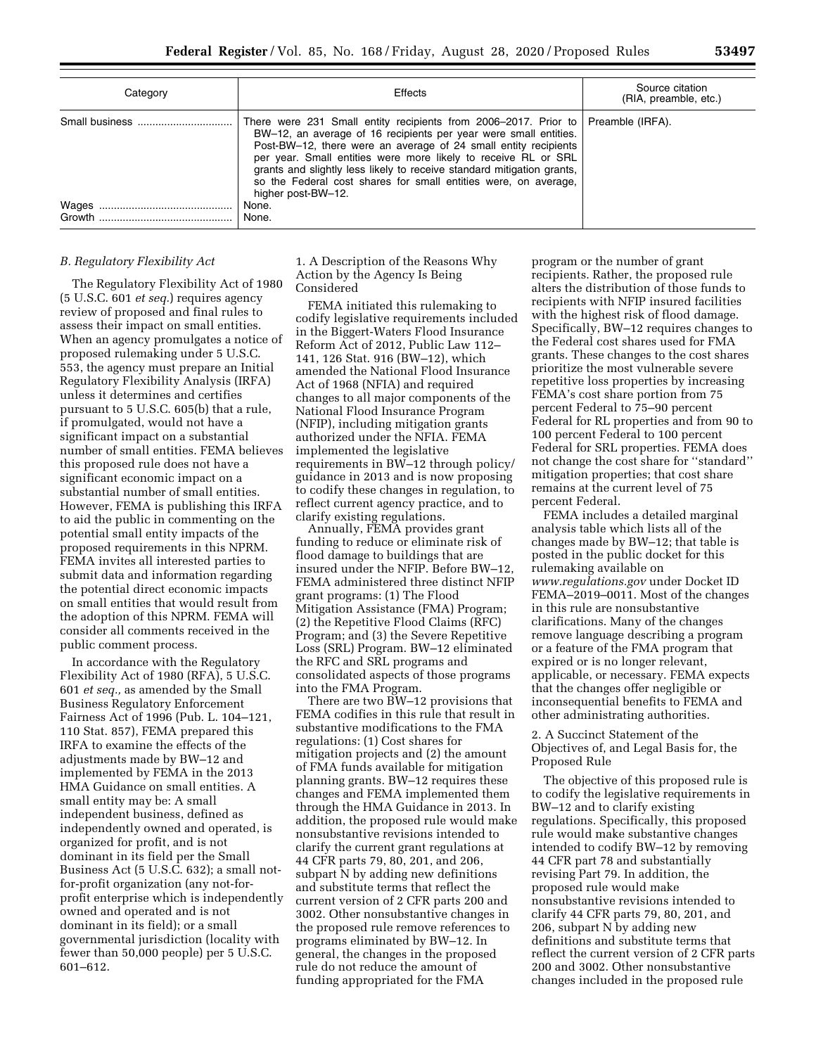| Category       | Effects                                                                                                                                                                                                                                                                                                                                                                                                                                                              | Source citation<br>(RIA, preamble, etc.) |
|----------------|----------------------------------------------------------------------------------------------------------------------------------------------------------------------------------------------------------------------------------------------------------------------------------------------------------------------------------------------------------------------------------------------------------------------------------------------------------------------|------------------------------------------|
| Small business | There were 231 Small entity recipients from 2006–2017. Prior to $\vert$ Preamble (IRFA).<br>BW-12, an average of 16 recipients per year were small entities.<br>Post-BW-12, there were an average of 24 small entity recipients<br>per year. Small entities were more likely to receive RL or SRL<br>grants and slightly less likely to receive standard mitigation grants,<br>so the Federal cost shares for small entities were, on average,<br>higher post-BW-12. |                                          |
|                | None.                                                                                                                                                                                                                                                                                                                                                                                                                                                                |                                          |
|                | None.                                                                                                                                                                                                                                                                                                                                                                                                                                                                |                                          |

## *B. Regulatory Flexibility Act*

The Regulatory Flexibility Act of 1980 (5 U.S.C. 601 *et seq.*) requires agency review of proposed and final rules to assess their impact on small entities. When an agency promulgates a notice of proposed rulemaking under 5 U.S.C. 553, the agency must prepare an Initial Regulatory Flexibility Analysis (IRFA) unless it determines and certifies pursuant to 5 U.S.C. 605(b) that a rule, if promulgated, would not have a significant impact on a substantial number of small entities. FEMA believes this proposed rule does not have a significant economic impact on a substantial number of small entities. However, FEMA is publishing this IRFA to aid the public in commenting on the potential small entity impacts of the proposed requirements in this NPRM. FEMA invites all interested parties to submit data and information regarding the potential direct economic impacts on small entities that would result from the adoption of this NPRM. FEMA will consider all comments received in the public comment process.

In accordance with the Regulatory Flexibility Act of 1980 (RFA), 5 U.S.C. 601 *et seq.,* as amended by the Small Business Regulatory Enforcement Fairness Act of 1996 (Pub. L. 104–121, 110 Stat. 857), FEMA prepared this IRFA to examine the effects of the adjustments made by BW–12 and implemented by FEMA in the 2013 HMA Guidance on small entities. A small entity may be: A small independent business, defined as independently owned and operated, is organized for profit, and is not dominant in its field per the Small Business Act (5 U.S.C. 632); a small notfor-profit organization (any not-forprofit enterprise which is independently owned and operated and is not dominant in its field); or a small governmental jurisdiction (locality with fewer than 50,000 people) per 5 U.S.C. 601–612.

# 1. A Description of the Reasons Why Action by the Agency Is Being Considered

FEMA initiated this rulemaking to codify legislative requirements included in the Biggert-Waters Flood Insurance Reform Act of 2012, Public Law 112– 141, 126 Stat. 916 (BW–12), which amended the National Flood Insurance Act of 1968 (NFIA) and required changes to all major components of the National Flood Insurance Program (NFIP), including mitigation grants authorized under the NFIA. FEMA implemented the legislative requirements in BW–12 through policy/ guidance in 2013 and is now proposing to codify these changes in regulation, to reflect current agency practice, and to clarify existing regulations.

Annually, FEMA provides grant funding to reduce or eliminate risk of flood damage to buildings that are insured under the NFIP. Before BW–12, FEMA administered three distinct NFIP grant programs: (1) The Flood Mitigation Assistance (FMA) Program; (2) the Repetitive Flood Claims (RFC) Program; and (3) the Severe Repetitive Loss (SRL) Program. BW–12 eliminated the RFC and SRL programs and consolidated aspects of those programs into the FMA Program.

There are two BW–12 provisions that FEMA codifies in this rule that result in substantive modifications to the FMA regulations: (1) Cost shares for mitigation projects and (2) the amount of FMA funds available for mitigation planning grants. BW–12 requires these changes and FEMA implemented them through the HMA Guidance in 2013. In addition, the proposed rule would make nonsubstantive revisions intended to clarify the current grant regulations at 44 CFR parts 79, 80, 201, and 206, subpart N by adding new definitions and substitute terms that reflect the current version of 2 CFR parts 200 and 3002. Other nonsubstantive changes in the proposed rule remove references to programs eliminated by BW–12. In general, the changes in the proposed rule do not reduce the amount of funding appropriated for the FMA

program or the number of grant recipients. Rather, the proposed rule alters the distribution of those funds to recipients with NFIP insured facilities with the highest risk of flood damage. Specifically, BW–12 requires changes to the Federal cost shares used for FMA grants. These changes to the cost shares prioritize the most vulnerable severe repetitive loss properties by increasing FEMA's cost share portion from 75 percent Federal to 75–90 percent Federal for RL properties and from 90 to 100 percent Federal to 100 percent Federal for SRL properties. FEMA does not change the cost share for ''standard'' mitigation properties; that cost share remains at the current level of 75 percent Federal.

FEMA includes a detailed marginal analysis table which lists all of the changes made by BW–12; that table is posted in the public docket for this rulemaking available on *[www.regulations.gov](http://www.regulations.gov)* under Docket ID FEMA–2019–0011. Most of the changes in this rule are nonsubstantive clarifications. Many of the changes remove language describing a program or a feature of the FMA program that expired or is no longer relevant, applicable, or necessary. FEMA expects that the changes offer negligible or inconsequential benefits to FEMA and other administrating authorities.

## 2. A Succinct Statement of the Objectives of, and Legal Basis for, the Proposed Rule

The objective of this proposed rule is to codify the legislative requirements in BW–12 and to clarify existing regulations. Specifically, this proposed rule would make substantive changes intended to codify BW–12 by removing 44 CFR part 78 and substantially revising Part 79. In addition, the proposed rule would make nonsubstantive revisions intended to clarify 44 CFR parts 79, 80, 201, and 206, subpart N by adding new definitions and substitute terms that reflect the current version of 2 CFR parts 200 and 3002. Other nonsubstantive changes included in the proposed rule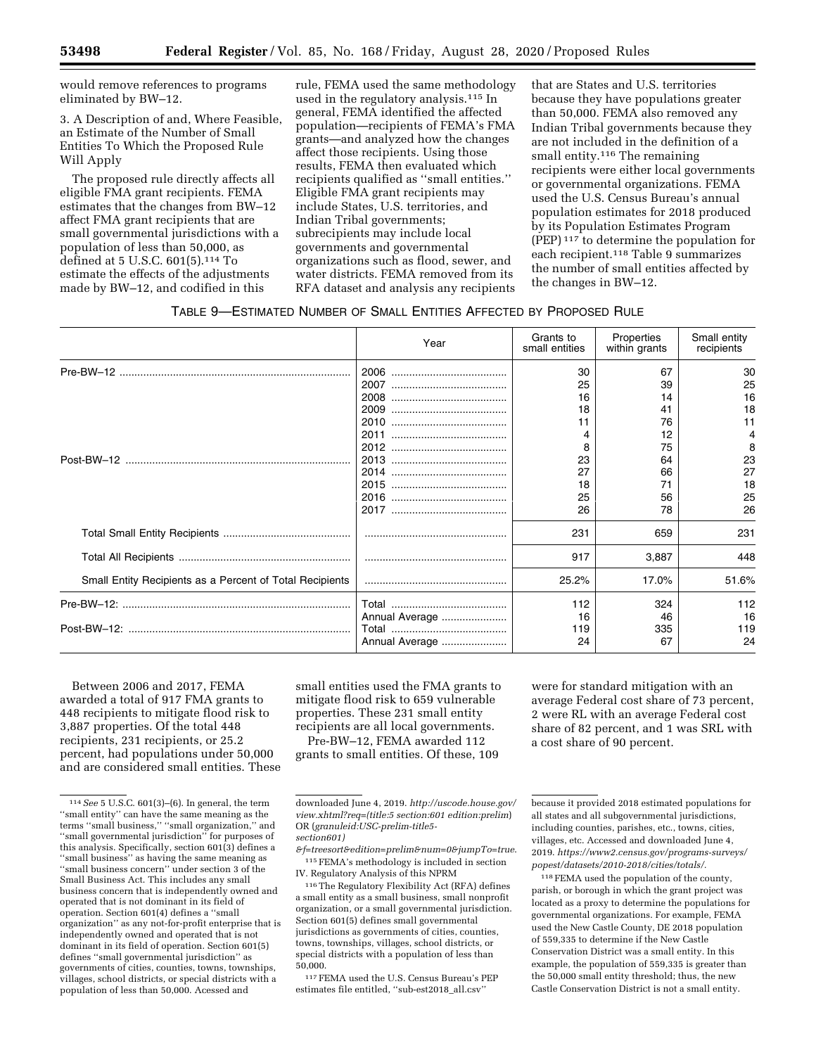would remove references to programs eliminated by BW–12.

3. A Description of and, Where Feasible, an Estimate of the Number of Small Entities To Which the Proposed Rule Will Apply

The proposed rule directly affects all eligible FMA grant recipients. FEMA estimates that the changes from BW–12 affect FMA grant recipients that are small governmental jurisdictions with a population of less than 50,000, as defined at 5 U.S.C. 601(5).114 To estimate the effects of the adjustments made by BW–12, and codified in this

rule, FEMA used the same methodology used in the regulatory analysis.115 In general, FEMA identified the affected population—recipients of FEMA's FMA grants—and analyzed how the changes affect those recipients. Using those results, FEMA then evaluated which recipients qualified as ''small entities.'' Eligible FMA grant recipients may include States, U.S. territories, and Indian Tribal governments; subrecipients may include local governments and governmental organizations such as flood, sewer, and water districts. FEMA removed from its RFA dataset and analysis any recipients

that are States and U.S. territories because they have populations greater than 50,000. FEMA also removed any Indian Tribal governments because they are not included in the definition of a small entity.<sup>116</sup> The remaining recipients were either local governments or governmental organizations. FEMA used the U.S. Census Bureau's annual population estimates for 2018 produced by its Population Estimates Program (PEP) 117 to determine the population for each recipient.118 Table 9 summarizes the number of small entities affected by the changes in BW–12.

# TABLE 9—ESTIMATED NUMBER OF SMALL ENTITIES AFFECTED BY PROPOSED RULE

|                                                          | Year           | Grants to<br>small entities | Properties<br>within grants | Small entity<br>recipients |
|----------------------------------------------------------|----------------|-----------------------------|-----------------------------|----------------------------|
|                                                          | 2006           | 30                          | 67                          | 30                         |
|                                                          |                | 25                          | 39                          | 25                         |
|                                                          |                | 16                          | 14                          | 16                         |
|                                                          |                | 18                          | 41                          | 18                         |
|                                                          |                | 11                          | 76                          | 11                         |
|                                                          |                |                             | 12                          | 4                          |
|                                                          |                | 8                           | 75                          | 8                          |
|                                                          |                | 23                          | 64                          | 23                         |
|                                                          |                | 27                          | 66                          | 27                         |
|                                                          |                | 18                          | 71                          | 18                         |
|                                                          |                | 25                          | 56                          | 25                         |
|                                                          |                | 26                          | 78                          | 26                         |
|                                                          |                | 231                         | 659                         | 231                        |
|                                                          |                | 917                         | 3,887                       | 448                        |
| Small Entity Recipients as a Percent of Total Recipients |                | 25.2%                       | 17.0%                       | 51.6%                      |
|                                                          |                | 112                         | 324                         | 112                        |
|                                                          | Annual Average | 16                          | 46                          | 16                         |
|                                                          |                | 119                         | 335                         | 119                        |
|                                                          | Annual Average | 24                          | 67                          | 24                         |

Between 2006 and 2017, FEMA awarded a total of 917 FMA grants to 448 recipients to mitigate flood risk to 3,887 properties. Of the total 448 recipients, 231 recipients, or 25.2 percent, had populations under 50,000 and are considered small entities. These small entities used the FMA grants to mitigate flood risk to 659 vulnerable properties. These 231 small entity recipients are all local governments.

Pre-BW–12, FEMA awarded 112 grants to small entities. Of these, 109

IV. Regulatory Analysis of this NPRM 116The Regulatory Flexibility Act (RFA) defines

a small entity as a small business, small nonprofit organization, or a small governmental jurisdiction. Section 601(5) defines small governmental jurisdictions as governments of cities, counties, towns, townships, villages, school districts, or special districts with a population of less than 50,000.

117FEMA used the U.S. Census Bureau's PEP estimates file entitled, ''sub-est2018\_all.csv''

were for standard mitigation with an average Federal cost share of 73 percent, 2 were RL with an average Federal cost share of 82 percent, and 1 was SRL with a cost share of 90 percent.

118FEMA used the population of the county, parish, or borough in which the grant project was located as a proxy to determine the populations for governmental organizations. For example, FEMA used the New Castle County, DE 2018 population of 559,335 to determine if the New Castle Conservation District was a small entity. In this example, the population of 559,335 is greater than the 50,000 small entity threshold; thus, the new Castle Conservation District is not a small entity.

<sup>114</sup>*See* 5 U.S.C. 601(3)–(6). In general, the term ''small entity'' can have the same meaning as the terms ''small business,'' ''small organization,'' and ''small governmental jurisdiction'' for purposes of this analysis. Specifically, section 601(3) defines a ''small business'' as having the same meaning as ''small business concern'' under section 3 of the Small Business Act. This includes any small business concern that is independently owned and operated that is not dominant in its field of operation. Section 601(4) defines a ''small organization'' as any not-for-profit enterprise that is independently owned and operated that is not dominant in its field of operation. Section 601(5) defines ''small governmental jurisdiction'' as governments of cities, counties, towns, townships, villages, school districts, or special districts with a population of less than 50,000. Acessed and

downloaded June 4, 2019. *[http://uscode.house.gov/](http://uscode.house.gov/view.xhtml?req=(title:5section:601edition:prelim)OR(granuleid:USC-prelim-title5-section601)&f=treesort&edition=prelim&num=0&jumpTo=true)  [view.xhtml?req=\(title:5 section:601 edition:prelim](http://uscode.house.gov/view.xhtml?req=(title:5section:601edition:prelim)OR(granuleid:USC-prelim-title5-section601)&f=treesort&edition=prelim&num=0&jumpTo=true)*) OR (*[granuleid:USC-prelim-title5](http://uscode.house.gov/view.xhtml?req=(title:5section:601edition:prelim)OR(granuleid:USC-prelim-title5-section601)&f=treesort&edition=prelim&num=0&jumpTo=true)  [section601\)](http://uscode.house.gov/view.xhtml?req=(title:5section:601edition:prelim)OR(granuleid:USC-prelim-title5-section601)&f=treesort&edition=prelim&num=0&jumpTo=true)* 

*[<sup>&</sup>amp;f=treesort&edition=prelim&num=0&jumpTo=true](http://uscode.house.gov/view.xhtml?req=(title:5section:601edition:prelim)OR(granuleid:USC-prelim-title5-section601)&f=treesort&edition=prelim&num=0&jumpTo=true)*. 115FEMA's methodology is included in section

because it provided 2018 estimated populations for all states and all subgovernmental jurisdictions, including counties, parishes, etc., towns, cities, villages, etc. Accessed and downloaded June 4, 2019. *[https://www2.census.gov/programs-surveys/](https://www2.census.gov/programs-surveys/popest/datasets/2010-2018/cities/totals/)  [popest/datasets/2010-2018/cities/totals/.](https://www2.census.gov/programs-surveys/popest/datasets/2010-2018/cities/totals/)*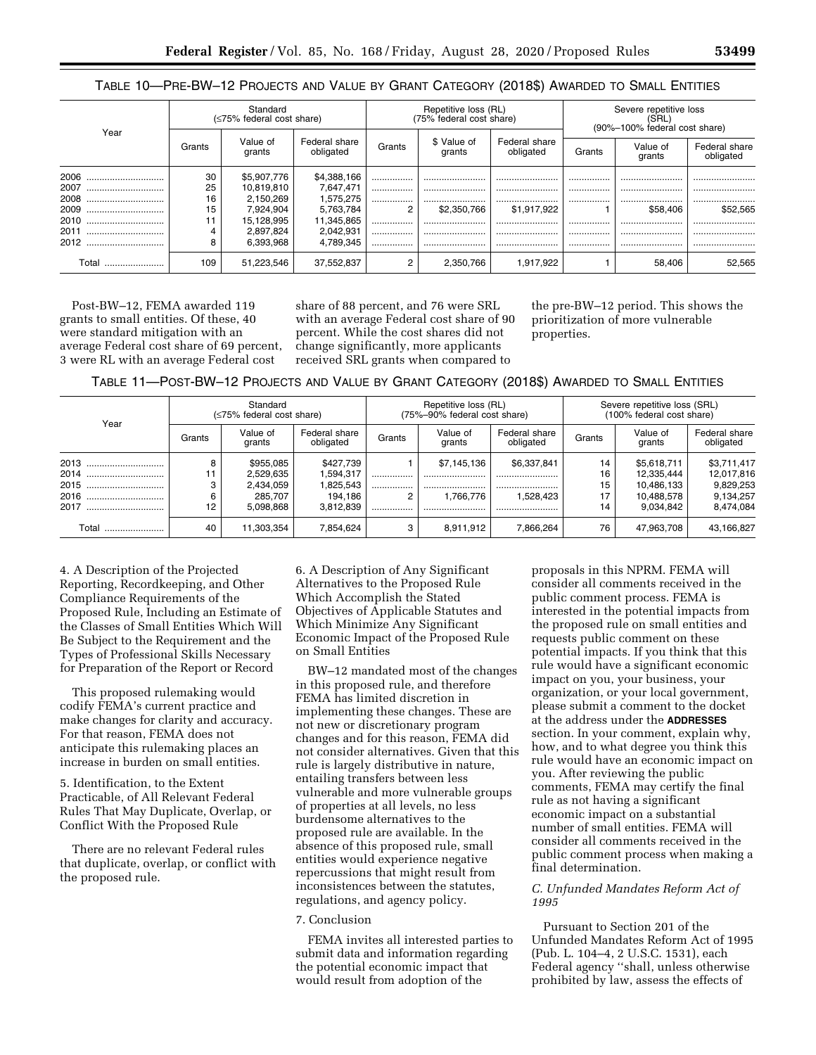| Table 10—Pre-BW—12 Projects and Value by Grant Category (2018\$) Awarded to Small Entities |
|--------------------------------------------------------------------------------------------|
|--------------------------------------------------------------------------------------------|

| Year     | Standard<br>(≤75% federal cost share) |                    |                            | Repetitive loss (RL)<br>(75% federal cost share) |                       |                            | Severe repetitive loss<br>(SRL)<br>(90%-100% federal cost share) |                    |                            |
|----------|---------------------------------------|--------------------|----------------------------|--------------------------------------------------|-----------------------|----------------------------|------------------------------------------------------------------|--------------------|----------------------------|
|          | Grants                                | Value of<br>grants | Federal share<br>obligated | Grants                                           | \$ Value of<br>grants | Federal share<br>obligated | Grants                                                           | Value of<br>grants | Federal share<br>obligated |
| 2006     | 30                                    | \$5.907.776        | \$4,388,166                |                                                  |                       |                            |                                                                  |                    |                            |
| 2007     | 25                                    | 10,819,810         | 7,647,471                  | <br>                                             | <br>                  | <br>                       | <br>                                                             | <br>               | <br>                       |
| 2008<br> | 16                                    | 2.150.269          | 1,575,275                  |                                                  |                       |                            |                                                                  |                    |                            |
| 2009     | 15                                    | 7.924.904          | 5,763,784                  | 2                                                | \$2,350,766           | \$1.917.922                |                                                                  | \$58,406           | \$52.565                   |
| 2010     |                                       | 15.128.995         | 11,345,865                 |                                                  |                       |                            |                                                                  |                    |                            |
| 2011<br> | 4                                     | 2,897,824          | 2,042,931                  |                                                  |                       |                            |                                                                  |                    |                            |
| 2012     | 8                                     | 6.393.968          | 4.789.345                  |                                                  |                       |                            |                                                                  |                    |                            |
| ⊺otal    | 109                                   | 51.223.546         | 37.552.837                 | 2                                                | 2.350.766             | 1.917.922                  |                                                                  | 58.406             | 52.565                     |

Post-BW–12, FEMA awarded 119 grants to small entities. Of these, 40 were standard mitigation with an average Federal cost share of 69 percent, 3 were RL with an average Federal cost

share of 88 percent, and 76 were SRL with an average Federal cost share of 90 percent. While the cost shares did not change significantly, more applicants received SRL grants when compared to

the pre-BW–12 period. This shows the prioritization of more vulnerable properties.

| TABLE 11—POST-BW—12 PROJECTS AND VALUE BY GRANT CATEGORY (2018\$) AWARDED TO SMALL ENTITIES |  |  |  |
|---------------------------------------------------------------------------------------------|--|--|--|
|---------------------------------------------------------------------------------------------|--|--|--|

| Year                                         | Standard<br>(≤75% federal cost share) |                                                             |                                                             | Repetitive loss (RL)<br>(75%-90% federal cost share) |                                     |                                      | Severe repetitive loss (SRL)<br>(100% federal cost share) |                                                                    |                                                                  |
|----------------------------------------------|---------------------------------------|-------------------------------------------------------------|-------------------------------------------------------------|------------------------------------------------------|-------------------------------------|--------------------------------------|-----------------------------------------------------------|--------------------------------------------------------------------|------------------------------------------------------------------|
|                                              | Grants                                | Value of<br>grants                                          | Federal share<br>obligated                                  | Grants                                               | Value of<br>grants                  | Federal share<br>obligated           | Grants                                                    | Value of<br>grants                                                 | Federal share<br>obligated                                       |
| 2013<br>2014<br><br>2015<br>2016<br><br>2017 | 8<br>11<br>3<br>6<br>12               | \$955.085<br>2,529,635<br>2,434,059<br>285.707<br>5,098,868 | \$427,739<br>1,594,317<br>1,825,543<br>194.186<br>3,812,839 | <br><br>                                             | \$7,145,136<br><br><br>.766.776<br> | \$6,337,841<br><br><br>1.528.423<br> | 14<br>16<br>15<br>17<br>14                                | \$5,618,711<br>12,335,444<br>10,486,133<br>10,488,578<br>9,034,842 | \$3,711,417<br>12,017,816<br>9,829,253<br>9,134,257<br>8,474,084 |
| Total                                        | 40                                    | 11.303.354                                                  | 7,854,624                                                   | 3                                                    | 8.911.912                           | 7.866.264                            | 76                                                        | 47.963.708                                                         | 43,166,827                                                       |

4. A Description of the Projected Reporting, Recordkeeping, and Other Compliance Requirements of the Proposed Rule, Including an Estimate of the Classes of Small Entities Which Will Be Subject to the Requirement and the Types of Professional Skills Necessary for Preparation of the Report or Record

This proposed rulemaking would codify FEMA's current practice and make changes for clarity and accuracy. For that reason, FEMA does not anticipate this rulemaking places an increase in burden on small entities.

5. Identification, to the Extent Practicable, of All Relevant Federal Rules That May Duplicate, Overlap, or Conflict With the Proposed Rule

There are no relevant Federal rules that duplicate, overlap, or conflict with the proposed rule.

6. A Description of Any Significant Alternatives to the Proposed Rule Which Accomplish the Stated Objectives of Applicable Statutes and Which Minimize Any Significant Economic Impact of the Proposed Rule on Small Entities

BW–12 mandated most of the changes in this proposed rule, and therefore FEMA has limited discretion in implementing these changes. These are not new or discretionary program changes and for this reason, FEMA did not consider alternatives. Given that this rule is largely distributive in nature, entailing transfers between less vulnerable and more vulnerable groups of properties at all levels, no less burdensome alternatives to the proposed rule are available. In the absence of this proposed rule, small entities would experience negative repercussions that might result from inconsistences between the statutes, regulations, and agency policy.

#### 7. Conclusion

FEMA invites all interested parties to submit data and information regarding the potential economic impact that would result from adoption of the

proposals in this NPRM. FEMA will consider all comments received in the public comment process. FEMA is interested in the potential impacts from the proposed rule on small entities and requests public comment on these potential impacts. If you think that this rule would have a significant economic impact on you, your business, your organization, or your local government, please submit a comment to the docket at the address under the **ADDRESSES** section. In your comment, explain why, how, and to what degree you think this rule would have an economic impact on you. After reviewing the public comments, FEMA may certify the final rule as not having a significant economic impact on a substantial number of small entities. FEMA will consider all comments received in the public comment process when making a final determination.

# *C. Unfunded Mandates Reform Act of 1995*

Pursuant to Section 201 of the Unfunded Mandates Reform Act of 1995 (Pub. L. 104–4, 2 U.S.C. 1531), each Federal agency ''shall, unless otherwise prohibited by law, assess the effects of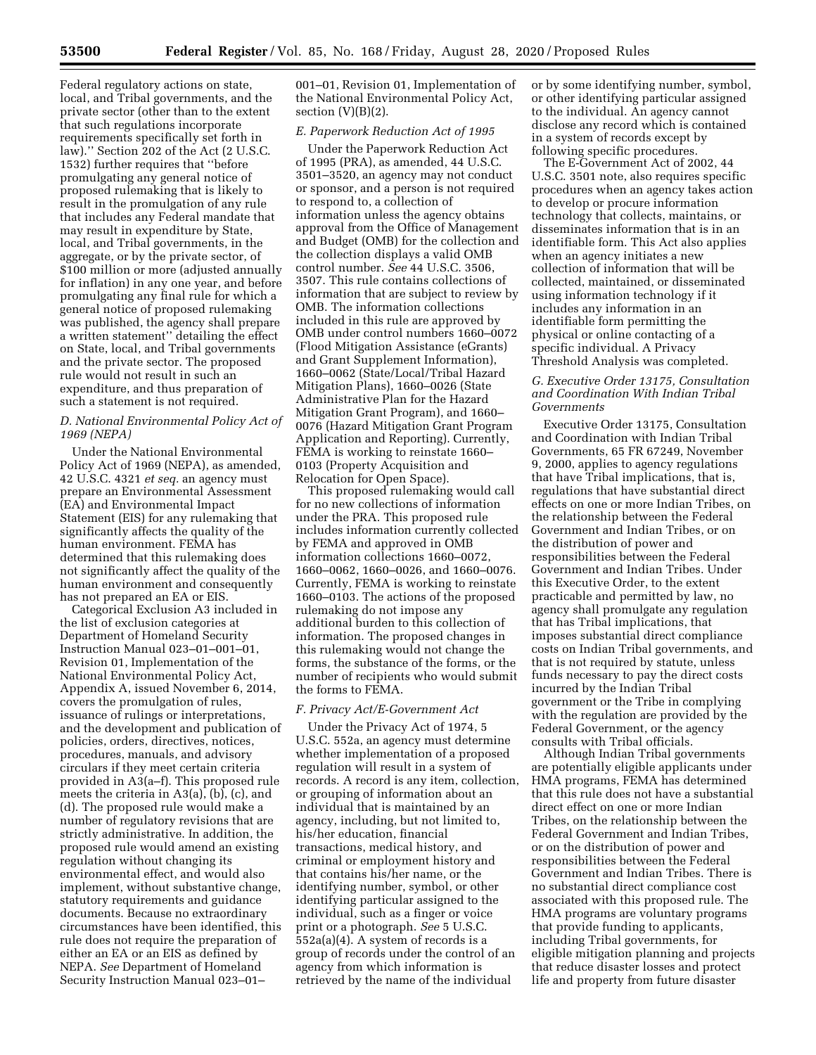Federal regulatory actions on state, local, and Tribal governments, and the private sector (other than to the extent that such regulations incorporate requirements specifically set forth in law).'' Section 202 of the Act (2 U.S.C. 1532) further requires that ''before promulgating any general notice of proposed rulemaking that is likely to result in the promulgation of any rule that includes any Federal mandate that may result in expenditure by State, local, and Tribal governments, in the aggregate, or by the private sector, of \$100 million or more (adjusted annually for inflation) in any one year, and before promulgating any final rule for which a general notice of proposed rulemaking was published, the agency shall prepare a written statement'' detailing the effect on State, local, and Tribal governments and the private sector. The proposed rule would not result in such an expenditure, and thus preparation of such a statement is not required.

## *D. National Environmental Policy Act of 1969 (NEPA)*

Under the National Environmental Policy Act of 1969 (NEPA), as amended, 42 U.S.C. 4321 *et seq.* an agency must prepare an Environmental Assessment (EA) and Environmental Impact Statement (EIS) for any rulemaking that significantly affects the quality of the human environment. FEMA has determined that this rulemaking does not significantly affect the quality of the human environment and consequently has not prepared an EA or EIS.

Categorical Exclusion A3 included in the list of exclusion categories at Department of Homeland Security Instruction Manual 023–01–001–01, Revision 01, Implementation of the National Environmental Policy Act, Appendix A, issued November 6, 2014, covers the promulgation of rules, issuance of rulings or interpretations, and the development and publication of policies, orders, directives, notices, procedures, manuals, and advisory circulars if they meet certain criteria provided in A3(a–f). This proposed rule meets the criteria in A3(a), (b), (c), and (d). The proposed rule would make a number of regulatory revisions that are strictly administrative. In addition, the proposed rule would amend an existing regulation without changing its environmental effect, and would also implement, without substantive change, statutory requirements and guidance documents. Because no extraordinary circumstances have been identified, this rule does not require the preparation of either an EA or an EIS as defined by NEPA. *See* Department of Homeland Security Instruction Manual 023–01–

001–01, Revision 01, Implementation of the National Environmental Policy Act, section  $(V)(B)(2)$ .

# *E. Paperwork Reduction Act of 1995*

Under the Paperwork Reduction Act of 1995 (PRA), as amended, 44 U.S.C. 3501–3520, an agency may not conduct or sponsor, and a person is not required to respond to, a collection of information unless the agency obtains approval from the Office of Management and Budget (OMB) for the collection and the collection displays a valid OMB control number. *See* 44 U.S.C. 3506, 3507. This rule contains collections of information that are subject to review by OMB. The information collections included in this rule are approved by OMB under control numbers 1660–0072 (Flood Mitigation Assistance (eGrants) and Grant Supplement Information), 1660–0062 (State/Local/Tribal Hazard Mitigation Plans), 1660–0026 (State Administrative Plan for the Hazard Mitigation Grant Program), and 1660– 0076 (Hazard Mitigation Grant Program Application and Reporting). Currently, FEMA is working to reinstate 1660– 0103 (Property Acquisition and Relocation for Open Space).

This proposed rulemaking would call for no new collections of information under the PRA. This proposed rule includes information currently collected by FEMA and approved in OMB information collections 1660–0072, 1660–0062, 1660–0026, and 1660–0076. Currently, FEMA is working to reinstate 1660–0103. The actions of the proposed rulemaking do not impose any additional burden to this collection of information. The proposed changes in this rulemaking would not change the forms, the substance of the forms, or the number of recipients who would submit the forms to FEMA.

## *F. Privacy Act/E-Government Act*

Under the Privacy Act of 1974, 5 U.S.C. 552a, an agency must determine whether implementation of a proposed regulation will result in a system of records. A record is any item, collection, or grouping of information about an individual that is maintained by an agency, including, but not limited to, his/her education, financial transactions, medical history, and criminal or employment history and that contains his/her name, or the identifying number, symbol, or other identifying particular assigned to the individual, such as a finger or voice print or a photograph. *See* 5 U.S.C. 552a(a)(4). A system of records is a group of records under the control of an agency from which information is retrieved by the name of the individual

or by some identifying number, symbol, or other identifying particular assigned to the individual. An agency cannot disclose any record which is contained in a system of records except by following specific procedures.

The E-Government Act of 2002, 44 U.S.C. 3501 note, also requires specific procedures when an agency takes action to develop or procure information technology that collects, maintains, or disseminates information that is in an identifiable form. This Act also applies when an agency initiates a new collection of information that will be collected, maintained, or disseminated using information technology if it includes any information in an identifiable form permitting the physical or online contacting of a specific individual. A Privacy Threshold Analysis was completed.

# *G. Executive Order 13175, Consultation and Coordination With Indian Tribal Governments*

Executive Order 13175, Consultation and Coordination with Indian Tribal Governments, 65 FR 67249, November 9, 2000, applies to agency regulations that have Tribal implications, that is, regulations that have substantial direct effects on one or more Indian Tribes, on the relationship between the Federal Government and Indian Tribes, or on the distribution of power and responsibilities between the Federal Government and Indian Tribes. Under this Executive Order, to the extent practicable and permitted by law, no agency shall promulgate any regulation that has Tribal implications, that imposes substantial direct compliance costs on Indian Tribal governments, and that is not required by statute, unless funds necessary to pay the direct costs incurred by the Indian Tribal government or the Tribe in complying with the regulation are provided by the Federal Government, or the agency consults with Tribal officials.

Although Indian Tribal governments are potentially eligible applicants under HMA programs, FEMA has determined that this rule does not have a substantial direct effect on one or more Indian Tribes, on the relationship between the Federal Government and Indian Tribes, or on the distribution of power and responsibilities between the Federal Government and Indian Tribes. There is no substantial direct compliance cost associated with this proposed rule. The HMA programs are voluntary programs that provide funding to applicants, including Tribal governments, for eligible mitigation planning and projects that reduce disaster losses and protect life and property from future disaster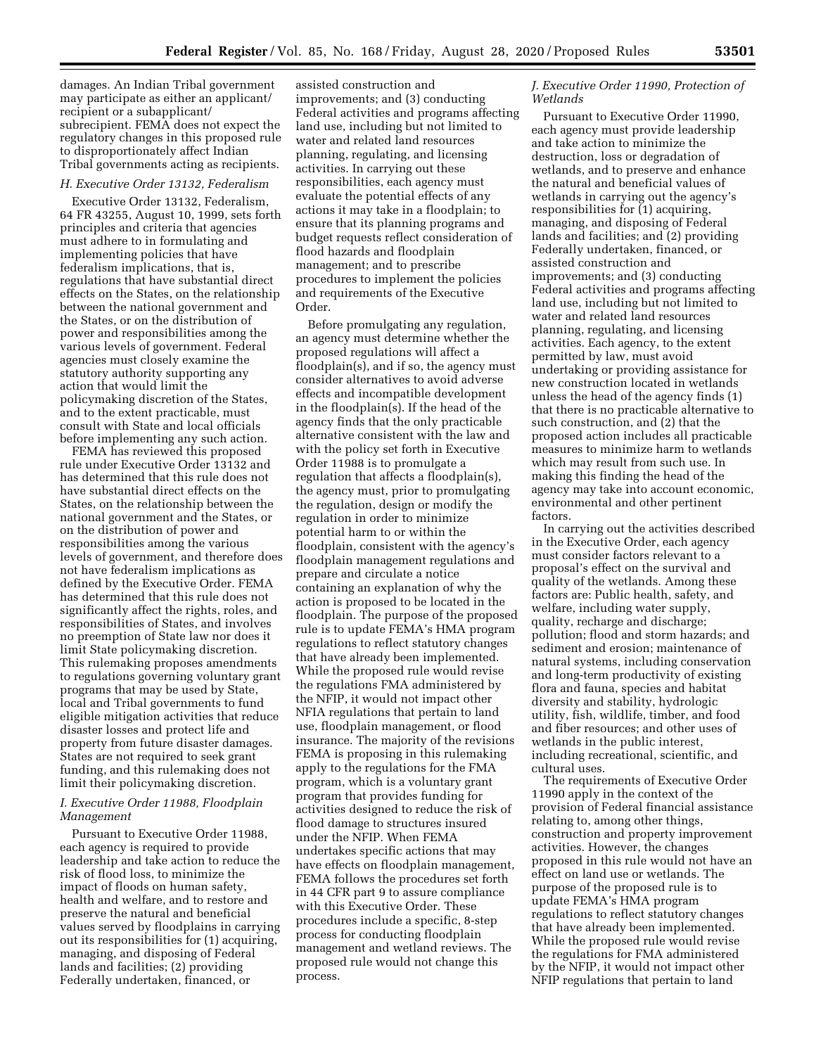damages. An Indian Tribal government may participate as either an applicant/ recipient or a subapplicant/ subrecipient. FEMA does not expect the regulatory changes in this proposed rule to disproportionately affect Indian Tribal governments acting as recipients.

#### *H. Executive Order 13132, Federalism*

Executive Order 13132, Federalism, 64 FR 43255, August 10, 1999, sets forth principles and criteria that agencies must adhere to in formulating and implementing policies that have federalism implications, that is, regulations that have substantial direct effects on the States, on the relationship between the national government and the States, or on the distribution of power and responsibilities among the various levels of government. Federal agencies must closely examine the statutory authority supporting any action that would limit the policymaking discretion of the States, and to the extent practicable, must consult with State and local officials before implementing any such action.

FEMA has reviewed this proposed rule under Executive Order 13132 and has determined that this rule does not have substantial direct effects on the States, on the relationship between the national government and the States, or on the distribution of power and responsibilities among the various levels of government, and therefore does not have federalism implications as defined by the Executive Order. FEMA has determined that this rule does not significantly affect the rights, roles, and responsibilities of States, and involves no preemption of State law nor does it limit State policymaking discretion. This rulemaking proposes amendments to regulations governing voluntary grant programs that may be used by State, local and Tribal governments to fund eligible mitigation activities that reduce disaster losses and protect life and property from future disaster damages. States are not required to seek grant funding, and this rulemaking does not limit their policymaking discretion.

#### *I. Executive Order 11988, Floodplain Management*

Pursuant to Executive Order 11988, each agency is required to provide leadership and take action to reduce the risk of flood loss, to minimize the impact of floods on human safety, health and welfare, and to restore and preserve the natural and beneficial values served by floodplains in carrying out its responsibilities for (1) acquiring, managing, and disposing of Federal lands and facilities; (2) providing Federally undertaken, financed, or

assisted construction and improvements; and (3) conducting Federal activities and programs affecting land use, including but not limited to water and related land resources planning, regulating, and licensing activities. In carrying out these responsibilities, each agency must evaluate the potential effects of any actions it may take in a floodplain; to ensure that its planning programs and budget requests reflect consideration of flood hazards and floodplain management; and to prescribe procedures to implement the policies and requirements of the Executive Order.

Before promulgating any regulation, an agency must determine whether the proposed regulations will affect a floodplain(s), and if so, the agency must consider alternatives to avoid adverse effects and incompatible development in the floodplain(s). If the head of the agency finds that the only practicable alternative consistent with the law and with the policy set forth in Executive Order 11988 is to promulgate a regulation that affects a floodplain(s), the agency must, prior to promulgating the regulation, design or modify the regulation in order to minimize potential harm to or within the floodplain, consistent with the agency's floodplain management regulations and prepare and circulate a notice containing an explanation of why the action is proposed to be located in the floodplain. The purpose of the proposed rule is to update FEMA's HMA program regulations to reflect statutory changes that have already been implemented. While the proposed rule would revise the regulations FMA administered by the NFIP, it would not impact other NFIA regulations that pertain to land use, floodplain management, or flood insurance. The majority of the revisions FEMA is proposing in this rulemaking apply to the regulations for the FMA program, which is a voluntary grant program that provides funding for activities designed to reduce the risk of flood damage to structures insured under the NFIP. When FEMA undertakes specific actions that may have effects on floodplain management, FEMA follows the procedures set forth in 44 CFR part 9 to assure compliance with this Executive Order. These procedures include a specific, 8-step process for conducting floodplain management and wetland reviews. The proposed rule would not change this process.

## *J. Executive Order 11990, Protection of Wetlands*

Pursuant to Executive Order 11990, each agency must provide leadership and take action to minimize the destruction, loss or degradation of wetlands, and to preserve and enhance the natural and beneficial values of wetlands in carrying out the agency's responsibilities for (1) acquiring, managing, and disposing of Federal lands and facilities; and (2) providing Federally undertaken, financed, or assisted construction and improvements; and (3) conducting Federal activities and programs affecting land use, including but not limited to water and related land resources planning, regulating, and licensing activities. Each agency, to the extent permitted by law, must avoid undertaking or providing assistance for new construction located in wetlands unless the head of the agency finds (1) that there is no practicable alternative to such construction, and (2) that the proposed action includes all practicable measures to minimize harm to wetlands which may result from such use. In making this finding the head of the agency may take into account economic, environmental and other pertinent factors.

In carrying out the activities described in the Executive Order, each agency must consider factors relevant to a proposal's effect on the survival and quality of the wetlands. Among these factors are: Public health, safety, and welfare, including water supply, quality, recharge and discharge; pollution; flood and storm hazards; and sediment and erosion; maintenance of natural systems, including conservation and long-term productivity of existing flora and fauna, species and habitat diversity and stability, hydrologic utility, fish, wildlife, timber, and food and fiber resources; and other uses of wetlands in the public interest, including recreational, scientific, and cultural uses.

The requirements of Executive Order 11990 apply in the context of the provision of Federal financial assistance relating to, among other things, construction and property improvement activities. However, the changes proposed in this rule would not have an effect on land use or wetlands. The purpose of the proposed rule is to update FEMA's HMA program regulations to reflect statutory changes that have already been implemented. While the proposed rule would revise the regulations for FMA administered by the NFIP, it would not impact other NFIP regulations that pertain to land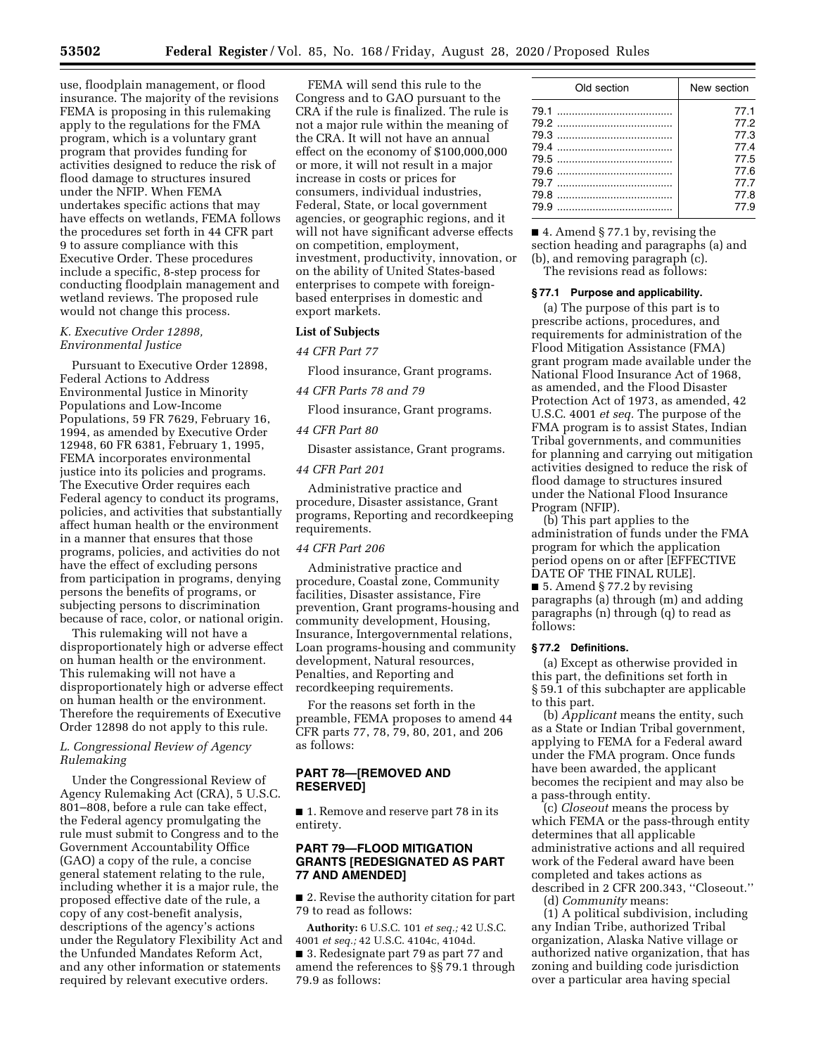use, floodplain management, or flood insurance. The majority of the revisions FEMA is proposing in this rulemaking apply to the regulations for the FMA program, which is a voluntary grant program that provides funding for activities designed to reduce the risk of flood damage to structures insured under the NFIP. When FEMA undertakes specific actions that may have effects on wetlands, FEMA follows the procedures set forth in 44 CFR part 9 to assure compliance with this Executive Order. These procedures include a specific, 8-step process for conducting floodplain management and wetland reviews. The proposed rule would not change this process.

#### *K. Executive Order 12898, Environmental Justice*

Pursuant to Executive Order 12898, Federal Actions to Address Environmental Justice in Minority Populations and Low-Income Populations, 59 FR 7629, February 16, 1994, as amended by Executive Order 12948, 60 FR 6381, February 1, 1995, FEMA incorporates environmental justice into its policies and programs. The Executive Order requires each Federal agency to conduct its programs, policies, and activities that substantially affect human health or the environment in a manner that ensures that those programs, policies, and activities do not have the effect of excluding persons from participation in programs, denying persons the benefits of programs, or subjecting persons to discrimination because of race, color, or national origin.

This rulemaking will not have a disproportionately high or adverse effect on human health or the environment. This rulemaking will not have a disproportionately high or adverse effect on human health or the environment. Therefore the requirements of Executive Order 12898 do not apply to this rule.

## *L. Congressional Review of Agency Rulemaking*

Under the Congressional Review of Agency Rulemaking Act (CRA), 5 U.S.C. 801–808, before a rule can take effect, the Federal agency promulgating the rule must submit to Congress and to the Government Accountability Office (GAO) a copy of the rule, a concise general statement relating to the rule, including whether it is a major rule, the proposed effective date of the rule, a copy of any cost-benefit analysis, descriptions of the agency's actions under the Regulatory Flexibility Act and the Unfunded Mandates Reform Act, and any other information or statements required by relevant executive orders.

FEMA will send this rule to the Congress and to GAO pursuant to the CRA if the rule is finalized. The rule is not a major rule within the meaning of the CRA. It will not have an annual effect on the economy of \$100,000,000 or more, it will not result in a major increase in costs or prices for consumers, individual industries, Federal, State, or local government agencies, or geographic regions, and it will not have significant adverse effects on competition, employment, investment, productivity, innovation, or on the ability of United States-based enterprises to compete with foreignbased enterprises in domestic and export markets.

#### **List of Subjects**

*44 CFR Part 77* 

Flood insurance, Grant programs.

*44 CFR Parts 78 and 79* 

Flood insurance, Grant programs.

#### *44 CFR Part 80*

Disaster assistance, Grant programs.

## *44 CFR Part 201*

Administrative practice and procedure, Disaster assistance, Grant programs, Reporting and recordkeeping requirements.

# *44 CFR Part 206*

Administrative practice and procedure, Coastal zone, Community facilities, Disaster assistance, Fire prevention, Grant programs-housing and community development, Housing, Insurance, Intergovernmental relations, Loan programs-housing and community development, Natural resources, Penalties, and Reporting and recordkeeping requirements.

For the reasons set forth in the preamble, FEMA proposes to amend 44 CFR parts 77, 78, 79, 80, 201, and 206 as follows:

## **PART 78—[REMOVED AND RESERVED]**

■ 1. Remove and reserve part 78 in its entirety.

## **PART 79—FLOOD MITIGATION GRANTS [REDESIGNATED AS PART 77 AND AMENDED]**

■ 2. Revise the authority citation for part 79 to read as follows:

**Authority:** 6 U.S.C. 101 *et seq.;* 42 U.S.C. 4001 *et seq.;* 42 U.S.C. 4104c, 4104d. ■ 3. Redesignate part 79 as part 77 and amend the references to §§ 79.1 through 79.9 as follows:

| Old section | New section                                                          |  |  |
|-------------|----------------------------------------------------------------------|--|--|
|             | 77.1<br>77.2<br>77.3<br>77.4<br>77.5<br>77.6<br>77.7<br>77.8<br>77.9 |  |  |
|             |                                                                      |  |  |

■ 4. Amend § 77.1 by, revising the section heading and paragraphs (a) and (b), and removing paragraph (c). The revisions read as follows:

#### **§ 77.1 Purpose and applicability.**

(a) The purpose of this part is to prescribe actions, procedures, and requirements for administration of the Flood Mitigation Assistance (FMA) grant program made available under the National Flood Insurance Act of 1968, as amended, and the Flood Disaster Protection Act of 1973, as amended, 42 U.S.C. 4001 *et seq.* The purpose of the FMA program is to assist States, Indian Tribal governments, and communities for planning and carrying out mitigation activities designed to reduce the risk of flood damage to structures insured under the National Flood Insurance Program (NFIP).

(b) This part applies to the administration of funds under the FMA program for which the application period opens on or after [EFFECTIVE DATE OF THE FINAL RULE].

■ 5. Amend § 77.2 by revising paragraphs (a) through (m) and adding paragraphs (n) through (q) to read as follows:

## **§ 77.2 Definitions.**

(a) Except as otherwise provided in this part, the definitions set forth in § 59.1 of this subchapter are applicable to this part.

(b) *Applicant* means the entity, such as a State or Indian Tribal government, applying to FEMA for a Federal award under the FMA program. Once funds have been awarded, the applicant becomes the recipient and may also be a pass-through entity.

(c) *Closeout* means the process by which FEMA or the pass-through entity determines that all applicable administrative actions and all required work of the Federal award have been completed and takes actions as described in 2 CFR 200.343, ''Closeout.''

(d) *Community* means:

(1) A political subdivision, including any Indian Tribe, authorized Tribal organization, Alaska Native village or authorized native organization, that has zoning and building code jurisdiction over a particular area having special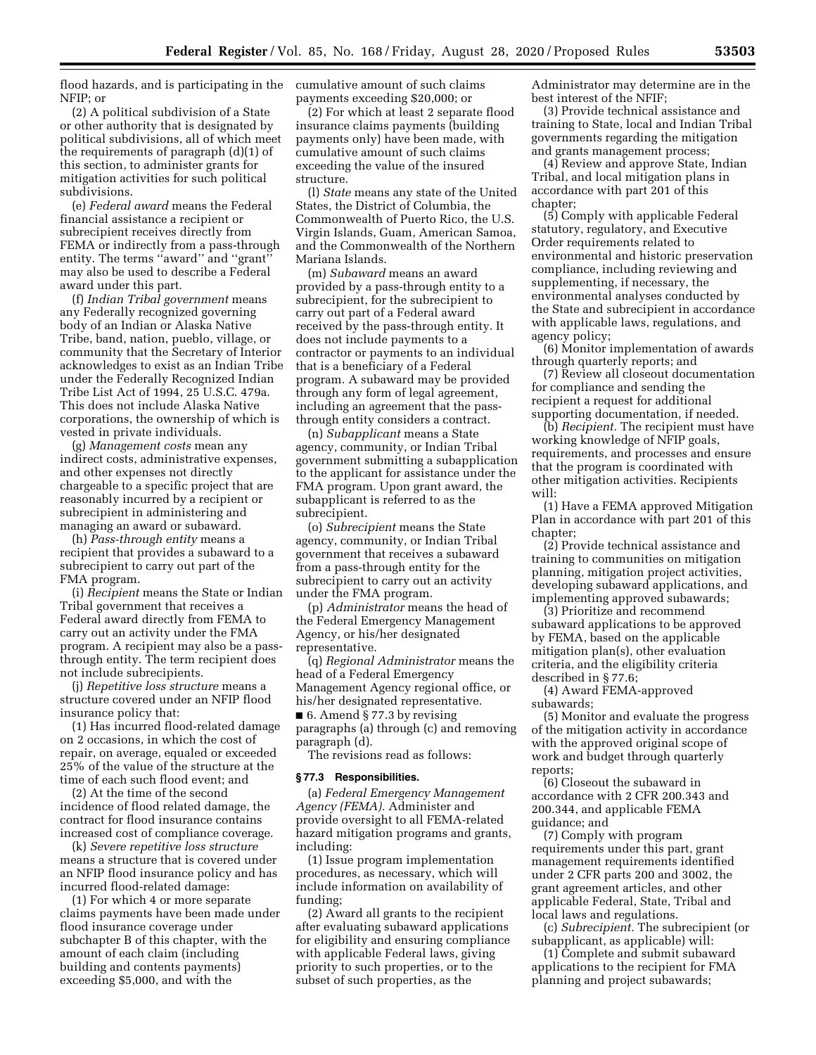flood hazards, and is participating in the cumulative amount of such claims NFIP; or

(2) A political subdivision of a State or other authority that is designated by political subdivisions, all of which meet the requirements of paragraph (d)(1) of this section, to administer grants for mitigation activities for such political subdivisions.

(e) *Federal award* means the Federal financial assistance a recipient or subrecipient receives directly from FEMA or indirectly from a pass-through entity. The terms ''award'' and ''grant'' may also be used to describe a Federal award under this part.

(f) *Indian Tribal government* means any Federally recognized governing body of an Indian or Alaska Native Tribe, band, nation, pueblo, village, or community that the Secretary of Interior acknowledges to exist as an Indian Tribe under the Federally Recognized Indian Tribe List Act of 1994, 25 U.S.C. 479a. This does not include Alaska Native corporations, the ownership of which is vested in private individuals.

(g) *Management costs* mean any indirect costs, administrative expenses, and other expenses not directly chargeable to a specific project that are reasonably incurred by a recipient or subrecipient in administering and managing an award or subaward.

(h) *Pass-through entity* means a recipient that provides a subaward to a subrecipient to carry out part of the FMA program.

(i) *Recipient* means the State or Indian Tribal government that receives a Federal award directly from FEMA to carry out an activity under the FMA program. A recipient may also be a passthrough entity. The term recipient does not include subrecipients.

(j) *Repetitive loss structure* means a structure covered under an NFIP flood insurance policy that:

(1) Has incurred flood-related damage on 2 occasions, in which the cost of repair, on average, equaled or exceeded 25% of the value of the structure at the time of each such flood event; and

(2) At the time of the second incidence of flood related damage, the contract for flood insurance contains increased cost of compliance coverage.

(k) *Severe repetitive loss structure*  means a structure that is covered under an NFIP flood insurance policy and has incurred flood-related damage:

(1) For which 4 or more separate claims payments have been made under flood insurance coverage under subchapter B of this chapter, with the amount of each claim (including building and contents payments) exceeding \$5,000, and with the

payments exceeding \$20,000; or

(2) For which at least 2 separate flood insurance claims payments (building payments only) have been made, with cumulative amount of such claims exceeding the value of the insured structure.

(l) *State* means any state of the United States, the District of Columbia, the Commonwealth of Puerto Rico, the U.S. Virgin Islands, Guam, American Samoa, and the Commonwealth of the Northern Mariana Islands.

(m) *Subaward* means an award provided by a pass-through entity to a subrecipient, for the subrecipient to carry out part of a Federal award received by the pass-through entity. It does not include payments to a contractor or payments to an individual that is a beneficiary of a Federal program. A subaward may be provided through any form of legal agreement, including an agreement that the passthrough entity considers a contract.

(n) *Subapplicant* means a State agency, community, or Indian Tribal government submitting a subapplication to the applicant for assistance under the FMA program. Upon grant award, the subapplicant is referred to as the subrecipient.

(o) *Subrecipient* means the State agency, community, or Indian Tribal government that receives a subaward from a pass-through entity for the subrecipient to carry out an activity under the FMA program.

(p) *Administrator* means the head of the Federal Emergency Management Agency, or his/her designated representative.

(q) *Regional Administrator* means the head of a Federal Emergency Management Agency regional office, or his/her designated representative. ■ 6. Amend § 77.3 by revising paragraphs (a) through (c) and removing

paragraph (d).

The revisions read as follows:

## **§ 77.3 Responsibilities.**

(a) *Federal Emergency Management Agency (FEMA).* Administer and provide oversight to all FEMA-related hazard mitigation programs and grants, including:

(1) Issue program implementation procedures, as necessary, which will include information on availability of funding;

(2) Award all grants to the recipient after evaluating subaward applications for eligibility and ensuring compliance with applicable Federal laws, giving priority to such properties, or to the subset of such properties, as the

Administrator may determine are in the best interest of the NFIF;

(3) Provide technical assistance and training to State, local and Indian Tribal governments regarding the mitigation and grants management process;

(4) Review and approve State, Indian Tribal, and local mitigation plans in accordance with part 201 of this chapter;

(5) Comply with applicable Federal statutory, regulatory, and Executive Order requirements related to environmental and historic preservation compliance, including reviewing and supplementing, if necessary, the environmental analyses conducted by the State and subrecipient in accordance with applicable laws, regulations, and agency policy;

(6) Monitor implementation of awards through quarterly reports; and

(7) Review all closeout documentation for compliance and sending the recipient a request for additional supporting documentation, if needed.

(b) *Recipient.* The recipient must have working knowledge of NFIP goals, requirements, and processes and ensure that the program is coordinated with other mitigation activities. Recipients will:

(1) Have a FEMA approved Mitigation Plan in accordance with part 201 of this chapter;

(2) Provide technical assistance and training to communities on mitigation planning, mitigation project activities, developing subaward applications, and implementing approved subawards;

(3) Prioritize and recommend subaward applications to be approved by FEMA, based on the applicable mitigation plan(s), other evaluation criteria, and the eligibility criteria described in § 77.6;

(4) Award FEMA-approved

subawards;

(5) Monitor and evaluate the progress of the mitigation activity in accordance with the approved original scope of work and budget through quarterly reports;

(6) Closeout the subaward in accordance with 2 CFR 200.343 and 200.344, and applicable FEMA guidance; and

(7) Comply with program requirements under this part, grant management requirements identified under 2 CFR parts 200 and 3002, the grant agreement articles, and other applicable Federal, State, Tribal and local laws and regulations.

(c) *Subrecipient.* The subrecipient (or subapplicant, as applicable) will:

(1) Complete and submit subaward applications to the recipient for FMA planning and project subawards;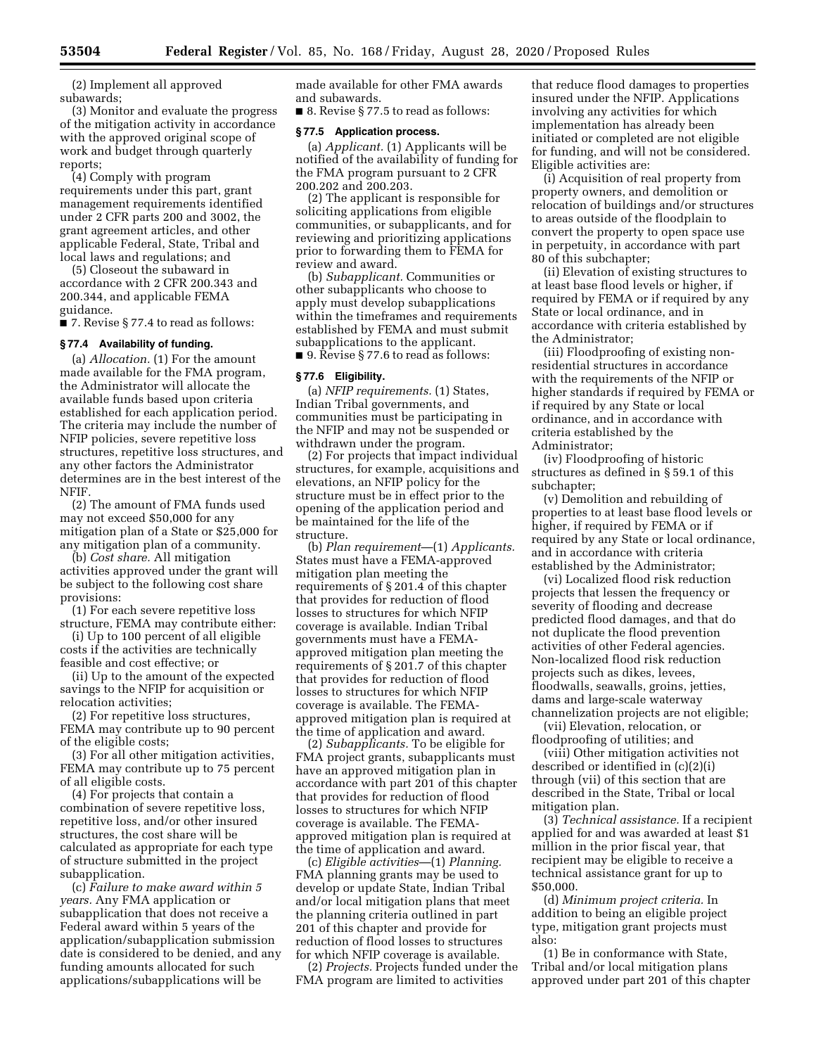(2) Implement all approved subawards;

(3) Monitor and evaluate the progress of the mitigation activity in accordance with the approved original scope of work and budget through quarterly reports;

(4) Comply with program requirements under this part, grant management requirements identified under 2 CFR parts 200 and 3002, the grant agreement articles, and other applicable Federal, State, Tribal and local laws and regulations; and

(5) Closeout the subaward in accordance with 2 CFR 200.343 and 200.344, and applicable FEMA guidance.

■ 7. Revise § 77.4 to read as follows:

#### **§ 77.4 Availability of funding.**

(a) *Allocation.* (1) For the amount made available for the FMA program, the Administrator will allocate the available funds based upon criteria established for each application period. The criteria may include the number of NFIP policies, severe repetitive loss structures, repetitive loss structures, and any other factors the Administrator determines are in the best interest of the NFIF.

(2) The amount of FMA funds used may not exceed \$50,000 for any mitigation plan of a State or \$25,000 for any mitigation plan of a community.

(b) *Cost share.* All mitigation activities approved under the grant will be subject to the following cost share provisions:

(1) For each severe repetitive loss structure, FEMA may contribute either:

(i) Up to 100 percent of all eligible costs if the activities are technically feasible and cost effective; or

(ii) Up to the amount of the expected savings to the NFIP for acquisition or relocation activities;

(2) For repetitive loss structures, FEMA may contribute up to 90 percent of the eligible costs;

(3) For all other mitigation activities, FEMA may contribute up to 75 percent of all eligible costs.

(4) For projects that contain a combination of severe repetitive loss, repetitive loss, and/or other insured structures, the cost share will be calculated as appropriate for each type of structure submitted in the project subapplication.

(c) *Failure to make award within 5 years.* Any FMA application or subapplication that does not receive a Federal award within 5 years of the application/subapplication submission date is considered to be denied, and any funding amounts allocated for such applications/subapplications will be

made available for other FMA awards and subawards.

■ 8. Revise § 77.5 to read as follows:

#### **§ 77.5 Application process.**

(a) *Applicant.* (1) Applicants will be notified of the availability of funding for the FMA program pursuant to 2 CFR 200.202 and 200.203.

(2) The applicant is responsible for soliciting applications from eligible communities, or subapplicants, and for reviewing and prioritizing applications prior to forwarding them to FEMA for review and award.

(b) *Subapplicant.* Communities or other subapplicants who choose to apply must develop subapplications within the timeframes and requirements established by FEMA and must submit subapplications to the applicant. ■ 9. Revise § 77.6 to read as follows:

#### **§ 77.6 Eligibility.**

(a) *NFIP requirements.* (1) States, Indian Tribal governments, and communities must be participating in the NFIP and may not be suspended or withdrawn under the program.

(2) For projects that impact individual structures, for example, acquisitions and elevations, an NFIP policy for the structure must be in effect prior to the opening of the application period and be maintained for the life of the structure.

(b) *Plan requirement*—(1) *Applicants.*  States must have a FEMA-approved mitigation plan meeting the requirements of § 201.4 of this chapter that provides for reduction of flood losses to structures for which NFIP coverage is available. Indian Tribal governments must have a FEMAapproved mitigation plan meeting the requirements of § 201.7 of this chapter that provides for reduction of flood losses to structures for which NFIP coverage is available. The FEMAapproved mitigation plan is required at the time of application and award.

(2) *Subapplicants.* To be eligible for FMA project grants, subapplicants must have an approved mitigation plan in accordance with part 201 of this chapter that provides for reduction of flood losses to structures for which NFIP coverage is available. The FEMAapproved mitigation plan is required at the time of application and award.

(c) *Eligible activities*—(1) *Planning.*  FMA planning grants may be used to develop or update State, Indian Tribal and/or local mitigation plans that meet the planning criteria outlined in part 201 of this chapter and provide for reduction of flood losses to structures for which NFIP coverage is available.

(2) *Projects.* Projects funded under the FMA program are limited to activities

that reduce flood damages to properties insured under the NFIP. Applications involving any activities for which implementation has already been initiated or completed are not eligible for funding, and will not be considered. Eligible activities are:

(i) Acquisition of real property from property owners, and demolition or relocation of buildings and/or structures to areas outside of the floodplain to convert the property to open space use in perpetuity, in accordance with part 80 of this subchapter;

(ii) Elevation of existing structures to at least base flood levels or higher, if required by FEMA or if required by any State or local ordinance, and in accordance with criteria established by the Administrator;

(iii) Floodproofing of existing nonresidential structures in accordance with the requirements of the NFIP or higher standards if required by FEMA or if required by any State or local ordinance, and in accordance with criteria established by the Administrator;

(iv) Floodproofing of historic structures as defined in § 59.1 of this subchapter;

(v) Demolition and rebuilding of properties to at least base flood levels or higher, if required by FEMA or if required by any State or local ordinance, and in accordance with criteria established by the Administrator;

(vi) Localized flood risk reduction projects that lessen the frequency or severity of flooding and decrease predicted flood damages, and that do not duplicate the flood prevention activities of other Federal agencies. Non-localized flood risk reduction projects such as dikes, levees, floodwalls, seawalls, groins, jetties, dams and large-scale waterway channelization projects are not eligible;

(vii) Elevation, relocation, or floodproofing of utilities; and

(viii) Other mitigation activities not described or identified in (c)(2)(i) through (vii) of this section that are described in the State, Tribal or local mitigation plan.

(3) *Technical assistance.* If a recipient applied for and was awarded at least \$1 million in the prior fiscal year, that recipient may be eligible to receive a technical assistance grant for up to \$50,000.

(d) *Minimum project criteria.* In addition to being an eligible project type, mitigation grant projects must also:

(1) Be in conformance with State, Tribal and/or local mitigation plans approved under part 201 of this chapter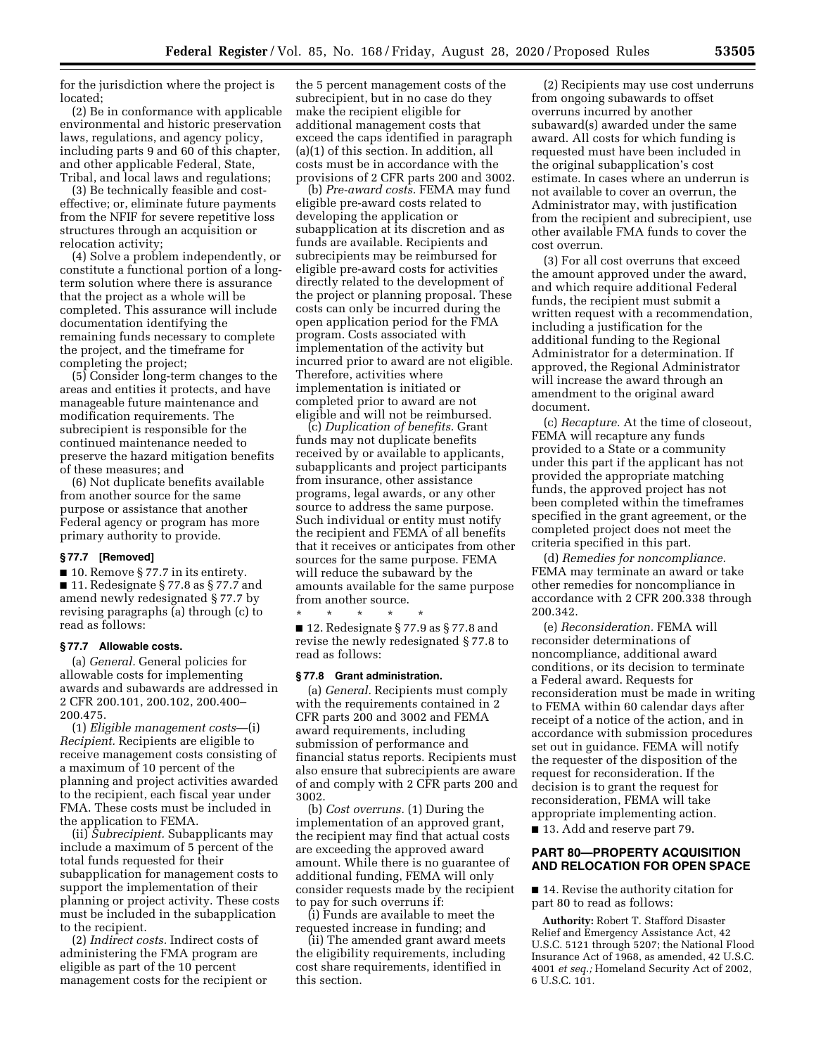for the jurisdiction where the project is located;

(2) Be in conformance with applicable environmental and historic preservation laws, regulations, and agency policy, including parts 9 and 60 of this chapter, and other applicable Federal, State, Tribal, and local laws and regulations;

(3) Be technically feasible and costeffective; or, eliminate future payments from the NFIF for severe repetitive loss structures through an acquisition or relocation activity;

(4) Solve a problem independently, or constitute a functional portion of a longterm solution where there is assurance that the project as a whole will be completed. This assurance will include documentation identifying the remaining funds necessary to complete the project, and the timeframe for completing the project;

(5) Consider long-term changes to the areas and entities it protects, and have manageable future maintenance and modification requirements. The subrecipient is responsible for the continued maintenance needed to preserve the hazard mitigation benefits of these measures; and

(6) Not duplicate benefits available from another source for the same purpose or assistance that another Federal agency or program has more primary authority to provide.

#### **§ 77.7 [Removed]**

 $\blacksquare$  10. Remove § 77.7 in its entirety. ■ 11. Redesignate § 77.8 as § 77.7 and amend newly redesignated § 77.7 by revising paragraphs (a) through (c) to read as follows:

#### **§ 77.7 Allowable costs.**

(a) *General.* General policies for allowable costs for implementing awards and subawards are addressed in 2 CFR 200.101, 200.102, 200.400– 200.475.

(1) *Eligible management costs*—(i) *Recipient.* Recipients are eligible to receive management costs consisting of a maximum of 10 percent of the planning and project activities awarded to the recipient, each fiscal year under FMA. These costs must be included in the application to FEMA.

(ii) *Subrecipient.* Subapplicants may include a maximum of 5 percent of the total funds requested for their subapplication for management costs to support the implementation of their planning or project activity. These costs must be included in the subapplication to the recipient.

(2) *Indirect costs.* Indirect costs of administering the FMA program are eligible as part of the 10 percent management costs for the recipient or the 5 percent management costs of the subrecipient, but in no case do they make the recipient eligible for additional management costs that exceed the caps identified in paragraph (a)(1) of this section. In addition, all costs must be in accordance with the provisions of 2 CFR parts 200 and 3002.

(b) *Pre-award costs.* FEMA may fund eligible pre-award costs related to developing the application or subapplication at its discretion and as funds are available. Recipients and subrecipients may be reimbursed for eligible pre-award costs for activities directly related to the development of the project or planning proposal. These costs can only be incurred during the open application period for the FMA program. Costs associated with implementation of the activity but incurred prior to award are not eligible. Therefore, activities where implementation is initiated or completed prior to award are not eligible and will not be reimbursed.

(c) *Duplication of benefits.* Grant funds may not duplicate benefits received by or available to applicants, subapplicants and project participants from insurance, other assistance programs, legal awards, or any other source to address the same purpose. Such individual or entity must notify the recipient and FEMA of all benefits that it receives or anticipates from other sources for the same purpose. FEMA will reduce the subaward by the amounts available for the same purpose from another source.

\* \* \* \* \* ■ 12. Redesignate § 77.9 as § 77.8 and revise the newly redesignated § 77.8 to read as follows:

#### **§ 77.8 Grant administration.**

(a) *General.* Recipients must comply with the requirements contained in 2 CFR parts 200 and 3002 and FEMA award requirements, including submission of performance and financial status reports. Recipients must also ensure that subrecipients are aware of and comply with 2 CFR parts 200 and 3002.

(b) *Cost overruns.* (1) During the implementation of an approved grant, the recipient may find that actual costs are exceeding the approved award amount. While there is no guarantee of additional funding, FEMA will only consider requests made by the recipient to pay for such overruns if:

(i) Funds are available to meet the requested increase in funding; and

(ii) The amended grant award meets the eligibility requirements, including cost share requirements, identified in this section.

(2) Recipients may use cost underruns from ongoing subawards to offset overruns incurred by another subaward(s) awarded under the same award. All costs for which funding is requested must have been included in the original subapplication's cost estimate. In cases where an underrun is not available to cover an overrun, the Administrator may, with justification from the recipient and subrecipient, use other available FMA funds to cover the cost overrun.

(3) For all cost overruns that exceed the amount approved under the award, and which require additional Federal funds, the recipient must submit a written request with a recommendation, including a justification for the additional funding to the Regional Administrator for a determination. If approved, the Regional Administrator will increase the award through an amendment to the original award document.

(c) *Recapture.* At the time of closeout, FEMA will recapture any funds provided to a State or a community under this part if the applicant has not provided the appropriate matching funds, the approved project has not been completed within the timeframes specified in the grant agreement, or the completed project does not meet the criteria specified in this part.

(d) *Remedies for noncompliance.*  FEMA may terminate an award or take other remedies for noncompliance in accordance with 2 CFR 200.338 through 200.342.

(e) *Reconsideration.* FEMA will reconsider determinations of noncompliance, additional award conditions, or its decision to terminate a Federal award. Requests for reconsideration must be made in writing to FEMA within 60 calendar days after receipt of a notice of the action, and in accordance with submission procedures set out in guidance. FEMA will notify the requester of the disposition of the request for reconsideration. If the decision is to grant the request for reconsideration, FEMA will take appropriate implementing action.

■ 13. Add and reserve part 79.

## **PART 80—PROPERTY ACQUISITION AND RELOCATION FOR OPEN SPACE**

■ 14. Revise the authority citation for part 80 to read as follows:

**Authority:** Robert T. Stafford Disaster Relief and Emergency Assistance Act, 42 U.S.C. 5121 through 5207; the National Flood Insurance Act of 1968, as amended, 42 U.S.C. 4001 *et seq.;* Homeland Security Act of 2002, 6 U.S.C. 101.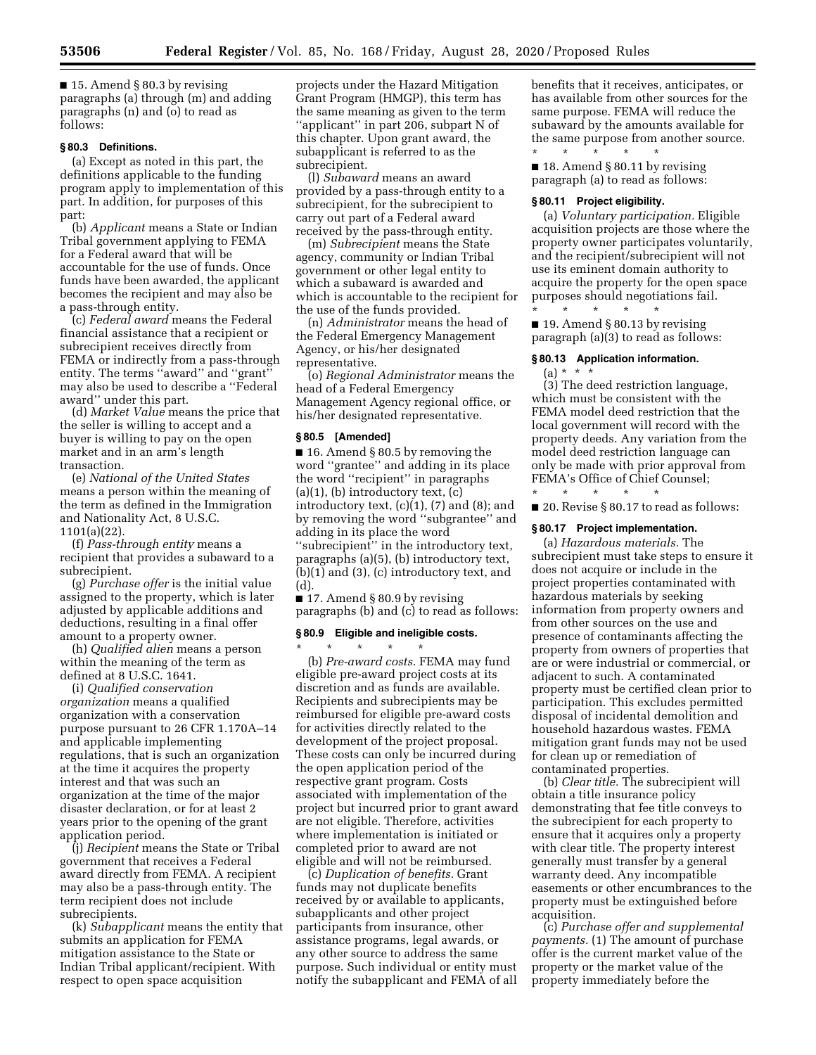$\blacksquare$  15. Amend § 80.3 by revising paragraphs (a) through (m) and adding paragraphs (n) and (o) to read as follows:

#### **§ 80.3 Definitions.**

(a) Except as noted in this part, the definitions applicable to the funding program apply to implementation of this part. In addition, for purposes of this part:

(b) *Applicant* means a State or Indian Tribal government applying to FEMA for a Federal award that will be accountable for the use of funds. Once funds have been awarded, the applicant becomes the recipient and may also be a pass-through entity.

(c) *Federal award* means the Federal financial assistance that a recipient or subrecipient receives directly from FEMA or indirectly from a pass-through entity. The terms ''award'' and ''grant'' may also be used to describe a ''Federal award'' under this part.

(d) *Market Value* means the price that the seller is willing to accept and a buyer is willing to pay on the open market and in an arm's length transaction.

(e) *National of the United States*  means a person within the meaning of the term as defined in the Immigration and Nationality Act, 8 U.S.C. 1101(a)(22).

(f) *Pass-through entity* means a recipient that provides a subaward to a subrecipient.

(g) *Purchase offer* is the initial value assigned to the property, which is later adjusted by applicable additions and deductions, resulting in a final offer amount to a property owner.

(h) *Qualified alien* means a person within the meaning of the term as defined at 8 U.S.C. 1641.

(i) *Qualified conservation organization* means a qualified organization with a conservation purpose pursuant to 26 CFR 1.170A–14 and applicable implementing regulations, that is such an organization at the time it acquires the property interest and that was such an organization at the time of the major disaster declaration, or for at least 2 years prior to the opening of the grant application period.

(j) *Recipient* means the State or Tribal government that receives a Federal award directly from FEMA. A recipient may also be a pass-through entity. The term recipient does not include subrecipients.

(k) *Subapplicant* means the entity that submits an application for FEMA mitigation assistance to the State or Indian Tribal applicant/recipient. With respect to open space acquisition

projects under the Hazard Mitigation Grant Program (HMGP), this term has the same meaning as given to the term ''applicant'' in part 206, subpart N of this chapter. Upon grant award, the subapplicant is referred to as the subrecipient.

(l) *Subaward* means an award provided by a pass-through entity to a subrecipient, for the subrecipient to carry out part of a Federal award received by the pass-through entity.

(m) *Subrecipient* means the State agency, community or Indian Tribal government or other legal entity to which a subaward is awarded and which is accountable to the recipient for the use of the funds provided.

(n) *Administrator* means the head of the Federal Emergency Management Agency, or his/her designated representative.

(o) *Regional Administrator* means the head of a Federal Emergency Management Agency regional office, or his/her designated representative.

#### **§ 80.5 [Amended]**

■ 16. Amend § 80.5 by removing the word ''grantee'' and adding in its place the word ''recipient'' in paragraphs  $(a)(1)$ ,  $(b)$  introductory text,  $(c)$ introductory text,  $(c)(1)$ ,  $(7)$  and  $(8)$ ; and by removing the word ''subgrantee'' and adding in its place the word ''subrecipient'' in the introductory text, paragraphs (a)(5), (b) introductory text, (b)(1) and (3), (c) introductory text, and (d).

■ 17. Amend § 80.9 by revising paragraphs (b) and (c) to read as follows:

#### **§ 80.9 Eligible and ineligible costs.**

\* \* \* \* \* (b) *Pre-award costs.* FEMA may fund eligible pre-award project costs at its discretion and as funds are available. Recipients and subrecipients may be reimbursed for eligible pre-award costs for activities directly related to the development of the project proposal. These costs can only be incurred during the open application period of the respective grant program. Costs associated with implementation of the project but incurred prior to grant award are not eligible. Therefore, activities where implementation is initiated or completed prior to award are not eligible and will not be reimbursed.

(c) *Duplication of benefits.* Grant funds may not duplicate benefits received by or available to applicants, subapplicants and other project participants from insurance, other assistance programs, legal awards, or any other source to address the same purpose. Such individual or entity must notify the subapplicant and FEMA of all benefits that it receives, anticipates, or has available from other sources for the same purpose. FEMA will reduce the subaward by the amounts available for the same purpose from another source. \* \* \* \* \*

■ 18. Amend § 80.11 by revising paragraph (a) to read as follows:

#### **§ 80.11 Project eligibility.**

(a) *Voluntary participation.* Eligible acquisition projects are those where the property owner participates voluntarily, and the recipient/subrecipient will not use its eminent domain authority to acquire the property for the open space purposes should negotiations fail.

\* \* \* \* \* ■ 19. Amend § 80.13 by revising paragraph (a)(3) to read as follows:

# **§ 80.13 Application information.**  (a) \* \* \*

(3) The deed restriction language, which must be consistent with the FEMA model deed restriction that the local government will record with the property deeds. Any variation from the model deed restriction language can only be made with prior approval from FEMA's Office of Chief Counsel;

\* \* \* \* \* ■ 20. Revise § 80.17 to read as follows:

## **§ 80.17 Project implementation.**

(a) *Hazardous materials.* The subrecipient must take steps to ensure it does not acquire or include in the project properties contaminated with hazardous materials by seeking information from property owners and from other sources on the use and presence of contaminants affecting the property from owners of properties that are or were industrial or commercial, or adjacent to such. A contaminated property must be certified clean prior to participation. This excludes permitted disposal of incidental demolition and household hazardous wastes. FEMA mitigation grant funds may not be used for clean up or remediation of contaminated properties.

(b) *Clear title.* The subrecipient will obtain a title insurance policy demonstrating that fee title conveys to the subrecipient for each property to ensure that it acquires only a property with clear title. The property interest generally must transfer by a general warranty deed. Any incompatible easements or other encumbrances to the property must be extinguished before acquisition.

(c) *Purchase offer and supplemental payments.* (1) The amount of purchase offer is the current market value of the property or the market value of the property immediately before the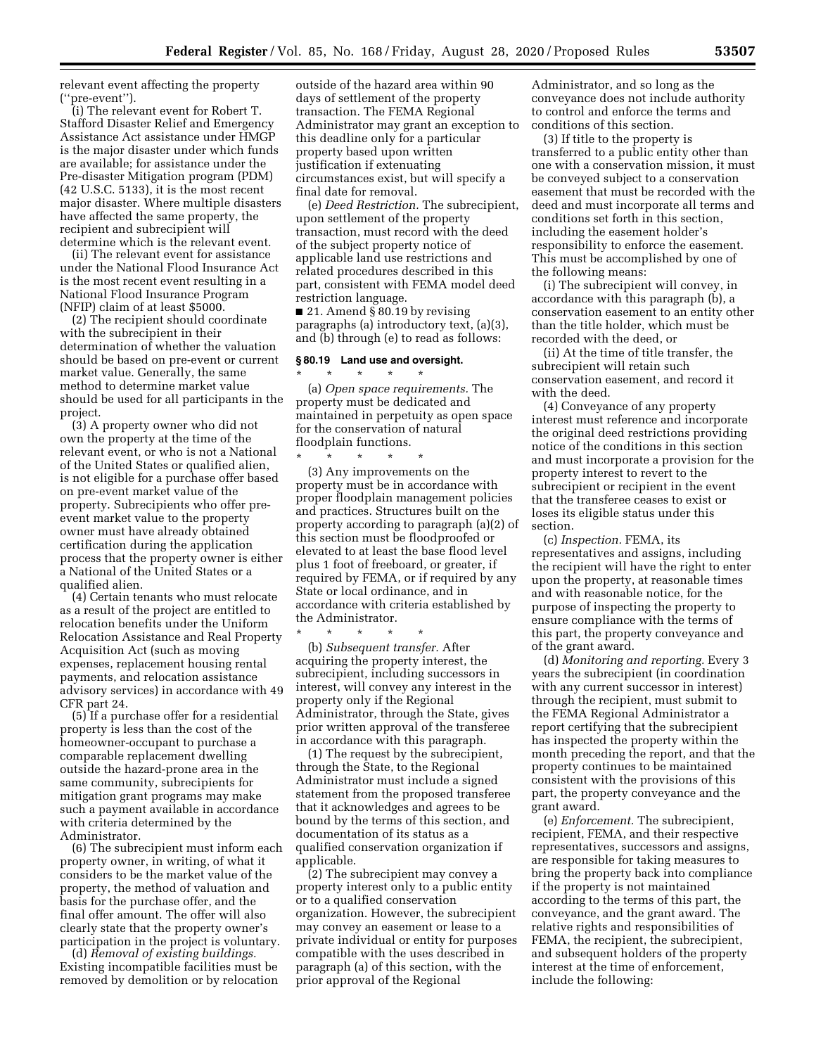relevant event affecting the property (''pre-event'').

(i) The relevant event for Robert T. Stafford Disaster Relief and Emergency Assistance Act assistance under HMGP is the major disaster under which funds are available; for assistance under the Pre-disaster Mitigation program (PDM) (42 U.S.C. 5133), it is the most recent major disaster. Where multiple disasters have affected the same property, the recipient and subrecipient will determine which is the relevant event.

(ii) The relevant event for assistance under the National Flood Insurance Act is the most recent event resulting in a National Flood Insurance Program (NFIP) claim of at least \$5000.

(2) The recipient should coordinate with the subrecipient in their determination of whether the valuation should be based on pre-event or current market value. Generally, the same method to determine market value should be used for all participants in the project.

(3) A property owner who did not own the property at the time of the relevant event, or who is not a National of the United States or qualified alien, is not eligible for a purchase offer based on pre-event market value of the property. Subrecipients who offer preevent market value to the property owner must have already obtained certification during the application process that the property owner is either a National of the United States or a qualified alien.

(4) Certain tenants who must relocate as a result of the project are entitled to relocation benefits under the Uniform Relocation Assistance and Real Property Acquisition Act (such as moving expenses, replacement housing rental payments, and relocation assistance advisory services) in accordance with 49 CFR part 24.

(5) If a purchase offer for a residential property is less than the cost of the homeowner-occupant to purchase a comparable replacement dwelling outside the hazard-prone area in the same community, subrecipients for mitigation grant programs may make such a payment available in accordance with criteria determined by the Administrator.

(6) The subrecipient must inform each property owner, in writing, of what it considers to be the market value of the property, the method of valuation and basis for the purchase offer, and the final offer amount. The offer will also clearly state that the property owner's participation in the project is voluntary.

(d) *Removal of existing buildings.*  Existing incompatible facilities must be removed by demolition or by relocation outside of the hazard area within 90 days of settlement of the property transaction. The FEMA Regional Administrator may grant an exception to this deadline only for a particular property based upon written justification if extenuating circumstances exist, but will specify a final date for removal.

(e) *Deed Restriction.* The subrecipient, upon settlement of the property transaction, must record with the deed of the subject property notice of applicable land use restrictions and related procedures described in this part, consistent with FEMA model deed restriction language.

■ 21. Amend § 80.19 by revising paragraphs (a) introductory text, (a)(3), and (b) through (e) to read as follows:

#### **§ 80.19 Land use and oversight.**

\* \* \* \* \*

(a) *Open space requirements.* The property must be dedicated and maintained in perpetuity as open space for the conservation of natural floodplain functions.

 $\star$   $\qquad$   $\star$   $\qquad$   $\star$ (3) Any improvements on the property must be in accordance with proper floodplain management policies and practices. Structures built on the property according to paragraph (a)(2) of this section must be floodproofed or elevated to at least the base flood level plus 1 foot of freeboard, or greater, if required by FEMA, or if required by any State or local ordinance, and in accordance with criteria established by the Administrator.

\* \* \* \* \* (b) *Subsequent transfer.* After acquiring the property interest, the subrecipient, including successors in interest, will convey any interest in the property only if the Regional Administrator, through the State, gives prior written approval of the transferee in accordance with this paragraph.

(1) The request by the subrecipient, through the State, to the Regional Administrator must include a signed statement from the proposed transferee that it acknowledges and agrees to be bound by the terms of this section, and documentation of its status as a qualified conservation organization if applicable.

(2) The subrecipient may convey a property interest only to a public entity or to a qualified conservation organization. However, the subrecipient may convey an easement or lease to a private individual or entity for purposes compatible with the uses described in paragraph (a) of this section, with the prior approval of the Regional

Administrator, and so long as the conveyance does not include authority to control and enforce the terms and conditions of this section.

(3) If title to the property is transferred to a public entity other than one with a conservation mission, it must be conveyed subject to a conservation easement that must be recorded with the deed and must incorporate all terms and conditions set forth in this section, including the easement holder's responsibility to enforce the easement. This must be accomplished by one of the following means:

(i) The subrecipient will convey, in accordance with this paragraph (b), a conservation easement to an entity other than the title holder, which must be recorded with the deed, or

(ii) At the time of title transfer, the subrecipient will retain such conservation easement, and record it with the deed.

(4) Conveyance of any property interest must reference and incorporate the original deed restrictions providing notice of the conditions in this section and must incorporate a provision for the property interest to revert to the subrecipient or recipient in the event that the transferee ceases to exist or loses its eligible status under this section.

(c) *Inspection.* FEMA, its representatives and assigns, including the recipient will have the right to enter upon the property, at reasonable times and with reasonable notice, for the purpose of inspecting the property to ensure compliance with the terms of this part, the property conveyance and of the grant award.

(d) *Monitoring and reporting.* Every 3 years the subrecipient (in coordination with any current successor in interest) through the recipient, must submit to the FEMA Regional Administrator a report certifying that the subrecipient has inspected the property within the month preceding the report, and that the property continues to be maintained consistent with the provisions of this part, the property conveyance and the grant award.

(e) *Enforcement.* The subrecipient, recipient, FEMA, and their respective representatives, successors and assigns, are responsible for taking measures to bring the property back into compliance if the property is not maintained according to the terms of this part, the conveyance, and the grant award. The relative rights and responsibilities of FEMA, the recipient, the subrecipient, and subsequent holders of the property interest at the time of enforcement, include the following: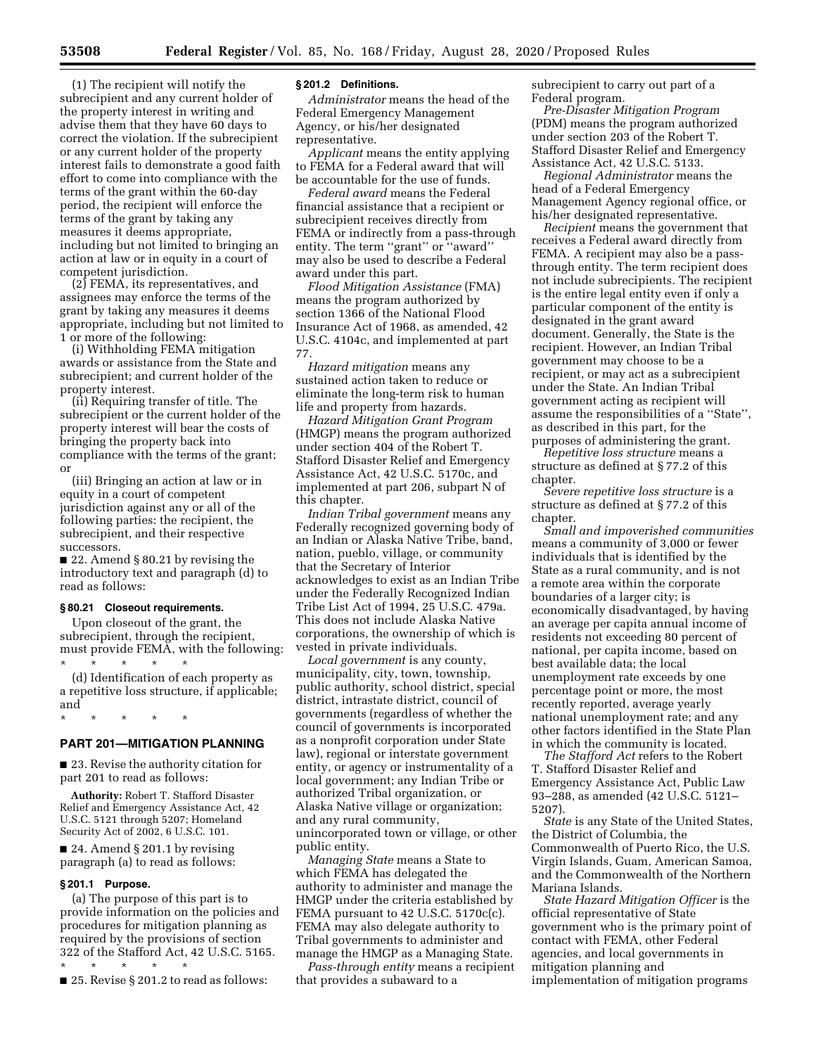(1) The recipient will notify the subrecipient and any current holder of the property interest in writing and advise them that they have 60 days to correct the violation. If the subrecipient or any current holder of the property interest fails to demonstrate a good faith effort to come into compliance with the terms of the grant within the 60-day period, the recipient will enforce the terms of the grant by taking any measures it deems appropriate, including but not limited to bringing an action at law or in equity in a court of competent jurisdiction.

 $(2)$  FEMA, its representatives, and assignees may enforce the terms of the grant by taking any measures it deems appropriate, including but not limited to 1 or more of the following:

(i) Withholding FEMA mitigation awards or assistance from the State and subrecipient; and current holder of the property interest.

(ii) Requiring transfer of title. The subrecipient or the current holder of the property interest will bear the costs of bringing the property back into compliance with the terms of the grant; or

(iii) Bringing an action at law or in equity in a court of competent jurisdiction against any or all of the following parties: the recipient, the subrecipient, and their respective successors.

■ 22. Amend § 80.21 by revising the introductory text and paragraph (d) to read as follows:

## **§ 80.21 Closeout requirements.**

Upon closeout of the grant, the subrecipient, through the recipient, must provide FEMA, with the following: \* \* \* \* \*

(d) Identification of each property as a repetitive loss structure, if applicable; and

\* \* \* \* \*

# **PART 201—MITIGATION PLANNING**

■ 23. Revise the authority citation for part 201 to read as follows:

**Authority:** Robert T. Stafford Disaster Relief and Emergency Assistance Act, 42 U.S.C. 5121 through 5207; Homeland Security Act of 2002, 6 U.S.C. 101.

■ 24. Amend § 201.1 by revising paragraph (a) to read as follows:

#### **§ 201.1 Purpose.**

(a) The purpose of this part is to provide information on the policies and procedures for mitigation planning as required by the provisions of section 322 of the Stafford Act, 42 U.S.C. 5165.

\* \* \* \* \* ■ 25. Revise § 201.2 to read as follows:

## **§ 201.2 Definitions.**

*Administrator* means the head of the Federal Emergency Management Agency, or his/her designated representative.

*Applicant* means the entity applying to FEMA for a Federal award that will be accountable for the use of funds.

*Federal award* means the Federal financial assistance that a recipient or subrecipient receives directly from FEMA or indirectly from a pass-through entity. The term ''grant'' or ''award'' may also be used to describe a Federal award under this part.

*Flood Mitigation Assistance* (FMA) means the program authorized by section 1366 of the National Flood Insurance Act of 1968, as amended, 42 U.S.C. 4104c, and implemented at part 77.

*Hazard mitigation* means any sustained action taken to reduce or eliminate the long-term risk to human life and property from hazards.

*Hazard Mitigation Grant Program*  (HMGP) means the program authorized under section 404 of the Robert T. Stafford Disaster Relief and Emergency Assistance Act, 42 U.S.C. 5170c, and implemented at part 206, subpart N of this chapter.

*Indian Tribal government* means any Federally recognized governing body of an Indian or Alaska Native Tribe, band, nation, pueblo, village, or community that the Secretary of Interior acknowledges to exist as an Indian Tribe under the Federally Recognized Indian Tribe List Act of 1994, 25 U.S.C. 479a. This does not include Alaska Native corporations, the ownership of which is vested in private individuals.

*Local government* is any county, municipality, city, town, township, public authority, school district, special district, intrastate district, council of governments (regardless of whether the council of governments is incorporated as a nonprofit corporation under State law), regional or interstate government entity, or agency or instrumentality of a local government; any Indian Tribe or authorized Tribal organization, or Alaska Native village or organization; and any rural community, unincorporated town or village, or other public entity.

*Managing State* means a State to which FEMA has delegated the authority to administer and manage the HMGP under the criteria established by FEMA pursuant to 42 U.S.C. 5170c(c). FEMA may also delegate authority to Tribal governments to administer and manage the HMGP as a Managing State.

*Pass-through entity* means a recipient that provides a subaward to a

subrecipient to carry out part of a Federal program.

*Pre-Disaster Mitigation Program*  (PDM) means the program authorized under section 203 of the Robert T. Stafford Disaster Relief and Emergency Assistance Act, 42 U.S.C. 5133.

*Regional Administrator* means the head of a Federal Emergency Management Agency regional office, or his/her designated representative.

*Recipient* means the government that receives a Federal award directly from FEMA. A recipient may also be a passthrough entity. The term recipient does not include subrecipients. The recipient is the entire legal entity even if only a particular component of the entity is designated in the grant award document. Generally, the State is the recipient. However, an Indian Tribal government may choose to be a recipient, or may act as a subrecipient under the State. An Indian Tribal government acting as recipient will assume the responsibilities of a ''State'', as described in this part, for the purposes of administering the grant.

*Repetitive loss structure* means a structure as defined at § 77.2 of this chapter.

*Severe repetitive loss structure* is a structure as defined at § 77.2 of this chapter.

*Small and impoverished communities*  means a community of 3,000 or fewer individuals that is identified by the State as a rural community, and is not a remote area within the corporate boundaries of a larger city; is economically disadvantaged, by having an average per capita annual income of residents not exceeding 80 percent of national, per capita income, based on best available data; the local unemployment rate exceeds by one percentage point or more, the most recently reported, average yearly national unemployment rate; and any other factors identified in the State Plan in which the community is located.

*The Stafford Act* refers to the Robert T. Stafford Disaster Relief and Emergency Assistance Act, Public Law 93–288, as amended (42 U.S.C. 5121– 5207).

*State* is any State of the United States, the District of Columbia, the Commonwealth of Puerto Rico, the U.S. Virgin Islands, Guam, American Samoa, and the Commonwealth of the Northern Mariana Islands.

*State Hazard Mitigation Officer* is the official representative of State government who is the primary point of contact with FEMA, other Federal agencies, and local governments in mitigation planning and implementation of mitigation programs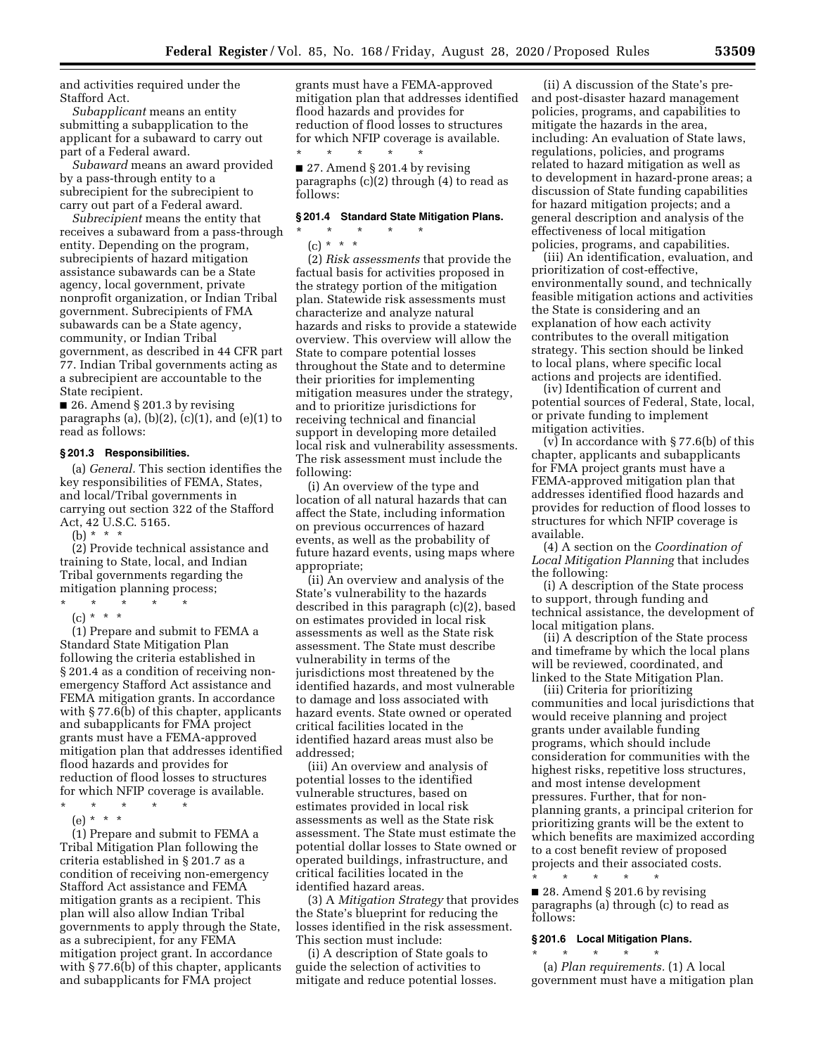and activities required under the Stafford Act.

*Subapplicant* means an entity submitting a subapplication to the applicant for a subaward to carry out part of a Federal award.

*Subaward* means an award provided by a pass-through entity to a subrecipient for the subrecipient to carry out part of a Federal award.

*Subrecipient* means the entity that receives a subaward from a pass-through entity. Depending on the program, subrecipients of hazard mitigation assistance subawards can be a State agency, local government, private nonprofit organization, or Indian Tribal government. Subrecipients of FMA subawards can be a State agency, community, or Indian Tribal government, as described in 44 CFR part 77. Indian Tribal governments acting as a subrecipient are accountable to the State recipient.

■ 26. Amend § 201.3 by revising paragraphs (a),  $(b)(2)$ ,  $(c)(1)$ , and  $(e)(1)$  to read as follows:

#### **§ 201.3 Responsibilities.**

(a) *General.* This section identifies the key responsibilities of FEMA, States, and local/Tribal governments in carrying out section 322 of the Stafford Act, 42 U.S.C. 5165.

(b) \* \* \*

(2) Provide technical assistance and training to State, local, and Indian Tribal governments regarding the mitigation planning process;

- \* \* \* \* \*
- $(c) * * * *$

(1) Prepare and submit to FEMA a Standard State Mitigation Plan following the criteria established in § 201.4 as a condition of receiving nonemergency Stafford Act assistance and FEMA mitigation grants. In accordance with § 77.6(b) of this chapter, applicants and subapplicants for FMA project grants must have a FEMA-approved mitigation plan that addresses identified flood hazards and provides for reduction of flood losses to structures for which NFIP coverage is available.

\* \* \* \* \* (e) \* \* \*

(1) Prepare and submit to FEMA a Tribal Mitigation Plan following the criteria established in § 201.7 as a condition of receiving non-emergency Stafford Act assistance and FEMA mitigation grants as a recipient. This plan will also allow Indian Tribal governments to apply through the State, as a subrecipient, for any FEMA mitigation project grant. In accordance with § 77.6(b) of this chapter, applicants and subapplicants for FMA project

grants must have a FEMA-approved mitigation plan that addresses identified flood hazards and provides for reduction of flood losses to structures for which NFIP coverage is available. \* \* \* \* \*

■ 27. Amend § 201.4 by revising paragraphs (c)(2) through (4) to read as follows:

#### **§ 201.4 Standard State Mitigation Plans.**

\* \* \* \* \*  $(c) * * * *$ 

(2) *Risk assessments* that provide the factual basis for activities proposed in the strategy portion of the mitigation plan. Statewide risk assessments must characterize and analyze natural hazards and risks to provide a statewide overview. This overview will allow the State to compare potential losses throughout the State and to determine their priorities for implementing mitigation measures under the strategy, and to prioritize jurisdictions for receiving technical and financial support in developing more detailed local risk and vulnerability assessments. The risk assessment must include the following:

(i) An overview of the type and location of all natural hazards that can affect the State, including information on previous occurrences of hazard events, as well as the probability of future hazard events, using maps where appropriate;

(ii) An overview and analysis of the State's vulnerability to the hazards described in this paragraph (c)(2), based on estimates provided in local risk assessments as well as the State risk assessment. The State must describe vulnerability in terms of the jurisdictions most threatened by the identified hazards, and most vulnerable to damage and loss associated with hazard events. State owned or operated critical facilities located in the identified hazard areas must also be addressed;

(iii) An overview and analysis of potential losses to the identified vulnerable structures, based on estimates provided in local risk assessments as well as the State risk assessment. The State must estimate the potential dollar losses to State owned or operated buildings, infrastructure, and critical facilities located in the identified hazard areas.

(3) A *Mitigation Strategy* that provides the State's blueprint for reducing the losses identified in the risk assessment. This section must include:

(i) A description of State goals to guide the selection of activities to mitigate and reduce potential losses.

(ii) A discussion of the State's preand post-disaster hazard management policies, programs, and capabilities to mitigate the hazards in the area, including: An evaluation of State laws, regulations, policies, and programs related to hazard mitigation as well as to development in hazard-prone areas; a discussion of State funding capabilities for hazard mitigation projects; and a general description and analysis of the effectiveness of local mitigation policies, programs, and capabilities.

(iii) An identification, evaluation, and prioritization of cost-effective, environmentally sound, and technically feasible mitigation actions and activities the State is considering and an explanation of how each activity contributes to the overall mitigation strategy. This section should be linked to local plans, where specific local actions and projects are identified.

(iv) Identification of current and potential sources of Federal, State, local, or private funding to implement mitigation activities.

(v) In accordance with § 77.6(b) of this chapter, applicants and subapplicants for FMA project grants must have a FEMA-approved mitigation plan that addresses identified flood hazards and provides for reduction of flood losses to structures for which NFIP coverage is available.

(4) A section on the *Coordination of Local Mitigation Planning* that includes the following:

(i) A description of the State process to support, through funding and technical assistance, the development of local mitigation plans.

(ii) A description of the State process and timeframe by which the local plans will be reviewed, coordinated, and linked to the State Mitigation Plan.

(iii) Criteria for prioritizing communities and local jurisdictions that would receive planning and project grants under available funding programs, which should include consideration for communities with the highest risks, repetitive loss structures, and most intense development pressures. Further, that for nonplanning grants, a principal criterion for prioritizing grants will be the extent to which benefits are maximized according to a cost benefit review of proposed projects and their associated costs. \* \* \* \* \*

■ 28. Amend § 201.6 by revising paragraphs (a) through (c) to read as follows:

#### **§ 201.6 Local Mitigation Plans.**   $\star$   $\star$   $\star$   $\star$

(a) *Plan requirements.* (1) A local government must have a mitigation plan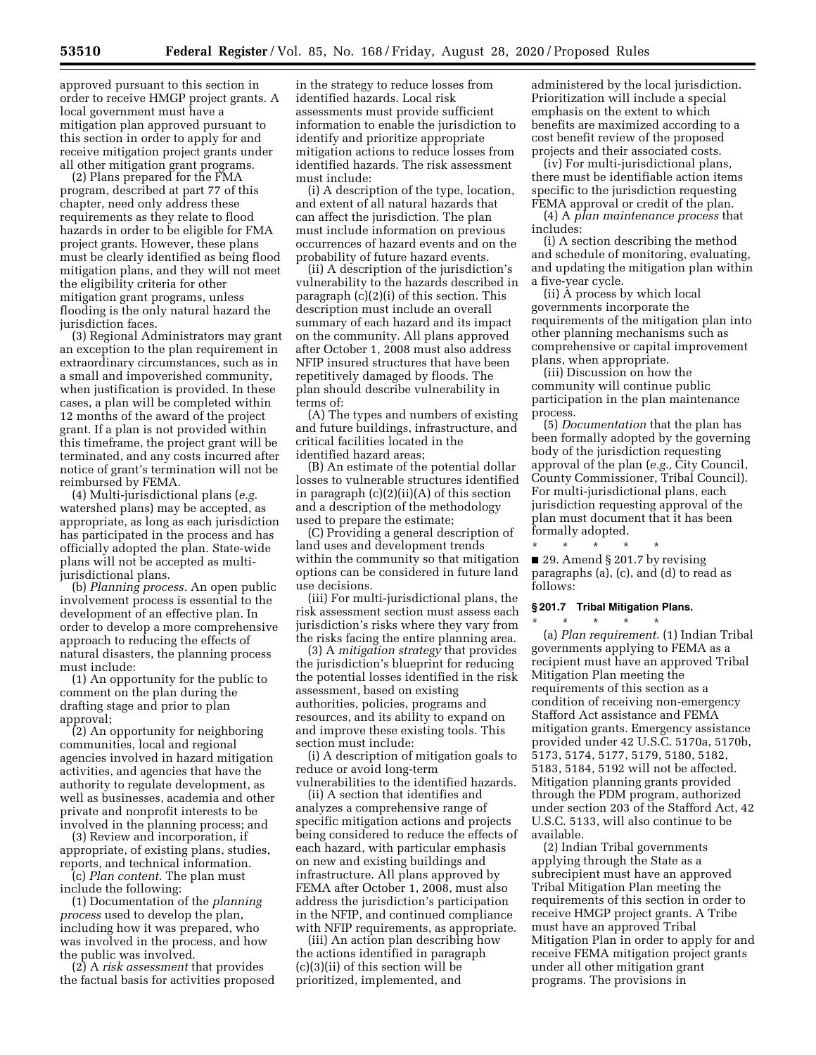this section in order to apply for and receive mitigation project grants under

all other mitigation grant programs. (2) Plans prepared for the FMA program, described at part 77 of this chapter, need only address these requirements as they relate to flood hazards in order to be eligible for FMA project grants. However, these plans must be clearly identified as being flood mitigation plans, and they will not meet the eligibility criteria for other mitigation grant programs, unless flooding is the only natural hazard the jurisdiction faces.

(3) Regional Administrators may grant an exception to the plan requirement in extraordinary circumstances, such as in a small and impoverished community, when justification is provided. In these cases, a plan will be completed within 12 months of the award of the project grant. If a plan is not provided within this timeframe, the project grant will be terminated, and any costs incurred after notice of grant's termination will not be reimbursed by FEMA.

(4) Multi-jurisdictional plans (*e.g.*  watershed plans) may be accepted, as appropriate, as long as each jurisdiction has participated in the process and has officially adopted the plan. State-wide plans will not be accepted as multijurisdictional plans.

(b) *Planning process.* An open public involvement process is essential to the development of an effective plan. In order to develop a more comprehensive approach to reducing the effects of natural disasters, the planning process must include:

(1) An opportunity for the public to comment on the plan during the drafting stage and prior to plan approval;

(2) An opportunity for neighboring communities, local and regional agencies involved in hazard mitigation activities, and agencies that have the authority to regulate development, as well as businesses, academia and other private and nonprofit interests to be involved in the planning process; and

(3) Review and incorporation, if appropriate, of existing plans, studies, reports, and technical information.

(c) *Plan content.* The plan must include the following:

(1) Documentation of the *planning process* used to develop the plan, including how it was prepared, who was involved in the process, and how the public was involved.

(2) A *risk assessment* that provides the factual basis for activities proposed

in the strategy to reduce losses from identified hazards. Local risk assessments must provide sufficient information to enable the jurisdiction to identify and prioritize appropriate mitigation actions to reduce losses from identified hazards. The risk assessment must include:

(i) A description of the type, location, and extent of all natural hazards that can affect the jurisdiction. The plan must include information on previous occurrences of hazard events and on the probability of future hazard events.

(ii) A description of the jurisdiction's vulnerability to the hazards described in paragraph (c)(2)(i) of this section. This description must include an overall summary of each hazard and its impact on the community. All plans approved after October 1, 2008 must also address NFIP insured structures that have been repetitively damaged by floods. The plan should describe vulnerability in terms of:

(A) The types and numbers of existing and future buildings, infrastructure, and critical facilities located in the identified hazard areas;

(B) An estimate of the potential dollar losses to vulnerable structures identified in paragraph (c)(2)(ii)(A) of this section and a description of the methodology used to prepare the estimate;

(C) Providing a general description of land uses and development trends within the community so that mitigation options can be considered in future land use decisions.

(iii) For multi-jurisdictional plans, the risk assessment section must assess each jurisdiction's risks where they vary from the risks facing the entire planning area.

(3) A *mitigation strategy* that provides the jurisdiction's blueprint for reducing the potential losses identified in the risk assessment, based on existing authorities, policies, programs and resources, and its ability to expand on and improve these existing tools. This section must include:

(i) A description of mitigation goals to reduce or avoid long-term vulnerabilities to the identified hazards.

(ii) A section that identifies and analyzes a comprehensive range of specific mitigation actions and projects being considered to reduce the effects of each hazard, with particular emphasis on new and existing buildings and infrastructure. All plans approved by FEMA after October 1, 2008, must also address the jurisdiction's participation in the NFIP, and continued compliance with NFIP requirements, as appropriate.

(iii) An action plan describing how the actions identified in paragraph (c)(3)(ii) of this section will be prioritized, implemented, and

administered by the local jurisdiction. Prioritization will include a special emphasis on the extent to which benefits are maximized according to a cost benefit review of the proposed projects and their associated costs.

(iv) For multi-jurisdictional plans, there must be identifiable action items specific to the jurisdiction requesting FEMA approval or credit of the plan.

(4) A *plan maintenance process* that includes:

(i) A section describing the method and schedule of monitoring, evaluating, and updating the mitigation plan within a five-year cycle.

(ii) A process by which local governments incorporate the requirements of the mitigation plan into other planning mechanisms such as comprehensive or capital improvement plans, when appropriate.

(iii) Discussion on how the community will continue public participation in the plan maintenance process.

(5) *Documentation* that the plan has been formally adopted by the governing body of the jurisdiction requesting approval of the plan (*e.g.,* City Council, County Commissioner, Tribal Council). For multi-jurisdictional plans, each jurisdiction requesting approval of the plan must document that it has been formally adopted.

\* \* \* \* \* ■ 29. Amend § 201.7 by revising paragraphs (a), (c), and (d) to read as follows:

## **§ 201.7 Tribal Mitigation Plans.**

\* \* \* \* \* (a) *Plan requirement.* (1) Indian Tribal governments applying to FEMA as a recipient must have an approved Tribal Mitigation Plan meeting the requirements of this section as a condition of receiving non-emergency Stafford Act assistance and FEMA mitigation grants. Emergency assistance provided under 42 U.S.C. 5170a, 5170b, 5173, 5174, 5177, 5179, 5180, 5182, 5183, 5184, 5192 will not be affected. Mitigation planning grants provided through the PDM program, authorized under section 203 of the Stafford Act, 42 U.S.C. 5133, will also continue to be available.

(2) Indian Tribal governments applying through the State as a subrecipient must have an approved Tribal Mitigation Plan meeting the requirements of this section in order to receive HMGP project grants. A Tribe must have an approved Tribal Mitigation Plan in order to apply for and receive FEMA mitigation project grants under all other mitigation grant programs. The provisions in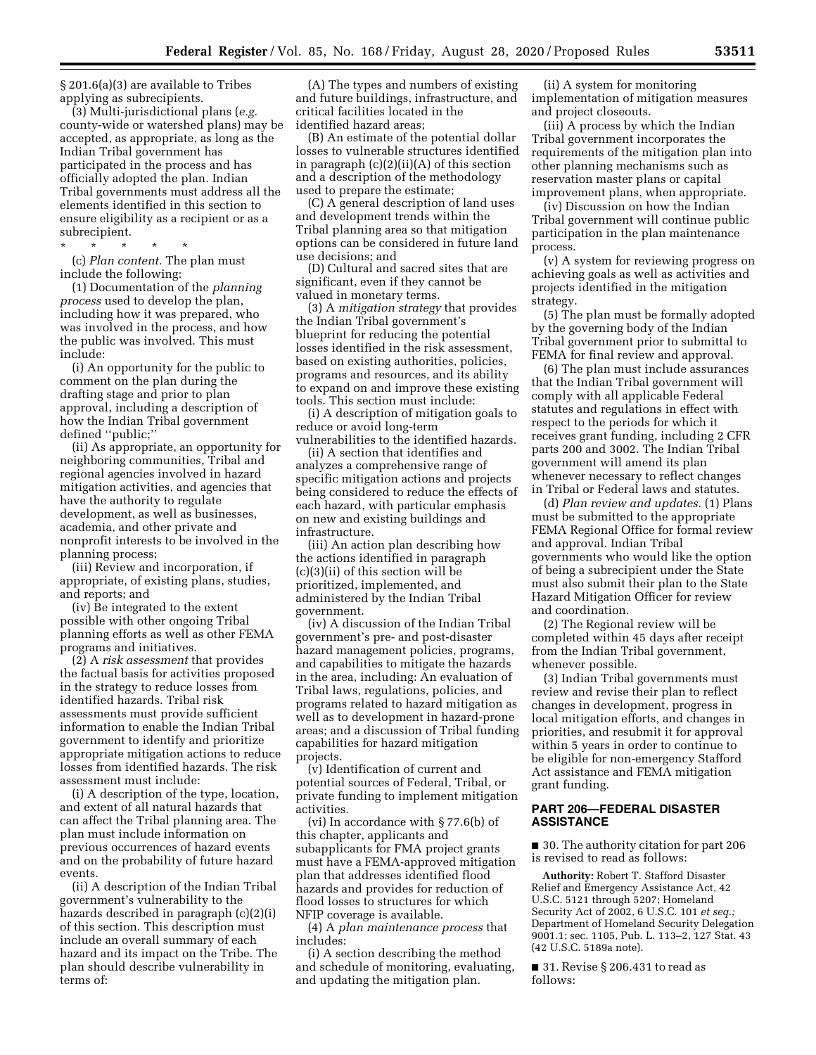§ 201.6(a)(3) are available to Tribes applying as subrecipients.

(3) Multi-jurisdictional plans (*e.g.*  county-wide or watershed plans) may be accepted, as appropriate, as long as the Indian Tribal government has participated in the process and has officially adopted the plan. Indian Tribal governments must address all the elements identified in this section to ensure eligibility as a recipient or as a subrecipient.

\* \* \* \* \* (c) *Plan content.* The plan must include the following:

(1) Documentation of the *planning process* used to develop the plan, including how it was prepared, who was involved in the process, and how the public was involved. This must include:

(i) An opportunity for the public to comment on the plan during the drafting stage and prior to plan approval, including a description of how the Indian Tribal government defined ''public;''

(ii) As appropriate, an opportunity for neighboring communities, Tribal and regional agencies involved in hazard mitigation activities, and agencies that have the authority to regulate development, as well as businesses, academia, and other private and nonprofit interests to be involved in the planning process;

(iii) Review and incorporation, if appropriate, of existing plans, studies, and reports; and

(iv) Be integrated to the extent possible with other ongoing Tribal planning efforts as well as other FEMA programs and initiatives.

(2) A *risk assessment* that provides the factual basis for activities proposed in the strategy to reduce losses from identified hazards. Tribal risk assessments must provide sufficient information to enable the Indian Tribal government to identify and prioritize appropriate mitigation actions to reduce losses from identified hazards. The risk assessment must include:

(i) A description of the type, location, and extent of all natural hazards that can affect the Tribal planning area. The plan must include information on previous occurrences of hazard events and on the probability of future hazard events.

(ii) A description of the Indian Tribal government's vulnerability to the hazards described in paragraph (c)(2)(i) of this section. This description must include an overall summary of each hazard and its impact on the Tribe. The plan should describe vulnerability in terms of:

(A) The types and numbers of existing and future buildings, infrastructure, and critical facilities located in the identified hazard areas;

(B) An estimate of the potential dollar losses to vulnerable structures identified in paragraph (c)(2)(ii)(A) of this section and a description of the methodology used to prepare the estimate;

(C) A general description of land uses and development trends within the Tribal planning area so that mitigation options can be considered in future land use decisions; and

(D) Cultural and sacred sites that are significant, even if they cannot be valued in monetary terms.

(3) A *mitigation strategy* that provides the Indian Tribal government's blueprint for reducing the potential losses identified in the risk assessment, based on existing authorities, policies, programs and resources, and its ability to expand on and improve these existing tools. This section must include:

(i) A description of mitigation goals to reduce or avoid long-term

vulnerabilities to the identified hazards. (ii) A section that identifies and analyzes a comprehensive range of specific mitigation actions and projects being considered to reduce the effects of each hazard, with particular emphasis on new and existing buildings and infrastructure.

(iii) An action plan describing how the actions identified in paragraph (c)(3)(ii) of this section will be prioritized, implemented, and administered by the Indian Tribal government.

(iv) A discussion of the Indian Tribal government's pre- and post-disaster hazard management policies, programs, and capabilities to mitigate the hazards in the area, including: An evaluation of Tribal laws, regulations, policies, and programs related to hazard mitigation as well as to development in hazard-prone areas; and a discussion of Tribal funding capabilities for hazard mitigation projects.

(v) Identification of current and potential sources of Federal, Tribal, or private funding to implement mitigation activities.

(vi) In accordance with § 77.6(b) of this chapter, applicants and subapplicants for FMA project grants must have a FEMA-approved mitigation plan that addresses identified flood hazards and provides for reduction of flood losses to structures for which NFIP coverage is available.

(4) A *plan maintenance process* that includes:

(i) A section describing the method and schedule of monitoring, evaluating, and updating the mitigation plan.

(ii) A system for monitoring implementation of mitigation measures and project closeouts.

(iii) A process by which the Indian Tribal government incorporates the requirements of the mitigation plan into other planning mechanisms such as reservation master plans or capital improvement plans, when appropriate.

(iv) Discussion on how the Indian Tribal government will continue public participation in the plan maintenance process.

(v) A system for reviewing progress on achieving goals as well as activities and projects identified in the mitigation strategy.

(5) The plan must be formally adopted by the governing body of the Indian Tribal government prior to submittal to FEMA for final review and approval.

(6) The plan must include assurances that the Indian Tribal government will comply with all applicable Federal statutes and regulations in effect with respect to the periods for which it receives grant funding, including 2 CFR parts 200 and 3002. The Indian Tribal government will amend its plan whenever necessary to reflect changes in Tribal or Federal laws and statutes.

(d) *Plan review and updates.* (1) Plans must be submitted to the appropriate FEMA Regional Office for formal review and approval. Indian Tribal governments who would like the option of being a subrecipient under the State must also submit their plan to the State Hazard Mitigation Officer for review and coordination.

(2) The Regional review will be completed within 45 days after receipt from the Indian Tribal government, whenever possible.

(3) Indian Tribal governments must review and revise their plan to reflect changes in development, progress in local mitigation efforts, and changes in priorities, and resubmit it for approval within 5 years in order to continue to be eligible for non-emergency Stafford Act assistance and FEMA mitigation grant funding.

# **PART 206—FEDERAL DISASTER ASSISTANCE**

■ 30. The authority citation for part 206 is revised to read as follows:

**Authority:** Robert T. Stafford Disaster Relief and Emergency Assistance Act, 42 U.S.C. 5121 through 5207; Homeland Security Act of 2002, 6 U.S.C. 101 *et seq.;*  Department of Homeland Security Delegation 9001.1; sec. 1105, Pub. L. 113–2, 127 Stat. 43 (42 U.S.C. 5189a note).

■ 31. Revise § 206.431 to read as follows: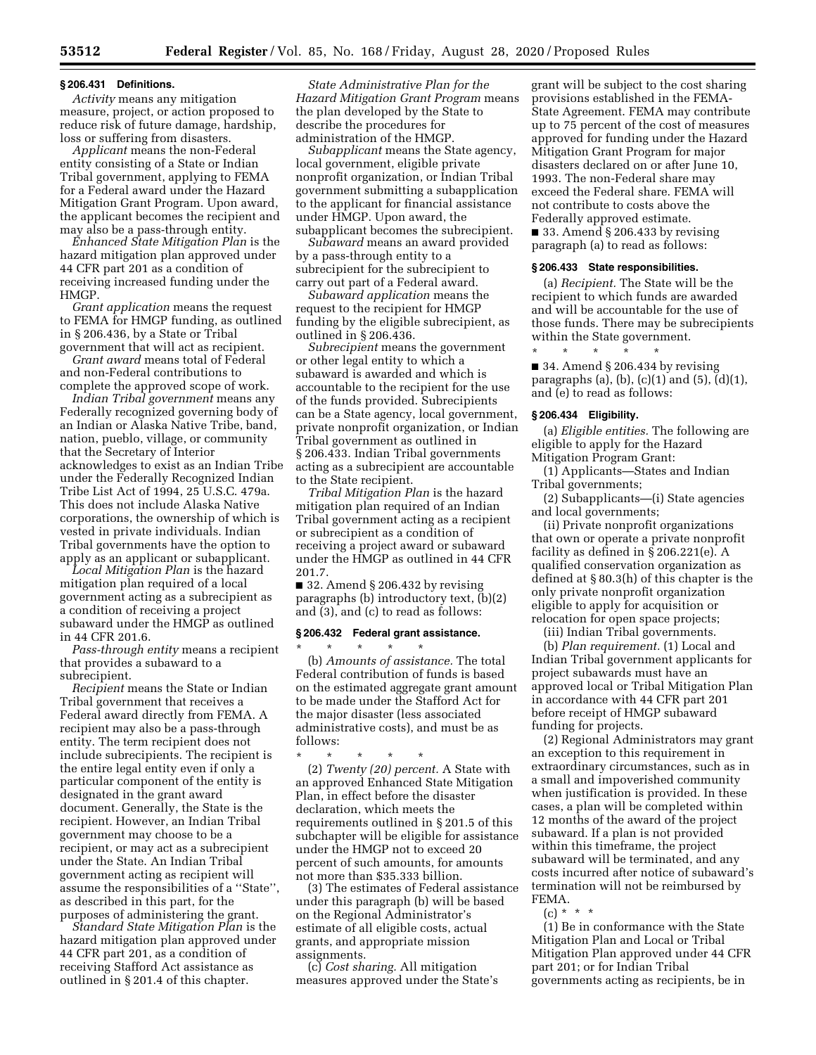#### **§ 206.431 Definitions.**

*Activity* means any mitigation measure, project, or action proposed to reduce risk of future damage, hardship, loss or suffering from disasters.

*Applicant* means the non-Federal entity consisting of a State or Indian Tribal government, applying to FEMA for a Federal award under the Hazard Mitigation Grant Program. Upon award, the applicant becomes the recipient and may also be a pass-through entity.

*Enhanced State Mitigation Plan* is the hazard mitigation plan approved under 44 CFR part 201 as a condition of receiving increased funding under the HMGP.

*Grant application* means the request to FEMA for HMGP funding, as outlined in § 206.436, by a State or Tribal government that will act as recipient.

*Grant award* means total of Federal and non-Federal contributions to complete the approved scope of work.

*Indian Tribal government* means any Federally recognized governing body of an Indian or Alaska Native Tribe, band, nation, pueblo, village, or community that the Secretary of Interior acknowledges to exist as an Indian Tribe under the Federally Recognized Indian Tribe List Act of 1994, 25 U.S.C. 479a. This does not include Alaska Native corporations, the ownership of which is vested in private individuals. Indian Tribal governments have the option to apply as an applicant or subapplicant.

*Local Mitigation Plan* is the hazard mitigation plan required of a local government acting as a subrecipient as a condition of receiving a project subaward under the HMGP as outlined in 44 CFR 201.6.

*Pass-through entity* means a recipient that provides a subaward to a subrecipient.

*Recipient* means the State or Indian Tribal government that receives a Federal award directly from FEMA. A recipient may also be a pass-through entity. The term recipient does not include subrecipients. The recipient is the entire legal entity even if only a particular component of the entity is designated in the grant award document. Generally, the State is the recipient. However, an Indian Tribal government may choose to be a recipient, or may act as a subrecipient under the State. An Indian Tribal government acting as recipient will assume the responsibilities of a ''State'', as described in this part, for the purposes of administering the grant.

*Standard State Mitigation Plan* is the hazard mitigation plan approved under 44 CFR part 201, as a condition of receiving Stafford Act assistance as outlined in § 201.4 of this chapter.

*State Administrative Plan for the Hazard Mitigation Grant Program* means the plan developed by the State to describe the procedures for administration of the HMGP.

*Subapplicant* means the State agency, local government, eligible private nonprofit organization, or Indian Tribal government submitting a subapplication to the applicant for financial assistance under HMGP. Upon award, the subapplicant becomes the subrecipient.

*Subaward* means an award provided by a pass-through entity to a subrecipient for the subrecipient to carry out part of a Federal award.

*Subaward application* means the request to the recipient for HMGP funding by the eligible subrecipient, as outlined in § 206.436.

*Subrecipient* means the government or other legal entity to which a subaward is awarded and which is accountable to the recipient for the use of the funds provided. Subrecipients can be a State agency, local government, private nonprofit organization, or Indian Tribal government as outlined in § 206.433. Indian Tribal governments acting as a subrecipient are accountable to the State recipient.

*Tribal Mitigation Plan* is the hazard mitigation plan required of an Indian Tribal government acting as a recipient or subrecipient as a condition of receiving a project award or subaward under the HMGP as outlined in 44 CFR 201.7.

■ 32. Amend § 206.432 by revising paragraphs (b) introductory text, (b)(2) and (3), and (c) to read as follows:

#### **§ 206.432 Federal grant assistance.**

\* \* \* \* \* (b) *Amounts of assistance.* The total Federal contribution of funds is based on the estimated aggregate grant amount to be made under the Stafford Act for the major disaster (less associated administrative costs), and must be as follows:

\* \* \* \* \* (2) *Twenty (20) percent.* A State with an approved Enhanced State Mitigation Plan, in effect before the disaster declaration, which meets the requirements outlined in § 201.5 of this subchapter will be eligible for assistance under the HMGP not to exceed 20 percent of such amounts, for amounts not more than \$35.333 billion.

(3) The estimates of Federal assistance under this paragraph (b) will be based on the Regional Administrator's estimate of all eligible costs, actual grants, and appropriate mission assignments.

(c) *Cost sharing.* All mitigation measures approved under the State's

grant will be subject to the cost sharing provisions established in the FEMA-State Agreement. FEMA may contribute up to 75 percent of the cost of measures approved for funding under the Hazard Mitigation Grant Program for major disasters declared on or after June 10, 1993. The non-Federal share may exceed the Federal share. FEMA will not contribute to costs above the Federally approved estimate.

■ 33. Amend § 206.433 by revising paragraph (a) to read as follows:

#### **§ 206.433 State responsibilities.**

(a) *Recipient.* The State will be the recipient to which funds are awarded and will be accountable for the use of those funds. There may be subrecipients within the State government.

\* \* \* \* \* ■ 34. Amend § 206.434 by revising paragraphs (a), (b), (c)(1) and (5), (d)(1), and (e) to read as follows:

## **§ 206.434 Eligibility.**

(a) *Eligible entities.* The following are eligible to apply for the Hazard Mitigation Program Grant:

(1) Applicants—States and Indian Tribal governments;

(2) Subapplicants—(i) State agencies and local governments;

(ii) Private nonprofit organizations that own or operate a private nonprofit facility as defined in § 206.221(e). A qualified conservation organization as defined at § 80.3(h) of this chapter is the only private nonprofit organization eligible to apply for acquisition or relocation for open space projects;

(iii) Indian Tribal governments.

(b) *Plan requirement.* (1) Local and Indian Tribal government applicants for project subawards must have an approved local or Tribal Mitigation Plan in accordance with 44 CFR part 201 before receipt of HMGP subaward funding for projects.

(2) Regional Administrators may grant an exception to this requirement in extraordinary circumstances, such as in a small and impoverished community when justification is provided. In these cases, a plan will be completed within 12 months of the award of the project subaward. If a plan is not provided within this timeframe, the project subaward will be terminated, and any costs incurred after notice of subaward's termination will not be reimbursed by FEMA.

 $(c) * * * *$ 

(1) Be in conformance with the State Mitigation Plan and Local or Tribal Mitigation Plan approved under 44 CFR part 201; or for Indian Tribal governments acting as recipients, be in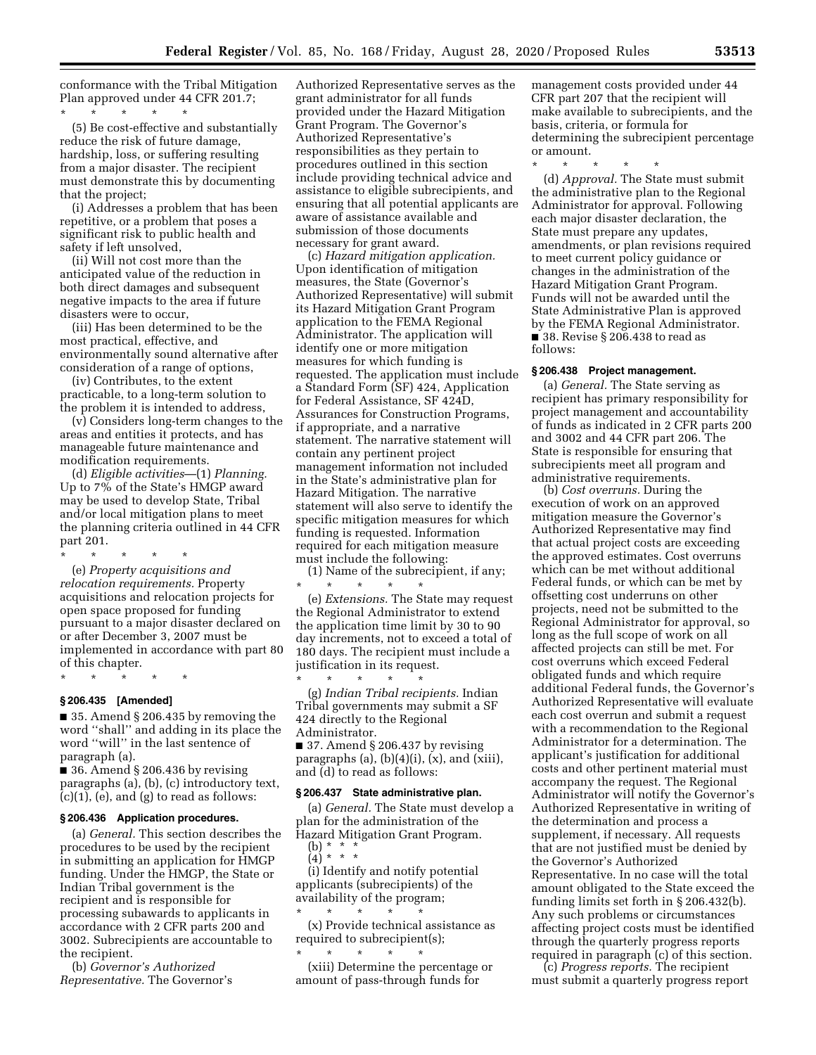conformance with the Tribal Mitigation Plan approved under 44 CFR 201.7;

\* \* \* \* \* (5) Be cost-effective and substantially reduce the risk of future damage, hardship, loss, or suffering resulting from a major disaster. The recipient must demonstrate this by documenting that the project;

(i) Addresses a problem that has been repetitive, or a problem that poses a significant risk to public health and safety if left unsolved,

(ii) Will not cost more than the anticipated value of the reduction in both direct damages and subsequent negative impacts to the area if future disasters were to occur,

(iii) Has been determined to be the most practical, effective, and environmentally sound alternative after consideration of a range of options,

(iv) Contributes, to the extent practicable, to a long-term solution to the problem it is intended to address,

(v) Considers long-term changes to the areas and entities it protects, and has manageable future maintenance and modification requirements.

(d) *Eligible activities*—(1) *Planning.*  Up to 7% of the State's HMGP award may be used to develop State, Tribal and/or local mitigation plans to meet the planning criteria outlined in 44 CFR part 201.

\* \* \* \* \* (e) *Property acquisitions and* 

*relocation requirements.* Property acquisitions and relocation projects for open space proposed for funding pursuant to a major disaster declared on or after December 3, 2007 must be implemented in accordance with part 80 of this chapter.

\* \* \* \* \*

# **§ 206.435 [Amended]**

■ 35. Amend § 206.435 by removing the word ''shall'' and adding in its place the word ''will'' in the last sentence of paragraph (a).

■ 36. Amend § 206.436 by revising paragraphs (a), (b), (c) introductory text,  $(c)(1)$ ,  $(e)$ , and  $(g)$  to read as follows:

## **§ 206.436 Application procedures.**

(a) *General.* This section describes the procedures to be used by the recipient in submitting an application for HMGP funding. Under the HMGP, the State or Indian Tribal government is the recipient and is responsible for processing subawards to applicants in accordance with 2 CFR parts 200 and 3002. Subrecipients are accountable to the recipient.

(b) *Governor's Authorized Representative.* The Governor's

Authorized Representative serves as the grant administrator for all funds provided under the Hazard Mitigation Grant Program. The Governor's Authorized Representative's responsibilities as they pertain to procedures outlined in this section include providing technical advice and assistance to eligible subrecipients, and ensuring that all potential applicants are aware of assistance available and submission of those documents necessary for grant award.

(c) *Hazard mitigation application.*  Upon identification of mitigation measures, the State (Governor's Authorized Representative) will submit its Hazard Mitigation Grant Program application to the FEMA Regional Administrator. The application will identify one or more mitigation measures for which funding is requested. The application must include a Standard Form (SF) 424, Application for Federal Assistance, SF 424D, Assurances for Construction Programs, if appropriate, and a narrative statement. The narrative statement will contain any pertinent project management information not included in the State's administrative plan for Hazard Mitigation. The narrative statement will also serve to identify the specific mitigation measures for which funding is requested. Information required for each mitigation measure must include the following:

(1) Name of the subrecipient, if any; \* \* \* \* \*

(e) *Extensions.* The State may request the Regional Administrator to extend the application time limit by 30 to 90 day increments, not to exceed a total of 180 days. The recipient must include a justification in its request. \* \* \* \* \*

(g) *Indian Tribal recipients.* Indian Tribal governments may submit a SF 424 directly to the Regional Administrator.

■ 37. Amend § 206.437 by revising paragraphs (a),  $(b)(4)(i)$ ,  $(x)$ , and  $(xiii)$ , and (d) to read as follows:

#### **§ 206.437 State administrative plan.**

(a) *General.* The State must develop a plan for the administration of the Hazard Mitigation Grant Program.  $(b) * * * *$ 

 $(4)^{*}$  \* \*

(i) Identify and notify potential applicants (subrecipients) of the availability of the program;

\* \* \* \* \* (x) Provide technical assistance as required to subrecipient(s);

\* \* \* \* \* (xiii) Determine the percentage or amount of pass-through funds for

management costs provided under 44 CFR part 207 that the recipient will make available to subrecipients, and the basis, criteria, or formula for determining the subrecipient percentage or amount.

\* \* \* \* \*

(d) *Approval.* The State must submit the administrative plan to the Regional Administrator for approval. Following each major disaster declaration, the State must prepare any updates, amendments, or plan revisions required to meet current policy guidance or changes in the administration of the Hazard Mitigation Grant Program. Funds will not be awarded until the State Administrative Plan is approved by the FEMA Regional Administrator. ■ 38. Revise § 206.438 to read as follows:

## **§ 206.438 Project management.**

(a) *General.* The State serving as recipient has primary responsibility for project management and accountability of funds as indicated in 2 CFR parts 200 and 3002 and 44 CFR part 206. The State is responsible for ensuring that subrecipients meet all program and administrative requirements.

(b) *Cost overruns.* During the execution of work on an approved mitigation measure the Governor's Authorized Representative may find that actual project costs are exceeding the approved estimates. Cost overruns which can be met without additional Federal funds, or which can be met by offsetting cost underruns on other projects, need not be submitted to the Regional Administrator for approval, so long as the full scope of work on all affected projects can still be met. For cost overruns which exceed Federal obligated funds and which require additional Federal funds, the Governor's Authorized Representative will evaluate each cost overrun and submit a request with a recommendation to the Regional Administrator for a determination. The applicant's justification for additional costs and other pertinent material must accompany the request. The Regional Administrator will notify the Governor's Authorized Representative in writing of the determination and process a supplement, if necessary. All requests that are not justified must be denied by the Governor's Authorized Representative. In no case will the total amount obligated to the State exceed the funding limits set forth in § 206.432(b). Any such problems or circumstances affecting project costs must be identified through the quarterly progress reports required in paragraph (c) of this section.

(c) *Progress reports.* The recipient must submit a quarterly progress report